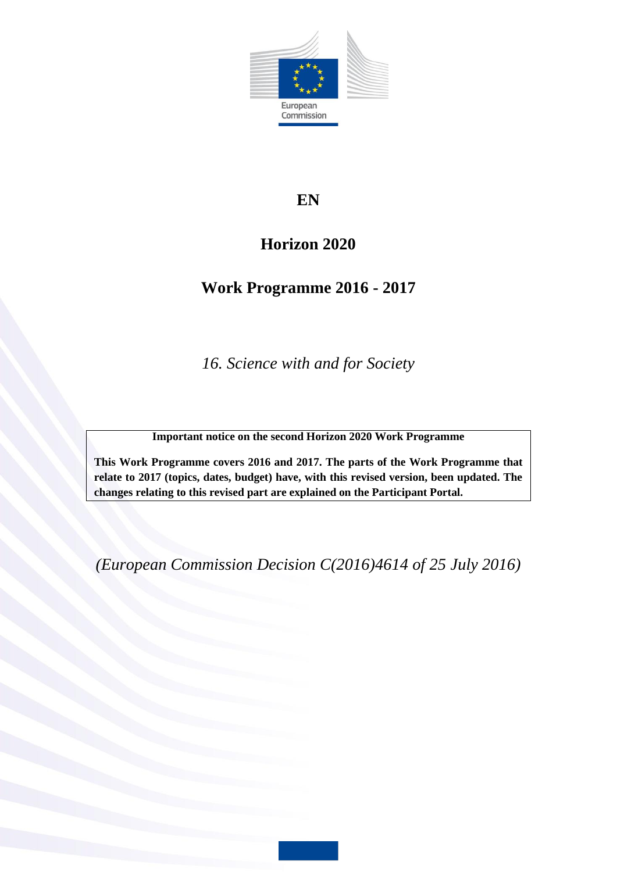

# **EN**

# **Horizon 2020**

# **Work Programme 2016 - 2017**

*16. Science with and for Society*

**Important notice on the second Horizon 2020 Work Programme**

**This Work Programme covers 2016 and 2017. The parts of the Work Programme that relate to 2017 (topics, dates, budget) have, with this revised version, been updated. The changes relating to this revised part are explained on the Participant Portal.**

*(European Commission Decision C(2016)4614 of 25 July 2016)*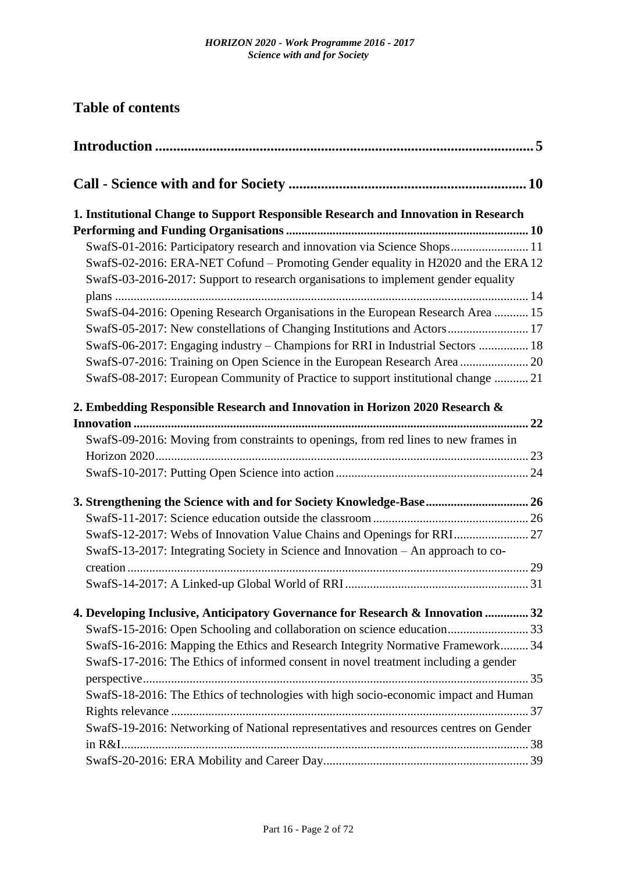# **Table of contents**

| 1. Institutional Change to Support Responsible Research and Innovation in Research                                                                                      |  |
|-------------------------------------------------------------------------------------------------------------------------------------------------------------------------|--|
|                                                                                                                                                                         |  |
| SwafS-01-2016: Participatory research and innovation via Science Shops 11                                                                                               |  |
| SwafS-02-2016: ERA-NET Cofund – Promoting Gender equality in H2020 and the ERA 12<br>SwafS-03-2016-2017: Support to research organisations to implement gender equality |  |
|                                                                                                                                                                         |  |
| SwafS-04-2016: Opening Research Organisations in the European Research Area  15                                                                                         |  |
| SwafS-05-2017: New constellations of Changing Institutions and Actors 17                                                                                                |  |
| SwafS-06-2017: Engaging industry – Champions for RRI in Industrial Sectors  18                                                                                          |  |
| SwafS-07-2016: Training on Open Science in the European Research Area  20                                                                                               |  |
| SwafS-08-2017: European Community of Practice to support institutional change  21                                                                                       |  |
| 2. Embedding Responsible Research and Innovation in Horizon 2020 Research &                                                                                             |  |
|                                                                                                                                                                         |  |
| SwafS-09-2016: Moving from constraints to openings, from red lines to new frames in                                                                                     |  |
|                                                                                                                                                                         |  |
|                                                                                                                                                                         |  |
| 3. Strengthening the Science with and for Society Knowledge-Base 26                                                                                                     |  |
|                                                                                                                                                                         |  |
| SwafS-12-2017: Webs of Innovation Value Chains and Openings for RRI 27                                                                                                  |  |
| SwafS-13-2017: Integrating Society in Science and Innovation - An approach to co-                                                                                       |  |
|                                                                                                                                                                         |  |
|                                                                                                                                                                         |  |
| 4. Developing Inclusive, Anticipatory Governance for Research & Innovation  32                                                                                          |  |
| SwafS-15-2016: Open Schooling and collaboration on science education 33                                                                                                 |  |
| SwafS-16-2016: Mapping the Ethics and Research Integrity Normative Framework 34                                                                                         |  |
| SwafS-17-2016: The Ethics of informed consent in novel treatment including a gender                                                                                     |  |
|                                                                                                                                                                         |  |
| SwafS-18-2016: The Ethics of technologies with high socio-economic impact and Human                                                                                     |  |
|                                                                                                                                                                         |  |
| SwafS-19-2016: Networking of National representatives and resources centres on Gender                                                                                   |  |
|                                                                                                                                                                         |  |
|                                                                                                                                                                         |  |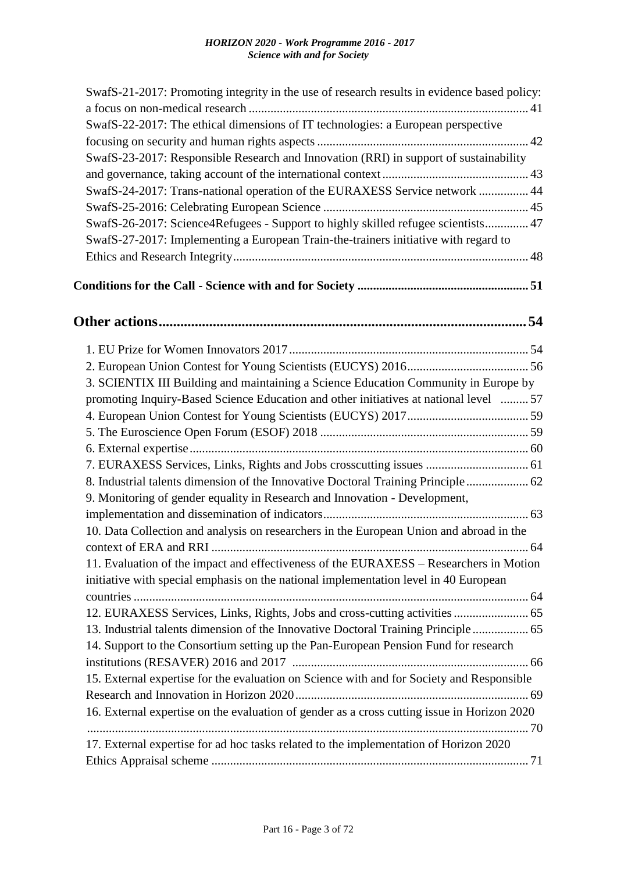| SwafS-21-2017: Promoting integrity in the use of research results in evidence based policy: |
|---------------------------------------------------------------------------------------------|
|                                                                                             |
| SwafS-22-2017: The ethical dimensions of IT technologies: a European perspective            |
|                                                                                             |
| SwafS-23-2017: Responsible Research and Innovation (RRI) in support of sustainability       |
|                                                                                             |
| SwafS-24-2017: Trans-national operation of the EURAXESS Service network  44                 |
|                                                                                             |
| SwafS-26-2017: Science4Refugees - Support to highly skilled refugee scientists 47           |
| SwafS-27-2017: Implementing a European Train-the-trainers initiative with regard to         |
|                                                                                             |
|                                                                                             |
|                                                                                             |
|                                                                                             |
|                                                                                             |
| 3. SCIENTIX III Building and maintaining a Science Education Community in Europe by         |
| promoting Inquiry-Based Science Education and other initiatives at national level  57       |
|                                                                                             |
|                                                                                             |
|                                                                                             |
|                                                                                             |
| 8. Industrial talents dimension of the Innovative Doctoral Training Principle 62            |
| 9. Monitoring of gender equality in Research and Innovation - Development,                  |
|                                                                                             |
| 10. Data Collection and analysis on researchers in the European Union and abroad in the     |
|                                                                                             |
| 11. Evaluation of the impact and effectiveness of the EURAXESS – Researchers in Motion      |
| initiative with special emphasis on the national implementation level in 40 European        |
|                                                                                             |
| 12. EURAXESS Services, Links, Rights, Jobs and cross-cutting activities  65                 |
| 13. Industrial talents dimension of the Innovative Doctoral Training Principle 65           |
| 14. Support to the Consortium setting up the Pan-European Pension Fund for research         |
|                                                                                             |
| 15. External expertise for the evaluation on Science with and for Society and Responsible   |
|                                                                                             |
| 16. External expertise on the evaluation of gender as a cross cutting issue in Horizon 2020 |
|                                                                                             |
| 17. External expertise for ad hoc tasks related to the implementation of Horizon 2020       |
|                                                                                             |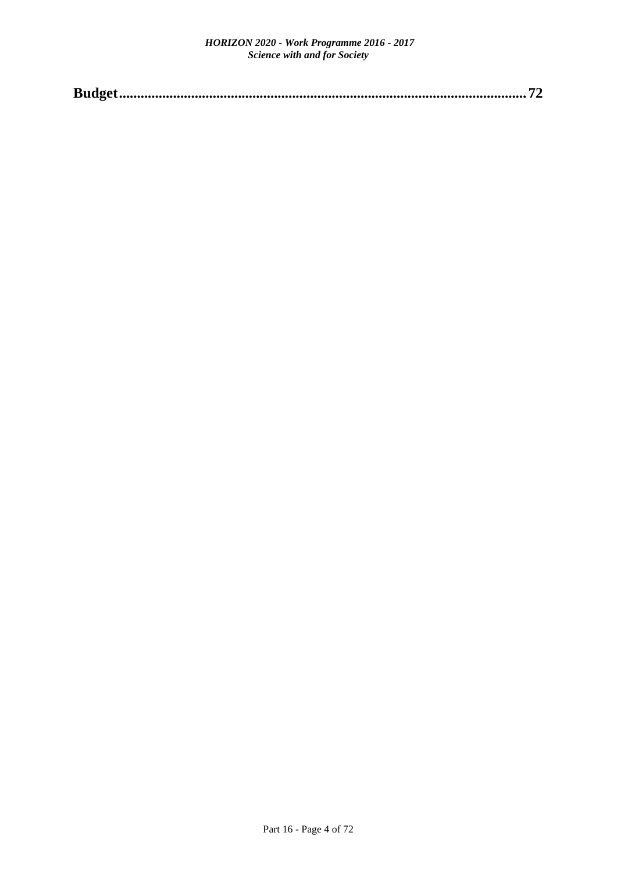|--|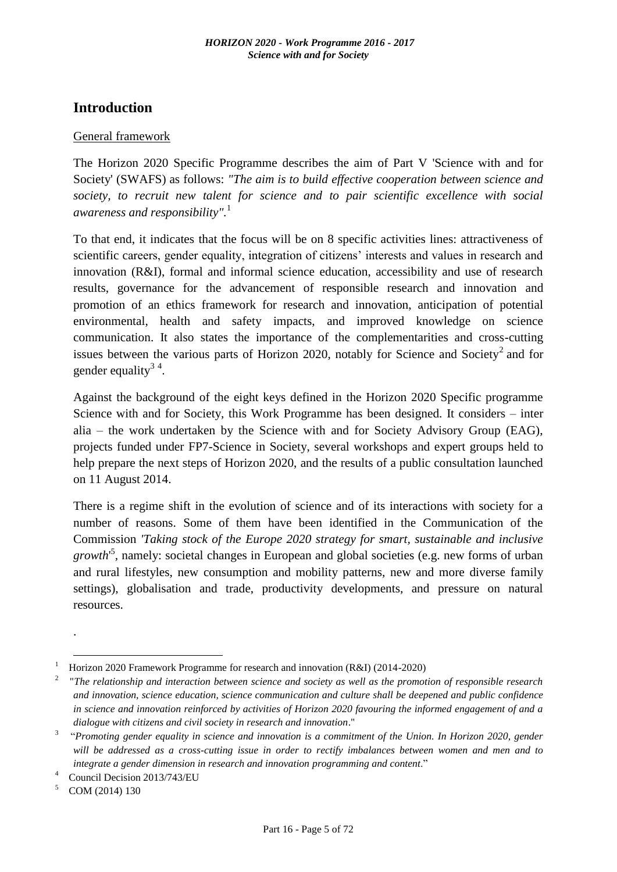# <span id="page-4-0"></span>**Introduction**

### General framework

The Horizon 2020 Specific Programme describes the aim of Part V 'Science with and for Society' (SWAFS) as follows: *"The aim is to build effective cooperation between science and society, to recruit new talent for science and to pair scientific excellence with social awareness and responsibility".*<sup>1</sup>

To that end, it indicates that the focus will be on 8 specific activities lines: attractiveness of scientific careers, gender equality, integration of citizens' interests and values in research and innovation (R&I), formal and informal science education, accessibility and use of research results, governance for the advancement of responsible research and innovation and promotion of an ethics framework for research and innovation, anticipation of potential environmental, health and safety impacts, and improved knowledge on science communication. It also states the importance of the complementarities and cross-cutting issues between the various parts of Horizon 2020, notably for Science and Society<sup>2</sup> and for gender equality<sup>34</sup>.

Against the background of the eight keys defined in the Horizon 2020 Specific programme Science with and for Society, this Work Programme has been designed. It considers – inter alia – the work undertaken by the Science with and for Society Advisory Group (EAG), projects funded under FP7-Science in Society, several workshops and expert groups held to help prepare the next steps of Horizon 2020, and the results of a public consultation launched on 11 August 2014.

There is a regime shift in the evolution of science and of its interactions with society for a number of reasons. Some of them have been identified in the Communication of the Commission *'Taking stock of the Europe 2020 strategy for smart, sustainable and inclusive growth*' 5 , namely: societal changes in European and global societies (e.g. new forms of urban and rural lifestyles, new consumption and mobility patterns, new and more diverse family settings), globalisation and trade, productivity developments, and pressure on natural resources.

.

1

<sup>&</sup>lt;sup>1</sup> Horizon 2020 Framework Programme for research and innovation (R&I) (2014-2020)

<sup>2</sup>"*The relationship and interaction between science and society as well as the promotion of responsible research and innovation, science education, science communication and culture shall be deepened and public confidence in science and innovation reinforced by activities of Horizon 2020 favouring the informed engagement of and a dialogue with citizens and civil society in research and innovation*."

<sup>3</sup>"*Promoting gender equality in science and innovation is a commitment of the Union. In Horizon 2020, gender will be addressed as a cross-cutting issue in order to rectify imbalances between women and men and to integrate a gender dimension in research and innovation programming and content*."

<sup>&</sup>lt;sup>4</sup> Council Decision 2013/743/EU

 $5$  COM (2014) 130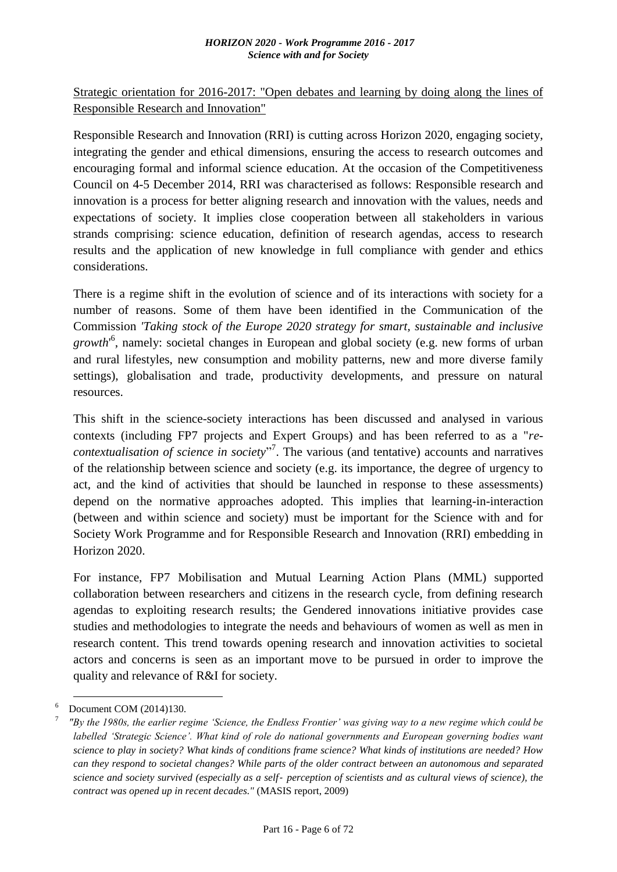Strategic orientation for 2016-2017: "Open debates and learning by doing along the lines of Responsible Research and Innovation"

Responsible Research and Innovation (RRI) is cutting across Horizon 2020, engaging society, integrating the gender and ethical dimensions, ensuring the access to research outcomes and encouraging formal and informal science education. At the occasion of the Competitiveness Council on 4-5 December 2014, RRI was characterised as follows: Responsible research and innovation is a process for better aligning research and innovation with the values, needs and expectations of society. It implies close cooperation between all stakeholders in various strands comprising: science education, definition of research agendas, access to research results and the application of new knowledge in full compliance with gender and ethics considerations.

There is a regime shift in the evolution of science and of its interactions with society for a number of reasons. Some of them have been identified in the Communication of the Commission *'Taking stock of the Europe 2020 strategy for smart, sustainable and inclusive growth*' 6 , namely: societal changes in European and global society (e.g. new forms of urban and rural lifestyles, new consumption and mobility patterns, new and more diverse family settings), globalisation and trade, productivity developments, and pressure on natural resources.

This shift in the science-society interactions has been discussed and analysed in various contexts (including FP7 projects and Expert Groups) and has been referred to as a "*recontextualisation of science in society*" 7 . The various (and tentative) accounts and narratives of the relationship between science and society (e.g. its importance, the degree of urgency to act, and the kind of activities that should be launched in response to these assessments) depend on the normative approaches adopted. This implies that learning-in-interaction (between and within science and society) must be important for the Science with and for Society Work Programme and for Responsible Research and Innovation (RRI) embedding in Horizon 2020.

For instance, FP7 Mobilisation and Mutual Learning Action Plans (MML) supported collaboration between researchers and citizens in the research cycle, from defining research agendas to exploiting research results; the Gendered innovations initiative provides case studies and methodologies to integrate the needs and behaviours of women as well as men in research content. This trend towards opening research and innovation activities to societal actors and concerns is seen as an important move to be pursued in order to improve the quality and relevance of R&I for society.

1

 $6$  Document COM (2014)130.

<sup>7</sup>*"By the 1980s, the earlier regime 'Science, the Endless Frontier' was giving way to a new regime which could be labelled 'Strategic Science'. What kind of role do national governments and European governing bodies want science to play in society? What kinds of conditions frame science? What kinds of institutions are needed? How can they respond to societal changes? While parts of the older contract between an autonomous and separated science and society survived (especially as a self*‐ *perception of scientists and as cultural views of science), the contract was opened up in recent decades."* (MASIS report, 2009)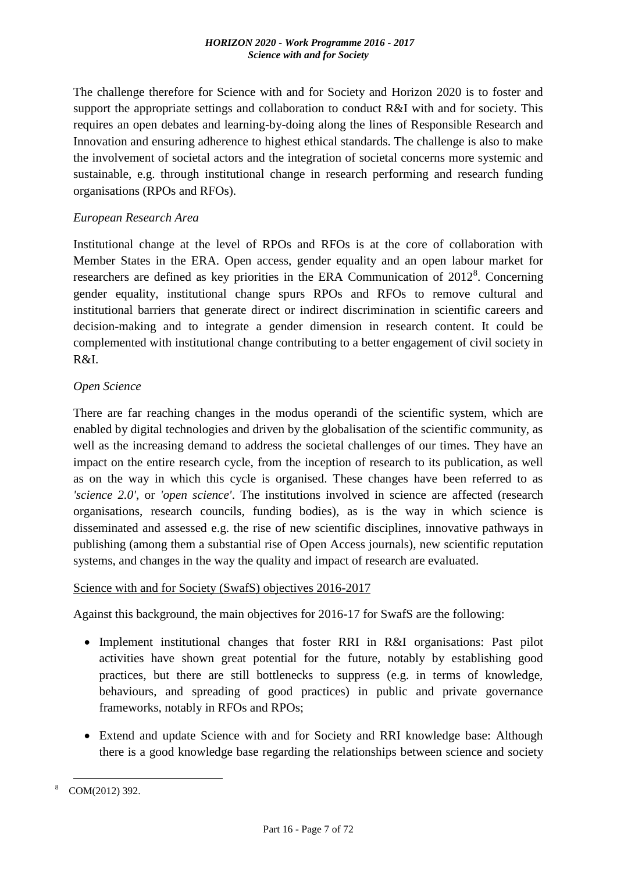The challenge therefore for Science with and for Society and Horizon 2020 is to foster and support the appropriate settings and collaboration to conduct R&I with and for society. This requires an open debates and learning-by-doing along the lines of Responsible Research and Innovation and ensuring adherence to highest ethical standards. The challenge is also to make the involvement of societal actors and the integration of societal concerns more systemic and sustainable, e.g. through institutional change in research performing and research funding organisations (RPOs and RFOs).

### *European Research Area*

Institutional change at the level of RPOs and RFOs is at the core of collaboration with Member States in the ERA. Open access, gender equality and an open labour market for researchers are defined as key priorities in the ERA Communication of  $2012<sup>8</sup>$ . Concerning gender equality, institutional change spurs RPOs and RFOs to remove cultural and institutional barriers that generate direct or indirect discrimination in scientific careers and decision-making and to integrate a gender dimension in research content. It could be complemented with institutional change contributing to a better engagement of civil society in R&I.

### *Open Science*

There are far reaching changes in the modus operandi of the scientific system, which are enabled by digital technologies and driven by the globalisation of the scientific community, as well as the increasing demand to address the societal challenges of our times. They have an impact on the entire research cycle, from the inception of research to its publication, as well as on the way in which this cycle is organised. These changes have been referred to as *'science 2.0'*, or *'open science'*. The institutions involved in science are affected (research organisations, research councils, funding bodies), as is the way in which science is disseminated and assessed e.g. the rise of new scientific disciplines, innovative pathways in publishing (among them a substantial rise of Open Access journals), new scientific reputation systems, and changes in the way the quality and impact of research are evaluated.

### Science with and for Society (SwafS) objectives 2016-2017

Against this background, the main objectives for 2016-17 for SwafS are the following:

- Implement institutional changes that foster RRI in R&I organisations: Past pilot activities have shown great potential for the future, notably by establishing good practices, but there are still bottlenecks to suppress (e.g. in terms of knowledge, behaviours, and spreading of good practices) in public and private governance frameworks, notably in RFOs and RPOs;
- Extend and update Science with and for Society and RRI knowledge base: Although there is a good knowledge base regarding the relationships between science and society

<sup>&</sup>lt;u>.</u> COM(2012) 392.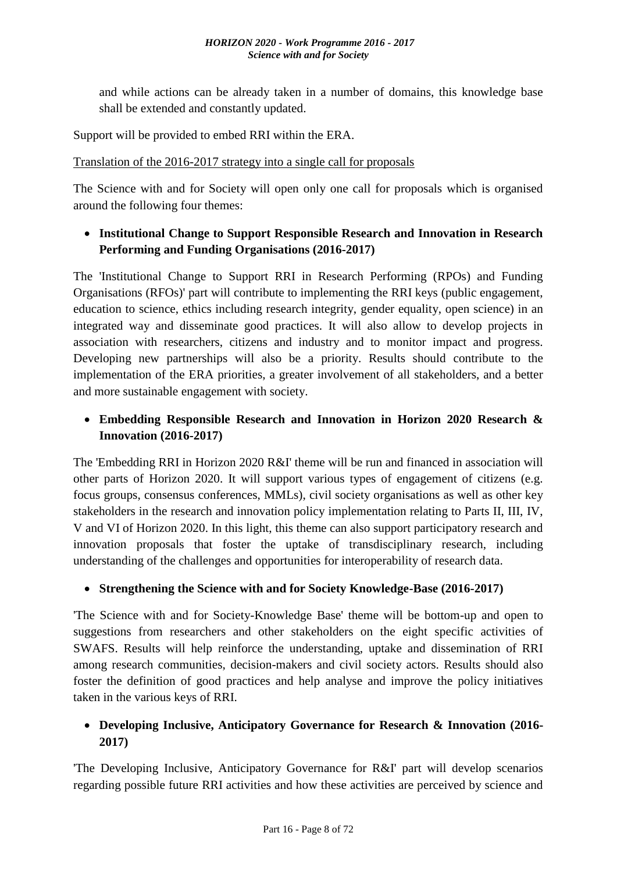and while actions can be already taken in a number of domains, this knowledge base shall be extended and constantly updated.

Support will be provided to embed RRI within the ERA.

Translation of the 2016-2017 strategy into a single call for proposals

The Science with and for Society will open only one call for proposals which is organised around the following four themes:

# **Institutional Change to Support Responsible Research and Innovation in Research Performing and Funding Organisations (2016-2017)**

The 'Institutional Change to Support RRI in Research Performing (RPOs) and Funding Organisations (RFOs)' part will contribute to implementing the RRI keys (public engagement, education to science, ethics including research integrity, gender equality, open science) in an integrated way and disseminate good practices. It will also allow to develop projects in association with researchers, citizens and industry and to monitor impact and progress. Developing new partnerships will also be a priority. Results should contribute to the implementation of the ERA priorities, a greater involvement of all stakeholders, and a better and more sustainable engagement with society.

# **Embedding Responsible Research and Innovation in Horizon 2020 Research & Innovation (2016-2017)**

The 'Embedding RRI in Horizon 2020 R&I' theme will be run and financed in association will other parts of Horizon 2020. It will support various types of engagement of citizens (e.g. focus groups, consensus conferences, MMLs), civil society organisations as well as other key stakeholders in the research and innovation policy implementation relating to Parts II, III, IV, V and VI of Horizon 2020. In this light, this theme can also support participatory research and innovation proposals that foster the uptake of transdisciplinary research, including understanding of the challenges and opportunities for interoperability of research data.

# **Strengthening the Science with and for Society Knowledge-Base (2016-2017)**

'The Science with and for Society-Knowledge Base' theme will be bottom-up and open to suggestions from researchers and other stakeholders on the eight specific activities of SWAFS. Results will help reinforce the understanding, uptake and dissemination of RRI among research communities, decision-makers and civil society actors. Results should also foster the definition of good practices and help analyse and improve the policy initiatives taken in the various keys of RRI.

# **Developing Inclusive, Anticipatory Governance for Research & Innovation (2016- 2017)**

'The Developing Inclusive, Anticipatory Governance for R&I' part will develop scenarios regarding possible future RRI activities and how these activities are perceived by science and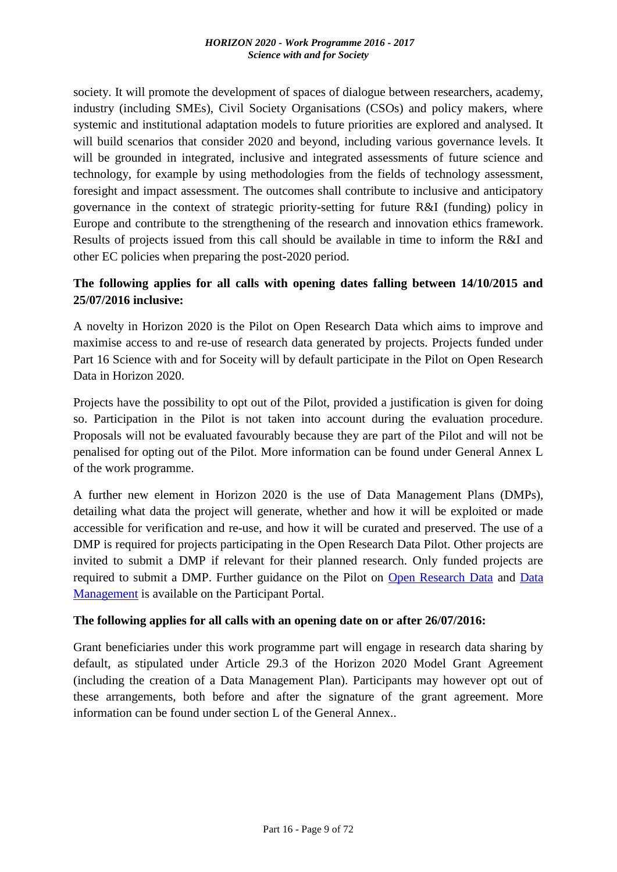society. It will promote the development of spaces of dialogue between researchers, academy, industry (including SMEs), Civil Society Organisations (CSOs) and policy makers, where systemic and institutional adaptation models to future priorities are explored and analysed. It will build scenarios that consider 2020 and beyond, including various governance levels. It will be grounded in integrated, inclusive and integrated assessments of future science and technology, for example by using methodologies from the fields of technology assessment, foresight and impact assessment. The outcomes shall contribute to inclusive and anticipatory governance in the context of strategic priority-setting for future R&I (funding) policy in Europe and contribute to the strengthening of the research and innovation ethics framework. Results of projects issued from this call should be available in time to inform the R&I and other EC policies when preparing the post-2020 period.

# **The following applies for all calls with opening dates falling between 14/10/2015 and 25/07/2016 inclusive:**

A novelty in Horizon 2020 is the Pilot on Open Research Data which aims to improve and maximise access to and re-use of research data generated by projects. Projects funded under Part 16 Science with and for Soceity will by default participate in the Pilot on Open Research Data in Horizon 2020.

Projects have the possibility to opt out of the Pilot, provided a justification is given for doing so. Participation in the Pilot is not taken into account during the evaluation procedure. Proposals will not be evaluated favourably because they are part of the Pilot and will not be penalised for opting out of the Pilot. More information can be found under General Annex L of the work programme.

A further new element in Horizon 2020 is the use of Data Management Plans (DMPs), detailing what data the project will generate, whether and how it will be exploited or made accessible for verification and re-use, and how it will be curated and preserved. The use of a DMP is required for projects participating in the Open Research Data Pilot. Other projects are invited to submit a DMP if relevant for their planned research. Only funded projects are required to submit a DMP. Further guidance on the Pilot on [Open Research Data](http://ec.europa.eu/research/participants/data/ref/h2020/grants_manual/hi/oa_pilot/h2020-hi-oa-pilot-guide_en.pdf) and [Data](http://ec.europa.eu/research/participants/data/ref/h2020/grants_manual/hi/oa_pilot/h2020-hi-oa-data-mgt_en.pdf)  [Management](http://ec.europa.eu/research/participants/data/ref/h2020/grants_manual/hi/oa_pilot/h2020-hi-oa-data-mgt_en.pdf) is available on the Participant Portal.

### **The following applies for all calls with an opening date on or after 26/07/2016:**

Grant beneficiaries under this work programme part will engage in research data sharing by default, as stipulated under Article 29.3 of the Horizon 2020 Model Grant Agreement (including the creation of a Data Management Plan). Participants may however opt out of these arrangements, both before and after the signature of the grant agreement. More information can be found under section L of the General Annex..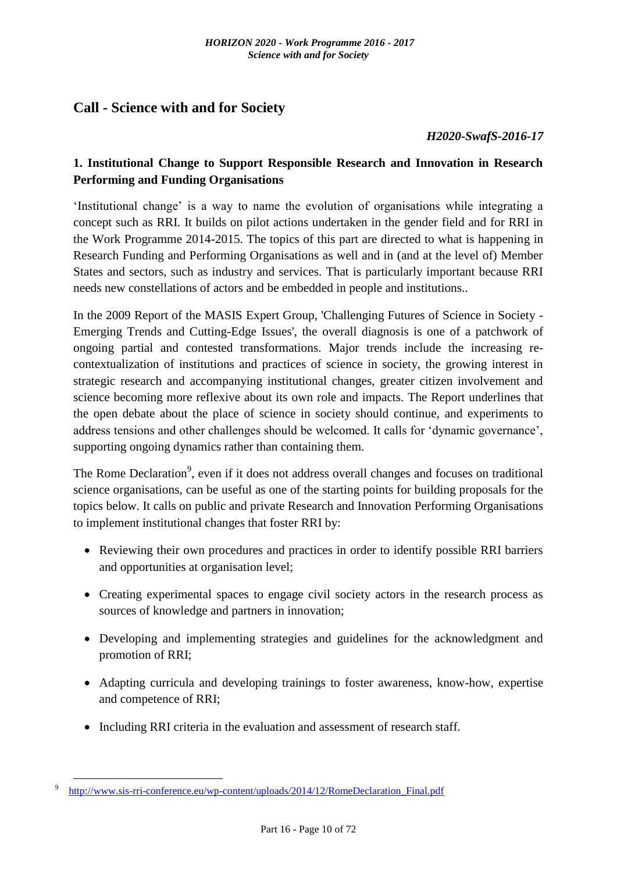# <span id="page-9-0"></span>**Call - Science with and for Society**

### *H2020-SwafS-2016-17*

# <span id="page-9-1"></span>**1. Institutional Change to Support Responsible Research and Innovation in Research Performing and Funding Organisations**

'Institutional change' is a way to name the evolution of organisations while integrating a concept such as RRI. It builds on pilot actions undertaken in the gender field and for RRI in the Work Programme 2014-2015. The topics of this part are directed to what is happening in Research Funding and Performing Organisations as well and in (and at the level of) Member States and sectors, such as industry and services. That is particularly important because RRI needs new constellations of actors and be embedded in people and institutions..

In the 2009 Report of the MASIS Expert Group, 'Challenging Futures of Science in Society - Emerging Trends and Cutting-Edge Issues', the overall diagnosis is one of a patchwork of ongoing partial and contested transformations. Major trends include the increasing recontextualization of institutions and practices of science in society, the growing interest in strategic research and accompanying institutional changes, greater citizen involvement and science becoming more reflexive about its own role and impacts. The Report underlines that the open debate about the place of science in society should continue, and experiments to address tensions and other challenges should be welcomed. It calls for 'dynamic governance', supporting ongoing dynamics rather than containing them.

The Rome Declaration<sup>9</sup>, even if it does not address overall changes and focuses on traditional science organisations, can be useful as one of the starting points for building proposals for the topics below. It calls on public and private Research and Innovation Performing Organisations to implement institutional changes that foster RRI by:

- Reviewing their own procedures and practices in order to identify possible RRI barriers and opportunities at organisation level;
- Creating experimental spaces to engage civil society actors in the research process as sources of knowledge and partners in innovation;
- Developing and implementing strategies and guidelines for the acknowledgment and promotion of RRI;
- Adapting curricula and developing trainings to foster awareness, know-how, expertise and competence of RRI;
- Including RRI criteria in the evaluation and assessment of research staff.

<sup>&</sup>lt;u>.</u> http://www.sis-rri-conference.eu/wp-content/uploads/2014/12/RomeDeclaration Final.pdf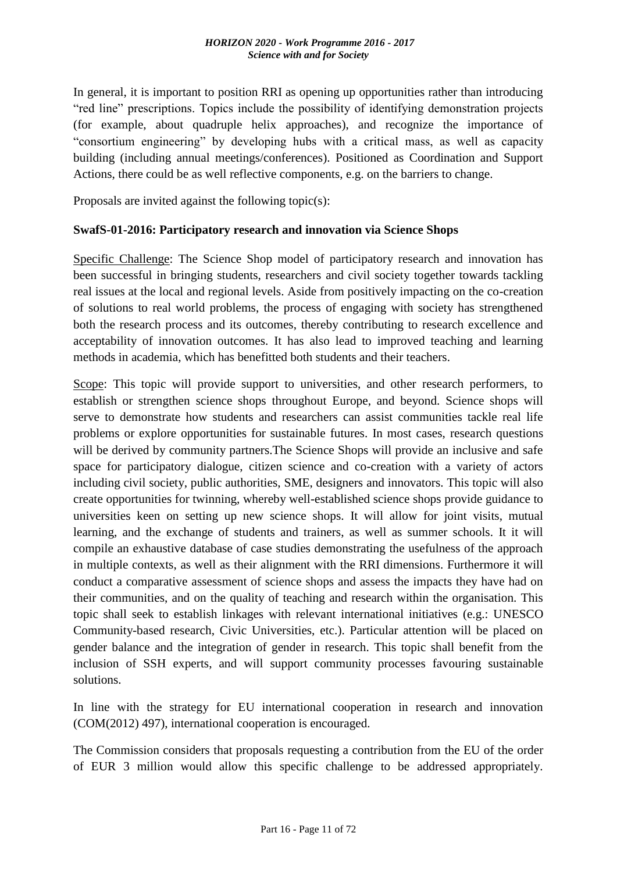In general, it is important to position RRI as opening up opportunities rather than introducing "red line" prescriptions. Topics include the possibility of identifying demonstration projects (for example, about quadruple helix approaches), and recognize the importance of "consortium engineering" by developing hubs with a critical mass, as well as capacity building (including annual meetings/conferences). Positioned as Coordination and Support Actions, there could be as well reflective components, e.g. on the barriers to change.

Proposals are invited against the following topic(s):

### <span id="page-10-0"></span>**SwafS-01-2016: Participatory research and innovation via Science Shops**

Specific Challenge: The Science Shop model of participatory research and innovation has been successful in bringing students, researchers and civil society together towards tackling real issues at the local and regional levels. Aside from positively impacting on the co-creation of solutions to real world problems, the process of engaging with society has strengthened both the research process and its outcomes, thereby contributing to research excellence and acceptability of innovation outcomes. It has also lead to improved teaching and learning methods in academia, which has benefitted both students and their teachers.

Scope: This topic will provide support to universities, and other research performers, to establish or strengthen science shops throughout Europe, and beyond. Science shops will serve to demonstrate how students and researchers can assist communities tackle real life problems or explore opportunities for sustainable futures. In most cases, research questions will be derived by community partners. The Science Shops will provide an inclusive and safe space for participatory dialogue, citizen science and co-creation with a variety of actors including civil society, public authorities, SME, designers and innovators. This topic will also create opportunities for twinning, whereby well-established science shops provide guidance to universities keen on setting up new science shops. It will allow for joint visits, mutual learning, and the exchange of students and trainers, as well as summer schools. It it will compile an exhaustive database of case studies demonstrating the usefulness of the approach in multiple contexts, as well as their alignment with the RRI dimensions. Furthermore it will conduct a comparative assessment of science shops and assess the impacts they have had on their communities, and on the quality of teaching and research within the organisation. This topic shall seek to establish linkages with relevant international initiatives (e.g.: UNESCO Community-based research, Civic Universities, etc.). Particular attention will be placed on gender balance and the integration of gender in research. This topic shall benefit from the inclusion of SSH experts, and will support community processes favouring sustainable solutions.

In line with the strategy for EU international cooperation in research and innovation (COM(2012) 497), international cooperation is encouraged.

The Commission considers that proposals requesting a contribution from the EU of the order of EUR 3 million would allow this specific challenge to be addressed appropriately.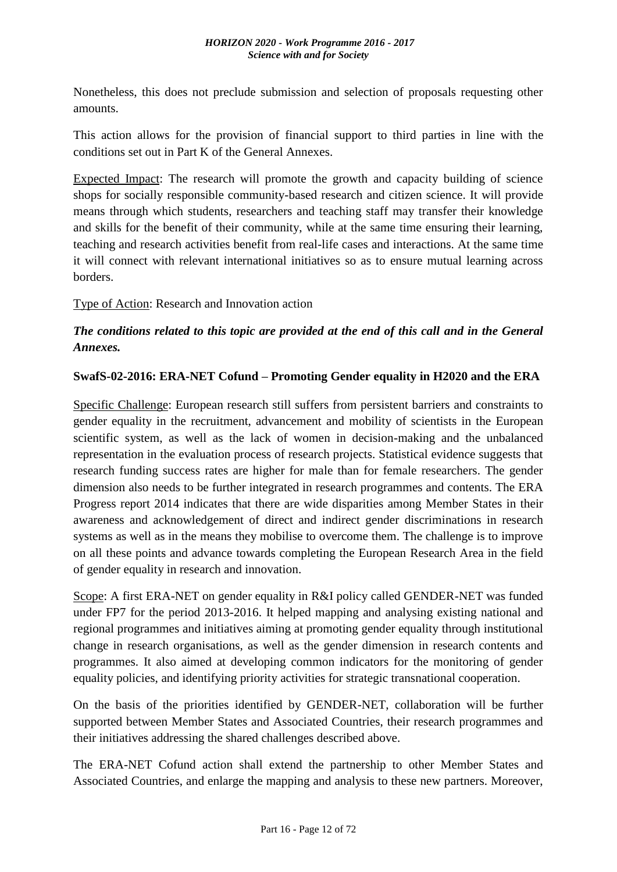Nonetheless, this does not preclude submission and selection of proposals requesting other amounts.

This action allows for the provision of financial support to third parties in line with the conditions set out in Part K of the General Annexes.

Expected Impact: The research will promote the growth and capacity building of science shops for socially responsible community-based research and citizen science. It will provide means through which students, researchers and teaching staff may transfer their knowledge and skills for the benefit of their community, while at the same time ensuring their learning, teaching and research activities benefit from real-life cases and interactions. At the same time it will connect with relevant international initiatives so as to ensure mutual learning across borders.

Type of Action: Research and Innovation action

### *The conditions related to this topic are provided at the end of this call and in the General Annexes.*

### <span id="page-11-0"></span>**SwafS-02-2016: ERA-NET Cofund – Promoting Gender equality in H2020 and the ERA**

Specific Challenge: European research still suffers from persistent barriers and constraints to gender equality in the recruitment, advancement and mobility of scientists in the European scientific system, as well as the lack of women in decision-making and the unbalanced representation in the evaluation process of research projects. Statistical evidence suggests that research funding success rates are higher for male than for female researchers. The gender dimension also needs to be further integrated in research programmes and contents. The ERA Progress report 2014 indicates that there are wide disparities among Member States in their awareness and acknowledgement of direct and indirect gender discriminations in research systems as well as in the means they mobilise to overcome them. The challenge is to improve on all these points and advance towards completing the European Research Area in the field of gender equality in research and innovation.

Scope: A first ERA-NET on gender equality in R&I policy called GENDER-NET was funded under FP7 for the period 2013-2016. It helped mapping and analysing existing national and regional programmes and initiatives aiming at promoting gender equality through institutional change in research organisations, as well as the gender dimension in research contents and programmes. It also aimed at developing common indicators for the monitoring of gender equality policies, and identifying priority activities for strategic transnational cooperation.

On the basis of the priorities identified by GENDER-NET, collaboration will be further supported between Member States and Associated Countries, their research programmes and their initiatives addressing the shared challenges described above.

The ERA-NET Cofund action shall extend the partnership to other Member States and Associated Countries, and enlarge the mapping and analysis to these new partners. Moreover,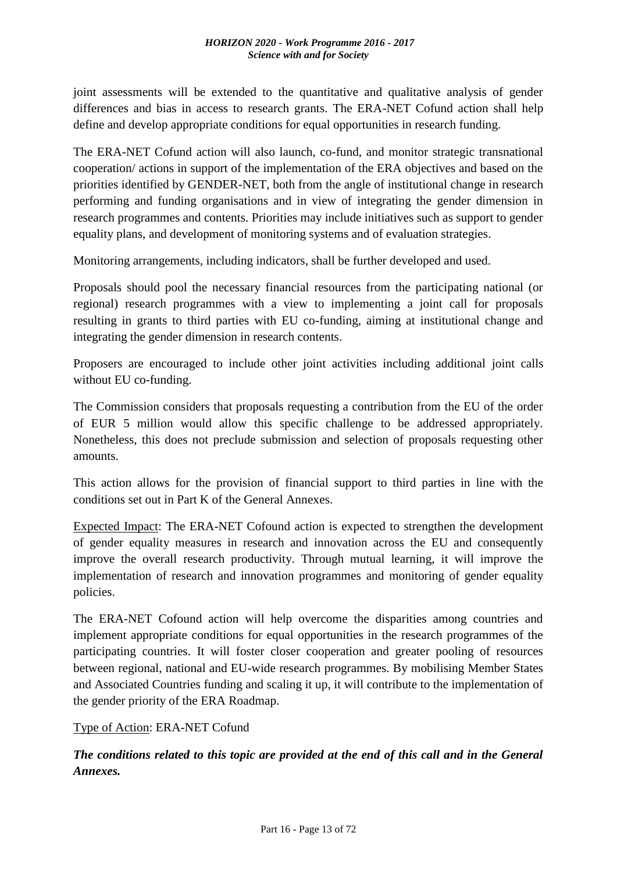joint assessments will be extended to the quantitative and qualitative analysis of gender differences and bias in access to research grants. The ERA-NET Cofund action shall help define and develop appropriate conditions for equal opportunities in research funding.

The ERA-NET Cofund action will also launch, co-fund, and monitor strategic transnational cooperation/ actions in support of the implementation of the ERA objectives and based on the priorities identified by GENDER-NET, both from the angle of institutional change in research performing and funding organisations and in view of integrating the gender dimension in research programmes and contents. Priorities may include initiatives such as support to gender equality plans, and development of monitoring systems and of evaluation strategies.

Monitoring arrangements, including indicators, shall be further developed and used.

Proposals should pool the necessary financial resources from the participating national (or regional) research programmes with a view to implementing a joint call for proposals resulting in grants to third parties with EU co-funding, aiming at institutional change and integrating the gender dimension in research contents.

Proposers are encouraged to include other joint activities including additional joint calls without EU co-funding.

The Commission considers that proposals requesting a contribution from the EU of the order of EUR 5 million would allow this specific challenge to be addressed appropriately. Nonetheless, this does not preclude submission and selection of proposals requesting other amounts.

This action allows for the provision of financial support to third parties in line with the conditions set out in Part K of the General Annexes.

Expected Impact: The ERA-NET Cofound action is expected to strengthen the development of gender equality measures in research and innovation across the EU and consequently improve the overall research productivity. Through mutual learning, it will improve the implementation of research and innovation programmes and monitoring of gender equality policies.

The ERA-NET Cofound action will help overcome the disparities among countries and implement appropriate conditions for equal opportunities in the research programmes of the participating countries. It will foster closer cooperation and greater pooling of resources between regional, national and EU-wide research programmes. By mobilising Member States and Associated Countries funding and scaling it up, it will contribute to the implementation of the gender priority of the ERA Roadmap.

### Type of Action: ERA-NET Cofund

*The conditions related to this topic are provided at the end of this call and in the General Annexes.*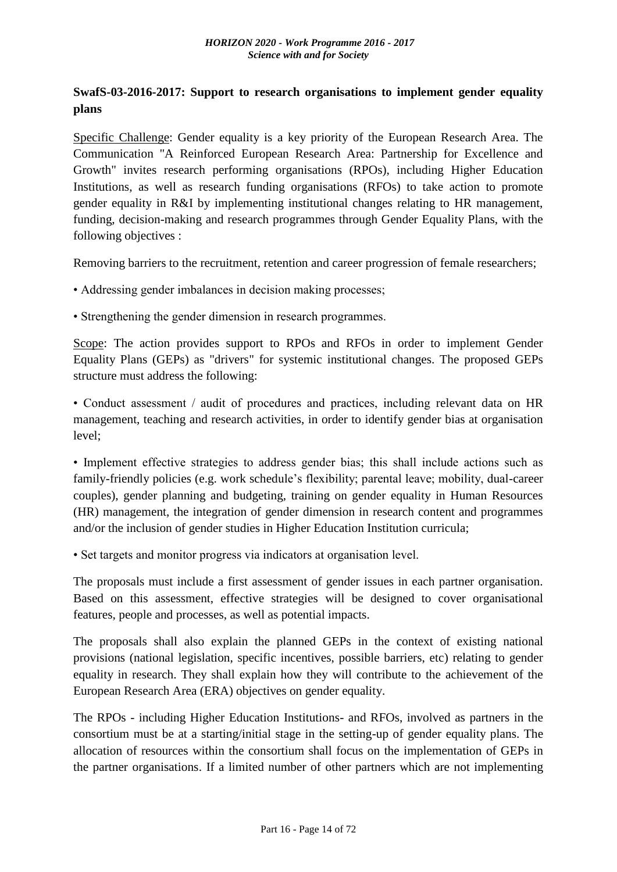# <span id="page-13-0"></span>**SwafS-03-2016-2017: Support to research organisations to implement gender equality plans**

Specific Challenge: Gender equality is a key priority of the European Research Area. The Communication "A Reinforced European Research Area: Partnership for Excellence and Growth" invites research performing organisations (RPOs), including Higher Education Institutions, as well as research funding organisations (RFOs) to take action to promote gender equality in R&I by implementing institutional changes relating to HR management, funding, decision-making and research programmes through Gender Equality Plans, with the following objectives :

Removing barriers to the recruitment, retention and career progression of female researchers;

- Addressing gender imbalances in decision making processes;
- Strengthening the gender dimension in research programmes.

Scope: The action provides support to RPOs and RFOs in order to implement Gender Equality Plans (GEPs) as "drivers" for systemic institutional changes. The proposed GEPs structure must address the following:

• Conduct assessment / audit of procedures and practices, including relevant data on HR management, teaching and research activities, in order to identify gender bias at organisation level;

• Implement effective strategies to address gender bias; this shall include actions such as family-friendly policies (e.g. work schedule's flexibility; parental leave; mobility, dual-career couples), gender planning and budgeting, training on gender equality in Human Resources (HR) management, the integration of gender dimension in research content and programmes and/or the inclusion of gender studies in Higher Education Institution curricula;

• Set targets and monitor progress via indicators at organisation level.

The proposals must include a first assessment of gender issues in each partner organisation. Based on this assessment, effective strategies will be designed to cover organisational features, people and processes, as well as potential impacts.

The proposals shall also explain the planned GEPs in the context of existing national provisions (national legislation, specific incentives, possible barriers, etc) relating to gender equality in research. They shall explain how they will contribute to the achievement of the European Research Area (ERA) objectives on gender equality.

The RPOs - including Higher Education Institutions- and RFOs, involved as partners in the consortium must be at a starting/initial stage in the setting-up of gender equality plans. The allocation of resources within the consortium shall focus on the implementation of GEPs in the partner organisations. If a limited number of other partners which are not implementing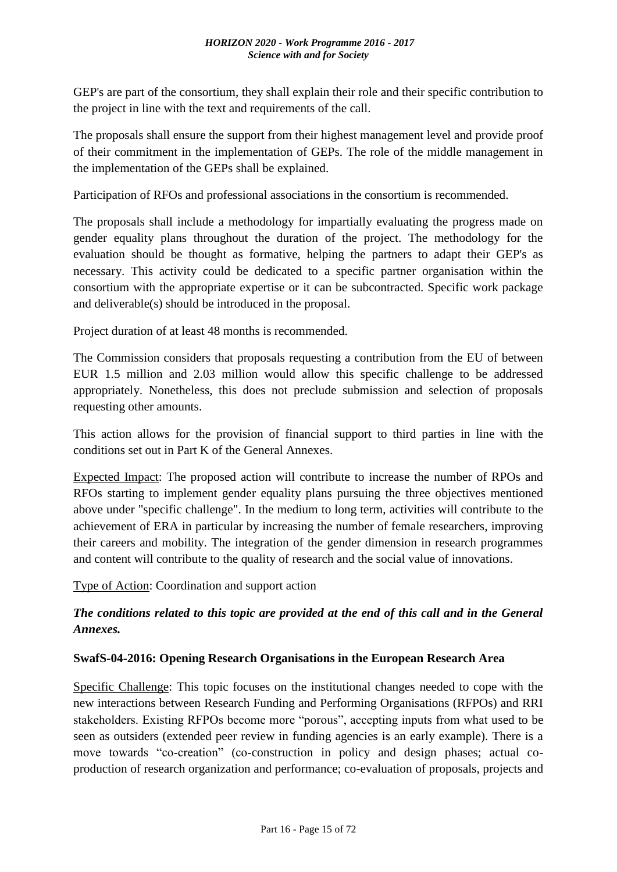GEP's are part of the consortium, they shall explain their role and their specific contribution to the project in line with the text and requirements of the call.

The proposals shall ensure the support from their highest management level and provide proof of their commitment in the implementation of GEPs. The role of the middle management in the implementation of the GEPs shall be explained.

Participation of RFOs and professional associations in the consortium is recommended.

The proposals shall include a methodology for impartially evaluating the progress made on gender equality plans throughout the duration of the project. The methodology for the evaluation should be thought as formative, helping the partners to adapt their GEP's as necessary. This activity could be dedicated to a specific partner organisation within the consortium with the appropriate expertise or it can be subcontracted. Specific work package and deliverable(s) should be introduced in the proposal.

Project duration of at least 48 months is recommended.

The Commission considers that proposals requesting a contribution from the EU of between EUR 1.5 million and 2.03 million would allow this specific challenge to be addressed appropriately. Nonetheless, this does not preclude submission and selection of proposals requesting other amounts.

This action allows for the provision of financial support to third parties in line with the conditions set out in Part K of the General Annexes.

Expected Impact: The proposed action will contribute to increase the number of RPOs and RFOs starting to implement gender equality plans pursuing the three objectives mentioned above under "specific challenge". In the medium to long term, activities will contribute to the achievement of ERA in particular by increasing the number of female researchers, improving their careers and mobility. The integration of the gender dimension in research programmes and content will contribute to the quality of research and the social value of innovations.

Type of Action: Coordination and support action

# *The conditions related to this topic are provided at the end of this call and in the General Annexes.*

### <span id="page-14-0"></span>**SwafS-04-2016: Opening Research Organisations in the European Research Area**

Specific Challenge: This topic focuses on the institutional changes needed to cope with the new interactions between Research Funding and Performing Organisations (RFPOs) and RRI stakeholders. Existing RFPOs become more "porous", accepting inputs from what used to be seen as outsiders (extended peer review in funding agencies is an early example). There is a move towards "co-creation" (co-construction in policy and design phases; actual coproduction of research organization and performance; co-evaluation of proposals, projects and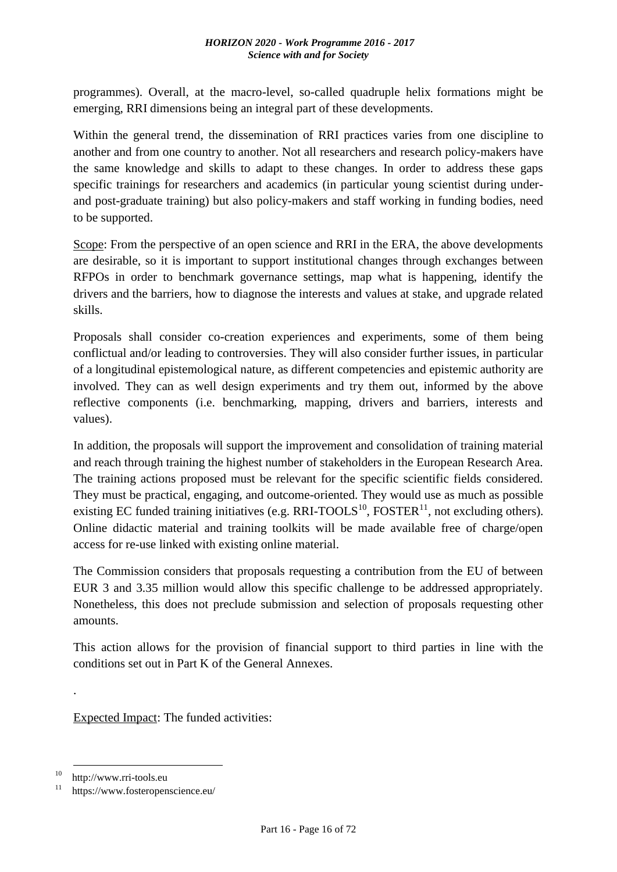programmes). Overall, at the macro-level, so-called quadruple helix formations might be emerging, RRI dimensions being an integral part of these developments.

Within the general trend, the dissemination of RRI practices varies from one discipline to another and from one country to another. Not all researchers and research policy-makers have the same knowledge and skills to adapt to these changes. In order to address these gaps specific trainings for researchers and academics (in particular young scientist during underand post-graduate training) but also policy-makers and staff working in funding bodies, need to be supported.

Scope: From the perspective of an open science and RRI in the ERA, the above developments are desirable, so it is important to support institutional changes through exchanges between RFPOs in order to benchmark governance settings, map what is happening, identify the drivers and the barriers, how to diagnose the interests and values at stake, and upgrade related skills.

Proposals shall consider co-creation experiences and experiments, some of them being conflictual and/or leading to controversies. They will also consider further issues, in particular of a longitudinal epistemological nature, as different competencies and epistemic authority are involved. They can as well design experiments and try them out, informed by the above reflective components (i.e. benchmarking, mapping, drivers and barriers, interests and values).

In addition, the proposals will support the improvement and consolidation of training material and reach through training the highest number of stakeholders in the European Research Area. The training actions proposed must be relevant for the specific scientific fields considered. They must be practical, engaging, and outcome-oriented. They would use as much as possible existing EC funded training initiatives (e.g. RRI-TOOLS<sup>10</sup>, FOSTER<sup>11</sup>, not excluding others). Online didactic material and training toolkits will be made available free of charge/open access for re-use linked with existing online material.

The Commission considers that proposals requesting a contribution from the EU of between EUR 3 and 3.35 million would allow this specific challenge to be addressed appropriately. Nonetheless, this does not preclude submission and selection of proposals requesting other amounts.

This action allows for the provision of financial support to third parties in line with the conditions set out in Part K of the General Annexes.

Expected Impact: The funded activities:

.

1

 $10$  http://www.rri-tools.eu

https://www.fosteropenscience.eu/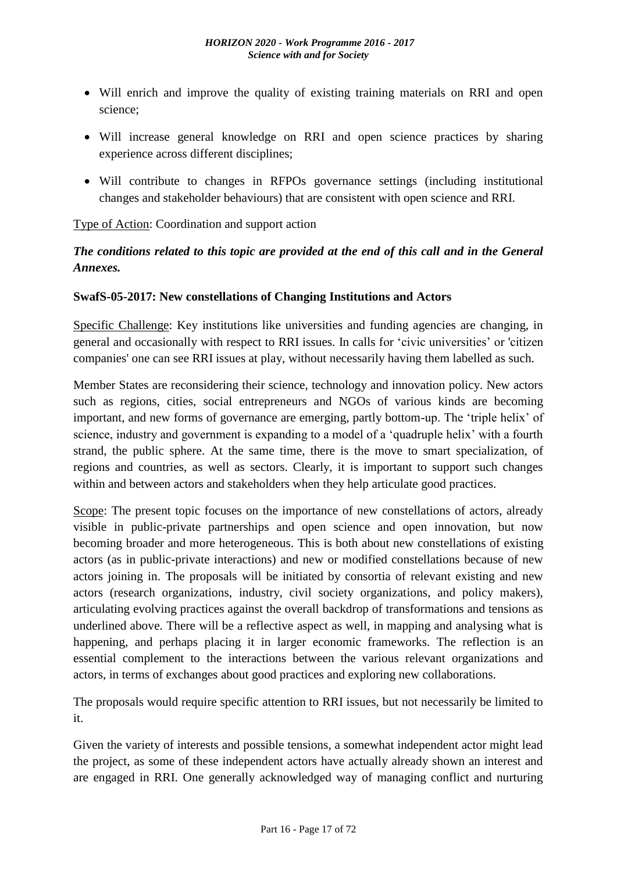- Will enrich and improve the quality of existing training materials on RRI and open science;
- Will increase general knowledge on RRI and open science practices by sharing experience across different disciplines;
- Will contribute to changes in RFPOs governance settings (including institutional changes and stakeholder behaviours) that are consistent with open science and RRI.

Type of Action: Coordination and support action

# *The conditions related to this topic are provided at the end of this call and in the General Annexes.*

### <span id="page-16-0"></span>**SwafS-05-2017: New constellations of Changing Institutions and Actors**

Specific Challenge: Key institutions like universities and funding agencies are changing, in general and occasionally with respect to RRI issues. In calls for 'civic universities' or 'citizen companies' one can see RRI issues at play, without necessarily having them labelled as such.

Member States are reconsidering their science, technology and innovation policy. New actors such as regions, cities, social entrepreneurs and NGOs of various kinds are becoming important, and new forms of governance are emerging, partly bottom-up. The 'triple helix' of science, industry and government is expanding to a model of a 'quadruple helix' with a fourth strand, the public sphere. At the same time, there is the move to smart specialization, of regions and countries, as well as sectors. Clearly, it is important to support such changes within and between actors and stakeholders when they help articulate good practices.

Scope: The present topic focuses on the importance of new constellations of actors, already visible in public-private partnerships and open science and open innovation, but now becoming broader and more heterogeneous. This is both about new constellations of existing actors (as in public-private interactions) and new or modified constellations because of new actors joining in. The proposals will be initiated by consortia of relevant existing and new actors (research organizations, industry, civil society organizations, and policy makers), articulating evolving practices against the overall backdrop of transformations and tensions as underlined above. There will be a reflective aspect as well, in mapping and analysing what is happening, and perhaps placing it in larger economic frameworks. The reflection is an essential complement to the interactions between the various relevant organizations and actors, in terms of exchanges about good practices and exploring new collaborations.

The proposals would require specific attention to RRI issues, but not necessarily be limited to it.

Given the variety of interests and possible tensions, a somewhat independent actor might lead the project, as some of these independent actors have actually already shown an interest and are engaged in RRI. One generally acknowledged way of managing conflict and nurturing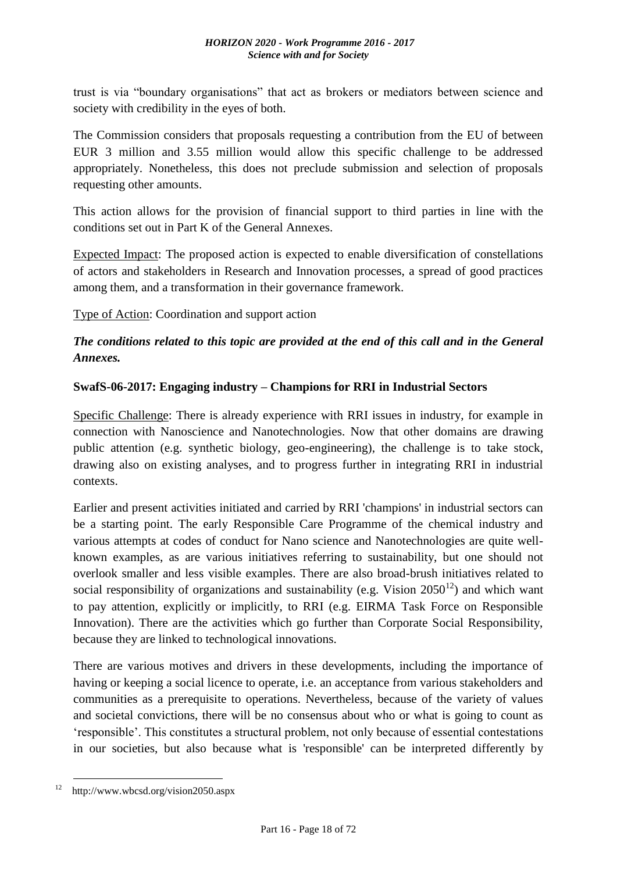trust is via "boundary organisations" that act as brokers or mediators between science and society with credibility in the eyes of both.

The Commission considers that proposals requesting a contribution from the EU of between EUR 3 million and 3.55 million would allow this specific challenge to be addressed appropriately. Nonetheless, this does not preclude submission and selection of proposals requesting other amounts.

This action allows for the provision of financial support to third parties in line with the conditions set out in Part K of the General Annexes.

Expected Impact: The proposed action is expected to enable diversification of constellations of actors and stakeholders in Research and Innovation processes, a spread of good practices among them, and a transformation in their governance framework.

Type of Action: Coordination and support action

# *The conditions related to this topic are provided at the end of this call and in the General Annexes.*

### <span id="page-17-0"></span>**SwafS-06-2017: Engaging industry – Champions for RRI in Industrial Sectors**

Specific Challenge: There is already experience with RRI issues in industry, for example in connection with Nanoscience and Nanotechnologies. Now that other domains are drawing public attention (e.g. synthetic biology, geo-engineering), the challenge is to take stock, drawing also on existing analyses, and to progress further in integrating RRI in industrial contexts.

Earlier and present activities initiated and carried by RRI 'champions' in industrial sectors can be a starting point. The early Responsible Care Programme of the chemical industry and various attempts at codes of conduct for Nano science and Nanotechnologies are quite wellknown examples, as are various initiatives referring to sustainability, but one should not overlook smaller and less visible examples. There are also broad-brush initiatives related to social responsibility of organizations and sustainability (e.g. Vision  $2050^{12}$ ) and which want to pay attention, explicitly or implicitly, to RRI (e.g. EIRMA Task Force on Responsible Innovation). There are the activities which go further than Corporate Social Responsibility, because they are linked to technological innovations.

There are various motives and drivers in these developments, including the importance of having or keeping a social licence to operate, i.e. an acceptance from various stakeholders and communities as a prerequisite to operations. Nevertheless, because of the variety of values and societal convictions, there will be no consensus about who or what is going to count as 'responsible'. This constitutes a structural problem, not only because of essential contestations in our societies, but also because what is 'responsible' can be interpreted differently by

<sup>&</sup>lt;u>.</u>  $12$  http://www.wbcsd.org/vision2050.aspx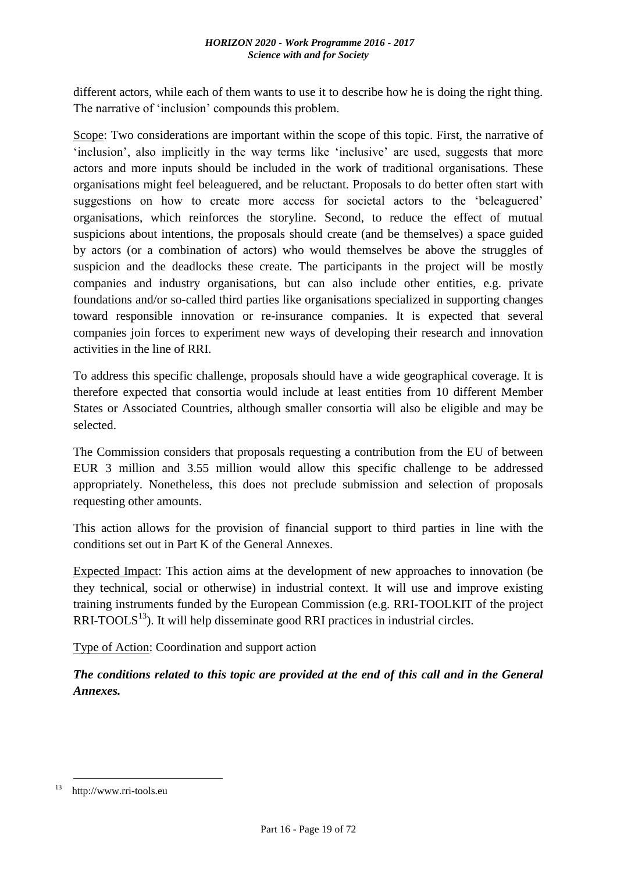different actors, while each of them wants to use it to describe how he is doing the right thing. The narrative of 'inclusion' compounds this problem.

Scope: Two considerations are important within the scope of this topic. First, the narrative of 'inclusion', also implicitly in the way terms like 'inclusive' are used, suggests that more actors and more inputs should be included in the work of traditional organisations. These organisations might feel beleaguered, and be reluctant. Proposals to do better often start with suggestions on how to create more access for societal actors to the 'beleaguered' organisations, which reinforces the storyline. Second, to reduce the effect of mutual suspicions about intentions, the proposals should create (and be themselves) a space guided by actors (or a combination of actors) who would themselves be above the struggles of suspicion and the deadlocks these create. The participants in the project will be mostly companies and industry organisations, but can also include other entities, e.g. private foundations and/or so-called third parties like organisations specialized in supporting changes toward responsible innovation or re-insurance companies. It is expected that several companies join forces to experiment new ways of developing their research and innovation activities in the line of RRI.

To address this specific challenge, proposals should have a wide geographical coverage. It is therefore expected that consortia would include at least entities from 10 different Member States or Associated Countries, although smaller consortia will also be eligible and may be selected.

The Commission considers that proposals requesting a contribution from the EU of between EUR 3 million and 3.55 million would allow this specific challenge to be addressed appropriately. Nonetheless, this does not preclude submission and selection of proposals requesting other amounts.

This action allows for the provision of financial support to third parties in line with the conditions set out in Part K of the General Annexes.

Expected Impact: This action aims at the development of new approaches to innovation (be they technical, social or otherwise) in industrial context. It will use and improve existing training instruments funded by the European Commission (e.g. RRI-TOOLKIT of the project  $RRI-TOOLS<sup>13</sup>$ . It will help disseminate good RRI practices in industrial circles.

Type of Action: Coordination and support action

*The conditions related to this topic are provided at the end of this call and in the General Annexes.*

<u>.</u>

http://www.rri-tools.eu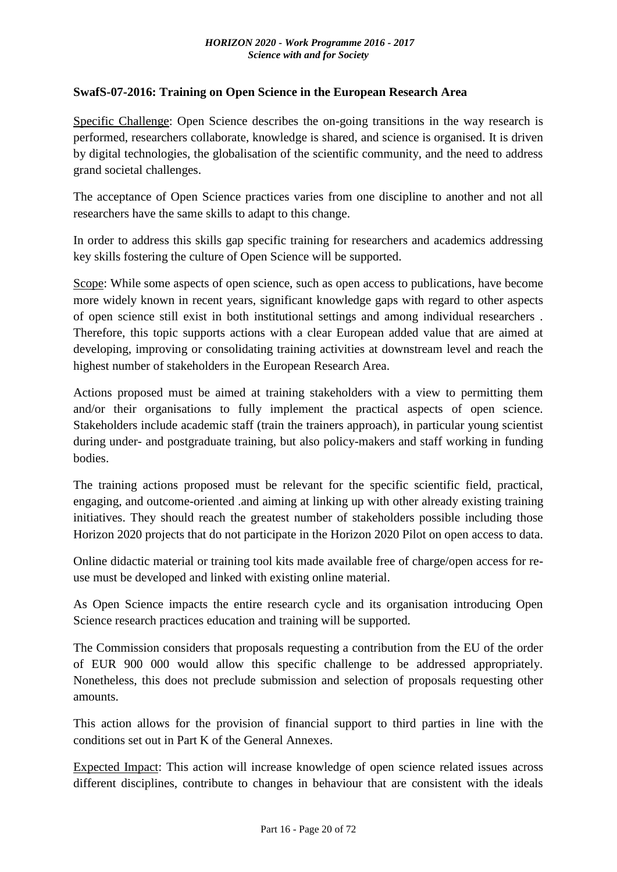### <span id="page-19-0"></span>**SwafS-07-2016: Training on Open Science in the European Research Area**

Specific Challenge: Open Science describes the on-going transitions in the way research is performed, researchers collaborate, knowledge is shared, and science is organised. It is driven by digital technologies, the globalisation of the scientific community, and the need to address grand societal challenges.

The acceptance of Open Science practices varies from one discipline to another and not all researchers have the same skills to adapt to this change.

In order to address this skills gap specific training for researchers and academics addressing key skills fostering the culture of Open Science will be supported.

Scope: While some aspects of open science, such as open access to publications, have become more widely known in recent years, significant knowledge gaps with regard to other aspects of open science still exist in both institutional settings and among individual researchers . Therefore, this topic supports actions with a clear European added value that are aimed at developing, improving or consolidating training activities at downstream level and reach the highest number of stakeholders in the European Research Area.

Actions proposed must be aimed at training stakeholders with a view to permitting them and/or their organisations to fully implement the practical aspects of open science. Stakeholders include academic staff (train the trainers approach), in particular young scientist during under- and postgraduate training, but also policy-makers and staff working in funding bodies.

The training actions proposed must be relevant for the specific scientific field, practical, engaging, and outcome-oriented .and aiming at linking up with other already existing training initiatives. They should reach the greatest number of stakeholders possible including those Horizon 2020 projects that do not participate in the Horizon 2020 Pilot on open access to data.

Online didactic material or training tool kits made available free of charge/open access for reuse must be developed and linked with existing online material.

As Open Science impacts the entire research cycle and its organisation introducing Open Science research practices education and training will be supported.

The Commission considers that proposals requesting a contribution from the EU of the order of EUR 900 000 would allow this specific challenge to be addressed appropriately. Nonetheless, this does not preclude submission and selection of proposals requesting other amounts.

This action allows for the provision of financial support to third parties in line with the conditions set out in Part K of the General Annexes.

Expected Impact: This action will increase knowledge of open science related issues across different disciplines, contribute to changes in behaviour that are consistent with the ideals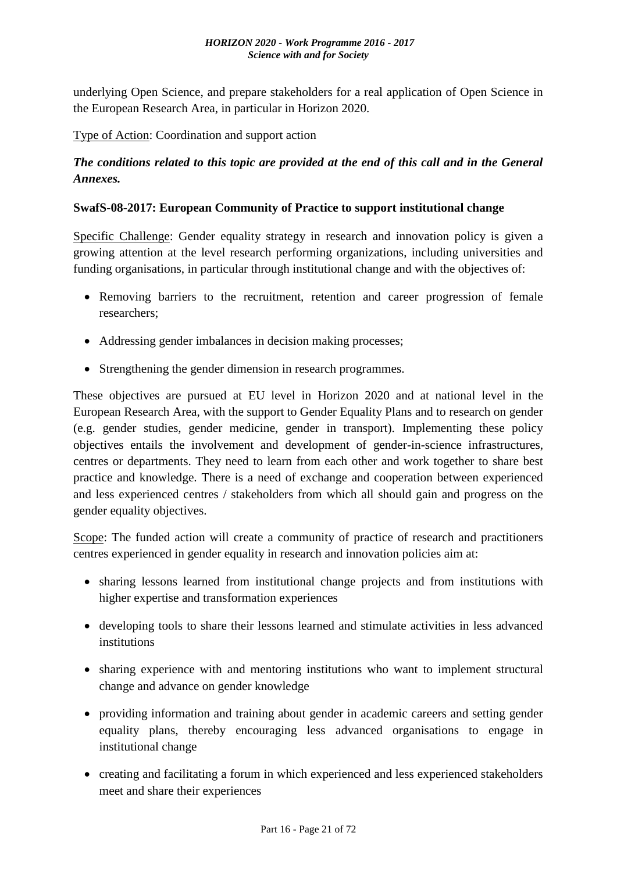underlying Open Science, and prepare stakeholders for a real application of Open Science in the European Research Area, in particular in Horizon 2020.

Type of Action: Coordination and support action

### *The conditions related to this topic are provided at the end of this call and in the General Annexes.*

### <span id="page-20-0"></span>**SwafS-08-2017: European Community of Practice to support institutional change**

Specific Challenge: Gender equality strategy in research and innovation policy is given a growing attention at the level research performing organizations, including universities and funding organisations, in particular through institutional change and with the objectives of:

- Removing barriers to the recruitment, retention and career progression of female researchers;
- Addressing gender imbalances in decision making processes;
- Strengthening the gender dimension in research programmes.

These objectives are pursued at EU level in Horizon 2020 and at national level in the European Research Area, with the support to Gender Equality Plans and to research on gender (e.g. gender studies, gender medicine, gender in transport). Implementing these policy objectives entails the involvement and development of gender-in-science infrastructures, centres or departments. They need to learn from each other and work together to share best practice and knowledge. There is a need of exchange and cooperation between experienced and less experienced centres / stakeholders from which all should gain and progress on the gender equality objectives.

Scope: The funded action will create a community of practice of research and practitioners centres experienced in gender equality in research and innovation policies aim at:

- sharing lessons learned from institutional change projects and from institutions with higher expertise and transformation experiences
- developing tools to share their lessons learned and stimulate activities in less advanced institutions
- sharing experience with and mentoring institutions who want to implement structural change and advance on gender knowledge
- providing information and training about gender in academic careers and setting gender equality plans, thereby encouraging less advanced organisations to engage in institutional change
- creating and facilitating a forum in which experienced and less experienced stakeholders meet and share their experiences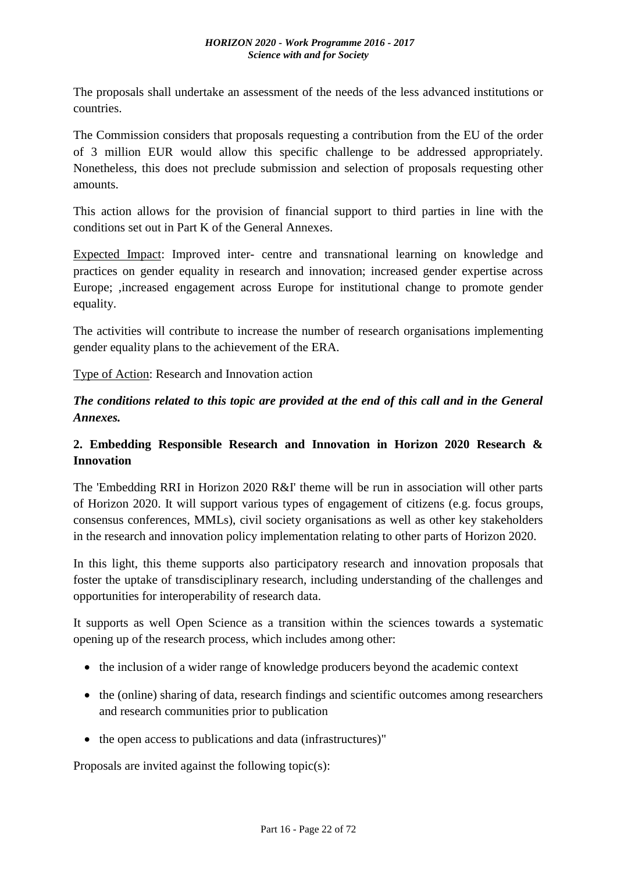The proposals shall undertake an assessment of the needs of the less advanced institutions or countries.

The Commission considers that proposals requesting a contribution from the EU of the order of 3 million EUR would allow this specific challenge to be addressed appropriately. Nonetheless, this does not preclude submission and selection of proposals requesting other amounts.

This action allows for the provision of financial support to third parties in line with the conditions set out in Part K of the General Annexes.

Expected Impact: Improved inter- centre and transnational learning on knowledge and practices on gender equality in research and innovation; increased gender expertise across Europe; ,increased engagement across Europe for institutional change to promote gender equality.

The activities will contribute to increase the number of research organisations implementing gender equality plans to the achievement of the ERA.

Type of Action: Research and Innovation action

*The conditions related to this topic are provided at the end of this call and in the General Annexes.*

# <span id="page-21-0"></span>**2. Embedding Responsible Research and Innovation in Horizon 2020 Research & Innovation**

The 'Embedding RRI in Horizon 2020 R&I' theme will be run in association will other parts of Horizon 2020. It will support various types of engagement of citizens (e.g. focus groups, consensus conferences, MMLs), civil society organisations as well as other key stakeholders in the research and innovation policy implementation relating to other parts of Horizon 2020.

In this light, this theme supports also participatory research and innovation proposals that foster the uptake of transdisciplinary research, including understanding of the challenges and opportunities for interoperability of research data.

It supports as well Open Science as a transition within the sciences towards a systematic opening up of the research process, which includes among other:

- the inclusion of a wider range of knowledge producers beyond the academic context
- the (online) sharing of data, research findings and scientific outcomes among researchers and research communities prior to publication
- the open access to publications and data (infrastructures)"

Proposals are invited against the following topic(s):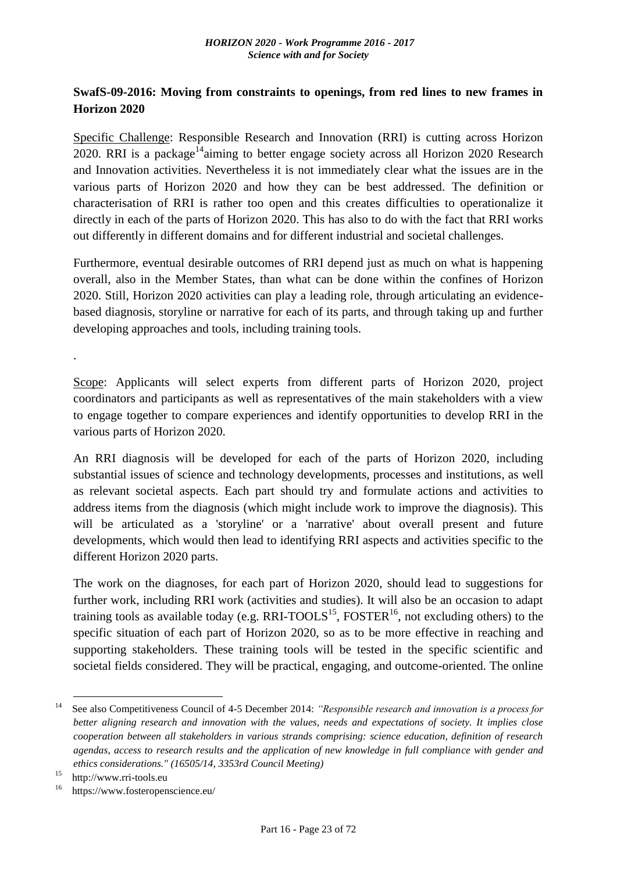### <span id="page-22-0"></span>**SwafS-09-2016: Moving from constraints to openings, from red lines to new frames in Horizon 2020**

Specific Challenge: Responsible Research and Innovation (RRI) is cutting across Horizon 2020. RRI is a package<sup>14</sup>aiming to better engage society across all Horizon 2020 Research and Innovation activities. Nevertheless it is not immediately clear what the issues are in the various parts of Horizon 2020 and how they can be best addressed. The definition or characterisation of RRI is rather too open and this creates difficulties to operationalize it directly in each of the parts of Horizon 2020. This has also to do with the fact that RRI works out differently in different domains and for different industrial and societal challenges.

Furthermore, eventual desirable outcomes of RRI depend just as much on what is happening overall, also in the Member States, than what can be done within the confines of Horizon 2020. Still, Horizon 2020 activities can play a leading role, through articulating an evidencebased diagnosis, storyline or narrative for each of its parts, and through taking up and further developing approaches and tools, including training tools.

Scope: Applicants will select experts from different parts of Horizon 2020, project coordinators and participants as well as representatives of the main stakeholders with a view to engage together to compare experiences and identify opportunities to develop RRI in the various parts of Horizon 2020.

An RRI diagnosis will be developed for each of the parts of Horizon 2020, including substantial issues of science and technology developments, processes and institutions, as well as relevant societal aspects. Each part should try and formulate actions and activities to address items from the diagnosis (which might include work to improve the diagnosis). This will be articulated as a 'storyline' or a 'narrative' about overall present and future developments, which would then lead to identifying RRI aspects and activities specific to the different Horizon 2020 parts.

The work on the diagnoses, for each part of Horizon 2020, should lead to suggestions for further work, including RRI work (activities and studies). It will also be an occasion to adapt training tools as available today (e.g. RRI-TOOLS<sup>15</sup>, FOSTER<sup>16</sup>, not excluding others) to the specific situation of each part of Horizon 2020, so as to be more effective in reaching and supporting stakeholders. These training tools will be tested in the specific scientific and societal fields considered. They will be practical, engaging, and outcome-oriented. The online

1

.

<sup>&</sup>lt;sup>14</sup> See also Competitiveness Council of 4-5 December 2014: *"Responsible research and innovation is a process for better aligning research and innovation with the values, needs and expectations of society. It implies close cooperation between all stakeholders in various strands comprising: science education, definition of research agendas, access to research results and the application of new knowledge in full compliance with gender and ethics considerations." (16505/14, 3353rd Council Meeting)*

<sup>&</sup>lt;sup>15</sup> http://www.rri-tools.eu

https://www.fosteropenscience.eu/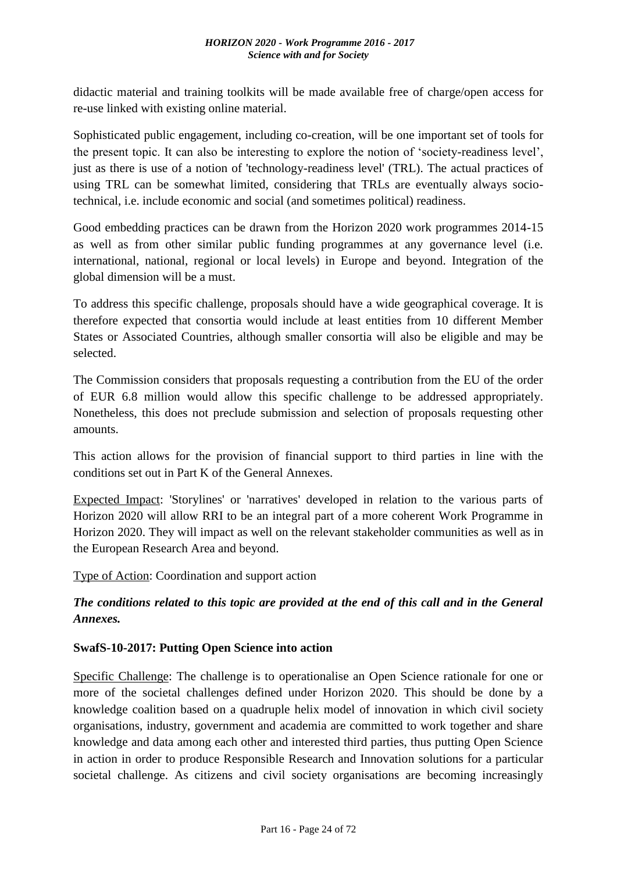didactic material and training toolkits will be made available free of charge/open access for re-use linked with existing online material.

Sophisticated public engagement, including co-creation, will be one important set of tools for the present topic. It can also be interesting to explore the notion of 'society-readiness level', just as there is use of a notion of 'technology-readiness level' (TRL). The actual practices of using TRL can be somewhat limited, considering that TRLs are eventually always sociotechnical, i.e. include economic and social (and sometimes political) readiness.

Good embedding practices can be drawn from the Horizon 2020 work programmes 2014-15 as well as from other similar public funding programmes at any governance level (i.e. international, national, regional or local levels) in Europe and beyond. Integration of the global dimension will be a must.

To address this specific challenge, proposals should have a wide geographical coverage. It is therefore expected that consortia would include at least entities from 10 different Member States or Associated Countries, although smaller consortia will also be eligible and may be selected.

The Commission considers that proposals requesting a contribution from the EU of the order of EUR 6.8 million would allow this specific challenge to be addressed appropriately. Nonetheless, this does not preclude submission and selection of proposals requesting other amounts.

This action allows for the provision of financial support to third parties in line with the conditions set out in Part K of the General Annexes.

Expected Impact: 'Storylines' or 'narratives' developed in relation to the various parts of Horizon 2020 will allow RRI to be an integral part of a more coherent Work Programme in Horizon 2020. They will impact as well on the relevant stakeholder communities as well as in the European Research Area and beyond.

Type of Action: Coordination and support action

# *The conditions related to this topic are provided at the end of this call and in the General Annexes.*

### <span id="page-23-0"></span>**SwafS-10-2017: Putting Open Science into action**

Specific Challenge: The challenge is to operationalise an Open Science rationale for one or more of the societal challenges defined under Horizon 2020. This should be done by a knowledge coalition based on a quadruple helix model of innovation in which civil society organisations, industry, government and academia are committed to work together and share knowledge and data among each other and interested third parties, thus putting Open Science in action in order to produce Responsible Research and Innovation solutions for a particular societal challenge. As citizens and civil society organisations are becoming increasingly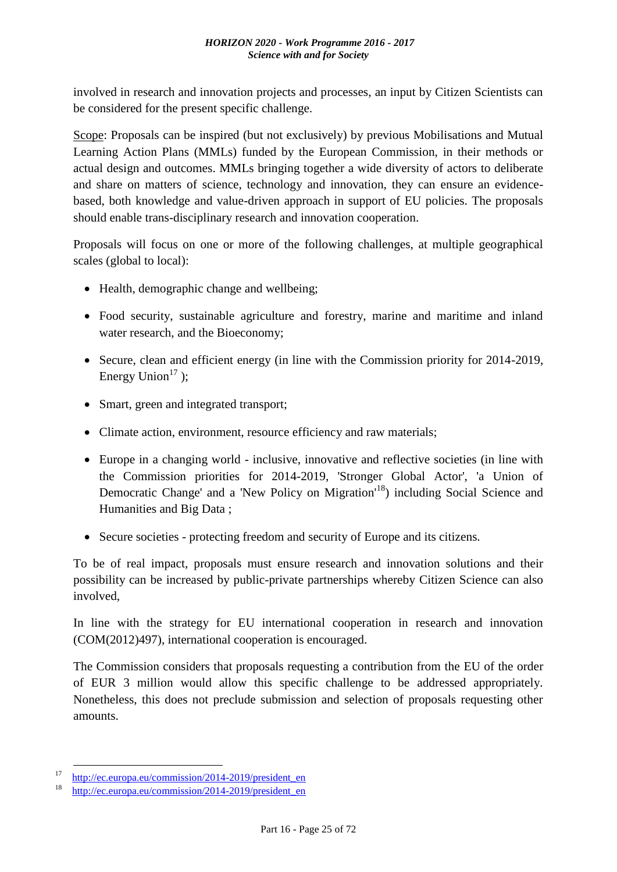involved in research and innovation projects and processes, an input by Citizen Scientists can be considered for the present specific challenge.

Scope: Proposals can be inspired (but not exclusively) by previous Mobilisations and Mutual Learning Action Plans (MMLs) funded by the European Commission, in their methods or actual design and outcomes. MMLs bringing together a wide diversity of actors to deliberate and share on matters of science, technology and innovation, they can ensure an evidencebased, both knowledge and value-driven approach in support of EU policies. The proposals should enable trans-disciplinary research and innovation cooperation.

Proposals will focus on one or more of the following challenges, at multiple geographical scales (global to local):

- Health, demographic change and wellbeing;
- Food security, sustainable agriculture and forestry, marine and maritime and inland water research, and the Bioeconomy;
- Secure, clean and efficient energy (in line with the Commission priority for 2014-2019, Energy Union<sup>17</sup>):
- Smart, green and integrated transport;
- Climate action, environment, resource efficiency and raw materials;
- Europe in a changing world inclusive, innovative and reflective societies (in line with the Commission priorities for 2014-2019, 'Stronger Global Actor', 'a Union of Democratic Change' and a 'New Policy on Migration'<sup>18</sup>) including Social Science and Humanities and Big Data ;
- Secure societies protecting freedom and security of Europe and its citizens.

To be of real impact, proposals must ensure research and innovation solutions and their possibility can be increased by public-private partnerships whereby Citizen Science can also involved,

In line with the strategy for EU international cooperation in research and innovation (COM(2012)497), international cooperation is encouraged.

The Commission considers that proposals requesting a contribution from the EU of the order of EUR 3 million would allow this specific challenge to be addressed appropriately. Nonetheless, this does not preclude submission and selection of proposals requesting other amounts.

1

<sup>&</sup>lt;sup>17</sup> [http://ec.europa.eu/commission/2014-2019/president\\_en](http://ec.europa.eu/commission/2014-2019/president_en)

[http://ec.europa.eu/commission/2014-2019/president\\_en](http://ec.europa.eu/commission/2014-2019/president_en)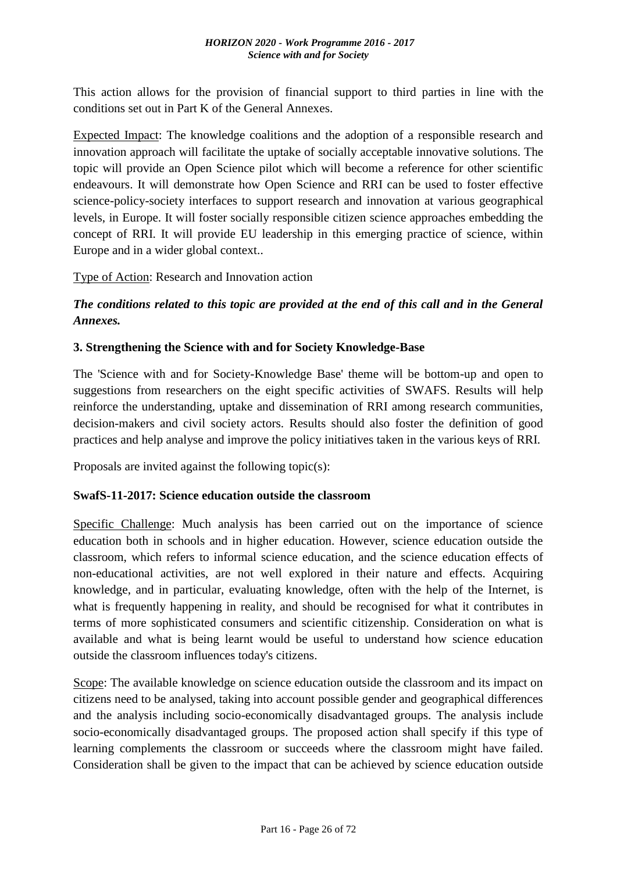This action allows for the provision of financial support to third parties in line with the conditions set out in Part K of the General Annexes.

Expected Impact: The knowledge coalitions and the adoption of a responsible research and innovation approach will facilitate the uptake of socially acceptable innovative solutions. The topic will provide an Open Science pilot which will become a reference for other scientific endeavours. It will demonstrate how Open Science and RRI can be used to foster effective science-policy-society interfaces to support research and innovation at various geographical levels, in Europe. It will foster socially responsible citizen science approaches embedding the concept of RRI. It will provide EU leadership in this emerging practice of science, within Europe and in a wider global context..

Type of Action: Research and Innovation action

*The conditions related to this topic are provided at the end of this call and in the General Annexes.*

### <span id="page-25-0"></span>**3. Strengthening the Science with and for Society Knowledge-Base**

The 'Science with and for Society-Knowledge Base' theme will be bottom-up and open to suggestions from researchers on the eight specific activities of SWAFS. Results will help reinforce the understanding, uptake and dissemination of RRI among research communities, decision-makers and civil society actors. Results should also foster the definition of good practices and help analyse and improve the policy initiatives taken in the various keys of RRI.

Proposals are invited against the following topic(s):

### <span id="page-25-1"></span>**SwafS-11-2017: Science education outside the classroom**

Specific Challenge: Much analysis has been carried out on the importance of science education both in schools and in higher education. However, science education outside the classroom, which refers to informal science education, and the science education effects of non-educational activities, are not well explored in their nature and effects. Acquiring knowledge, and in particular, evaluating knowledge, often with the help of the Internet, is what is frequently happening in reality, and should be recognised for what it contributes in terms of more sophisticated consumers and scientific citizenship. Consideration on what is available and what is being learnt would be useful to understand how science education outside the classroom influences today's citizens.

Scope: The available knowledge on science education outside the classroom and its impact on citizens need to be analysed, taking into account possible gender and geographical differences and the analysis including socio-economically disadvantaged groups. The analysis include socio-economically disadvantaged groups. The proposed action shall specify if this type of learning complements the classroom or succeeds where the classroom might have failed. Consideration shall be given to the impact that can be achieved by science education outside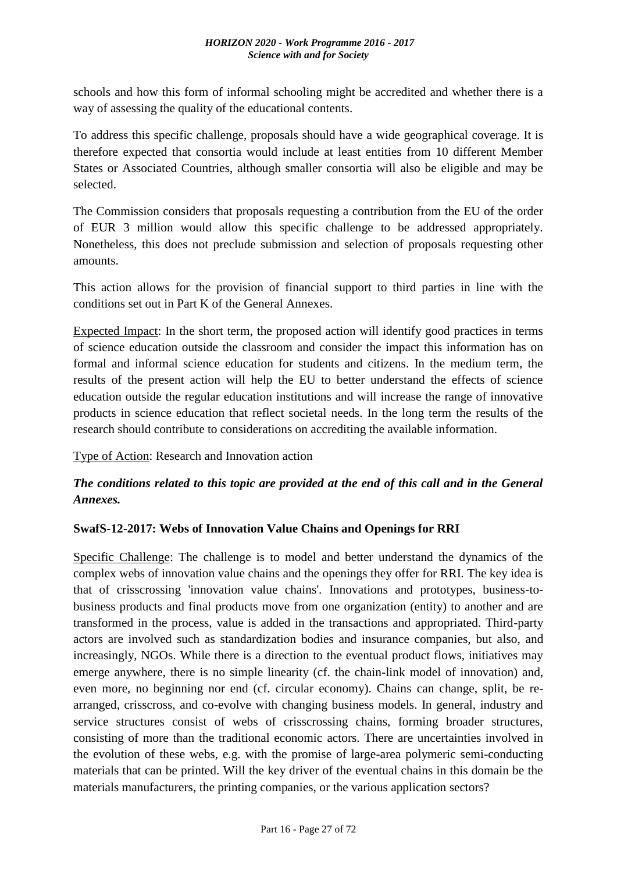schools and how this form of informal schooling might be accredited and whether there is a way of assessing the quality of the educational contents.

To address this specific challenge, proposals should have a wide geographical coverage. It is therefore expected that consortia would include at least entities from 10 different Member States or Associated Countries, although smaller consortia will also be eligible and may be selected.

The Commission considers that proposals requesting a contribution from the EU of the order of EUR 3 million would allow this specific challenge to be addressed appropriately. Nonetheless, this does not preclude submission and selection of proposals requesting other amounts.

This action allows for the provision of financial support to third parties in line with the conditions set out in Part K of the General Annexes.

Expected Impact: In the short term, the proposed action will identify good practices in terms of science education outside the classroom and consider the impact this information has on formal and informal science education for students and citizens. In the medium term, the results of the present action will help the EU to better understand the effects of science education outside the regular education institutions and will increase the range of innovative products in science education that reflect societal needs. In the long term the results of the research should contribute to considerations on accrediting the available information.

Type of Action: Research and Innovation action

# *The conditions related to this topic are provided at the end of this call and in the General Annexes.*

### <span id="page-26-0"></span>**SwafS-12-2017: Webs of Innovation Value Chains and Openings for RRI**

Specific Challenge: The challenge is to model and better understand the dynamics of the complex webs of innovation value chains and the openings they offer for RRI. The key idea is that of crisscrossing 'innovation value chains'. Innovations and prototypes, business-tobusiness products and final products move from one organization (entity) to another and are transformed in the process, value is added in the transactions and appropriated. Third-party actors are involved such as standardization bodies and insurance companies, but also, and increasingly, NGOs. While there is a direction to the eventual product flows, initiatives may emerge anywhere, there is no simple linearity (cf. the chain-link model of innovation) and, even more, no beginning nor end (cf. circular economy). Chains can change, split, be rearranged, crisscross, and co-evolve with changing business models. In general, industry and service structures consist of webs of crisscrossing chains, forming broader structures, consisting of more than the traditional economic actors. There are uncertainties involved in the evolution of these webs, e.g. with the promise of large-area polymeric semi-conducting materials that can be printed. Will the key driver of the eventual chains in this domain be the materials manufacturers, the printing companies, or the various application sectors?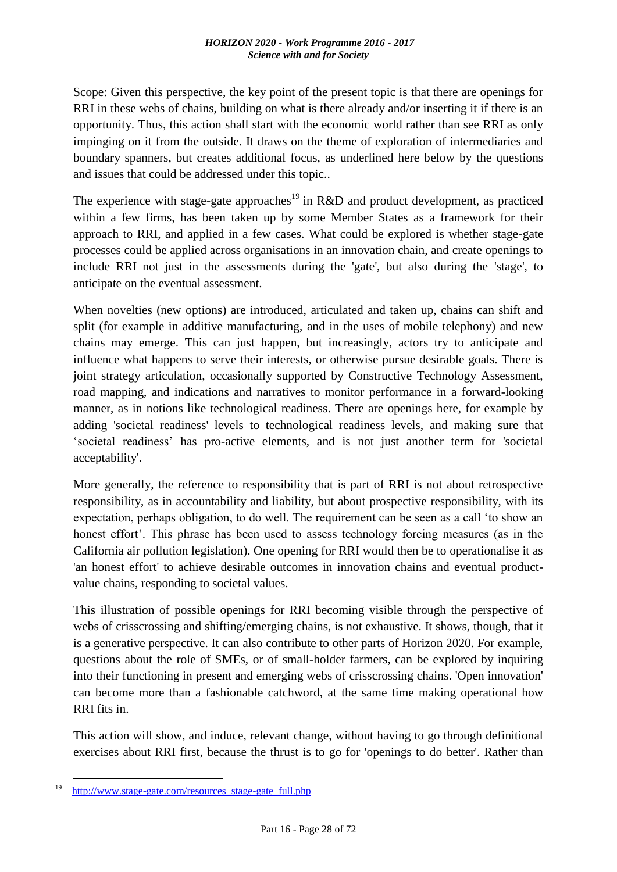Scope: Given this perspective, the key point of the present topic is that there are openings for RRI in these webs of chains, building on what is there already and/or inserting it if there is an opportunity. Thus, this action shall start with the economic world rather than see RRI as only impinging on it from the outside. It draws on the theme of exploration of intermediaries and boundary spanners, but creates additional focus, as underlined here below by the questions and issues that could be addressed under this topic..

The experience with stage-gate approaches<sup>19</sup> in R&D and product development, as practiced within a few firms, has been taken up by some Member States as a framework for their approach to RRI, and applied in a few cases. What could be explored is whether stage-gate processes could be applied across organisations in an innovation chain, and create openings to include RRI not just in the assessments during the 'gate', but also during the 'stage', to anticipate on the eventual assessment.

When novelties (new options) are introduced, articulated and taken up, chains can shift and split (for example in additive manufacturing, and in the uses of mobile telephony) and new chains may emerge. This can just happen, but increasingly, actors try to anticipate and influence what happens to serve their interests, or otherwise pursue desirable goals. There is joint strategy articulation, occasionally supported by Constructive Technology Assessment, road mapping, and indications and narratives to monitor performance in a forward-looking manner, as in notions like technological readiness. There are openings here, for example by adding 'societal readiness' levels to technological readiness levels, and making sure that 'societal readiness' has pro-active elements, and is not just another term for 'societal acceptability'.

More generally, the reference to responsibility that is part of RRI is not about retrospective responsibility, as in accountability and liability, but about prospective responsibility, with its expectation, perhaps obligation, to do well. The requirement can be seen as a call 'to show an honest effort'. This phrase has been used to assess technology forcing measures (as in the California air pollution legislation). One opening for RRI would then be to operationalise it as 'an honest effort' to achieve desirable outcomes in innovation chains and eventual productvalue chains, responding to societal values.

This illustration of possible openings for RRI becoming visible through the perspective of webs of crisscrossing and shifting/emerging chains, is not exhaustive. It shows, though, that it is a generative perspective. It can also contribute to other parts of Horizon 2020. For example, questions about the role of SMEs, or of small-holder farmers, can be explored by inquiring into their functioning in present and emerging webs of crisscrossing chains. 'Open innovation' can become more than a fashionable catchword, at the same time making operational how RRI fits in.

This action will show, and induce, relevant change, without having to go through definitional exercises about RRI first, because the thrust is to go for 'openings to do better'. Rather than

<u>.</u>

<sup>&</sup>lt;sup>19</sup> http://www.stage-gate.com/resources stage-gate full.php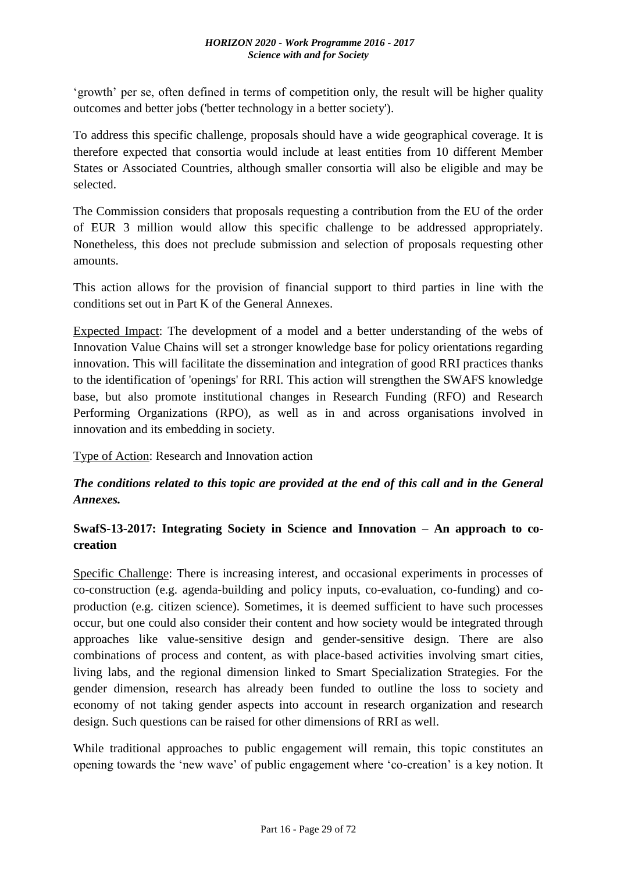'growth' per se, often defined in terms of competition only, the result will be higher quality outcomes and better jobs ('better technology in a better society').

To address this specific challenge, proposals should have a wide geographical coverage. It is therefore expected that consortia would include at least entities from 10 different Member States or Associated Countries, although smaller consortia will also be eligible and may be selected.

The Commission considers that proposals requesting a contribution from the EU of the order of EUR 3 million would allow this specific challenge to be addressed appropriately. Nonetheless, this does not preclude submission and selection of proposals requesting other amounts.

This action allows for the provision of financial support to third parties in line with the conditions set out in Part K of the General Annexes.

Expected Impact: The development of a model and a better understanding of the webs of Innovation Value Chains will set a stronger knowledge base for policy orientations regarding innovation. This will facilitate the dissemination and integration of good RRI practices thanks to the identification of 'openings' for RRI. This action will strengthen the SWAFS knowledge base, but also promote institutional changes in Research Funding (RFO) and Research Performing Organizations (RPO), as well as in and across organisations involved in innovation and its embedding in society.

Type of Action: Research and Innovation action

# *The conditions related to this topic are provided at the end of this call and in the General Annexes.*

# <span id="page-28-0"></span>**SwafS-13-2017: Integrating Society in Science and Innovation – An approach to cocreation**

Specific Challenge: There is increasing interest, and occasional experiments in processes of co-construction (e.g. agenda-building and policy inputs, co-evaluation, co-funding) and coproduction (e.g. citizen science). Sometimes, it is deemed sufficient to have such processes occur, but one could also consider their content and how society would be integrated through approaches like value-sensitive design and gender-sensitive design. There are also combinations of process and content, as with place-based activities involving smart cities, living labs, and the regional dimension linked to Smart Specialization Strategies. For the gender dimension, research has already been funded to outline the loss to society and economy of not taking gender aspects into account in research organization and research design. Such questions can be raised for other dimensions of RRI as well.

While traditional approaches to public engagement will remain, this topic constitutes an opening towards the 'new wave' of public engagement where 'co-creation' is a key notion. It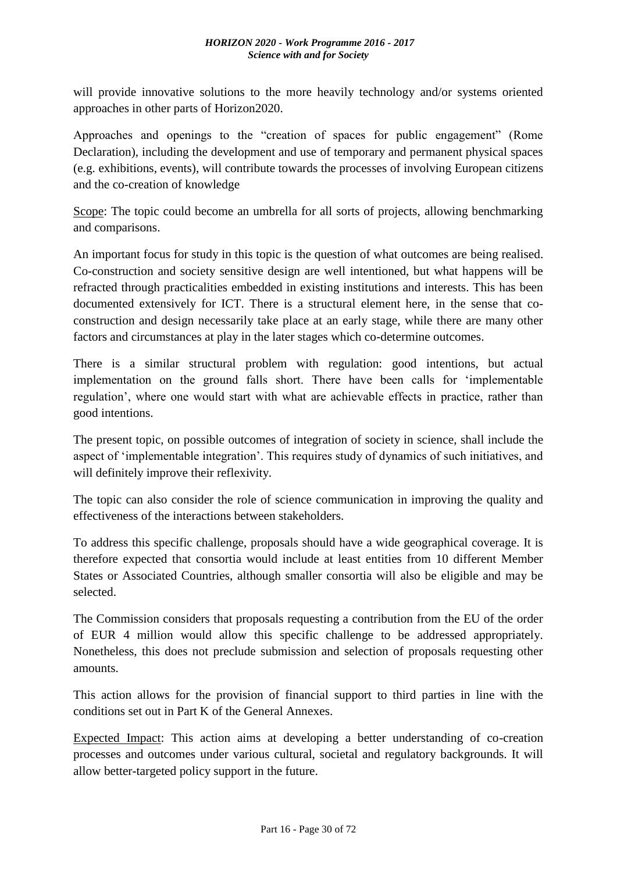will provide innovative solutions to the more heavily technology and/or systems oriented approaches in other parts of Horizon2020.

Approaches and openings to the "creation of spaces for public engagement" (Rome Declaration), including the development and use of temporary and permanent physical spaces (e.g. exhibitions, events), will contribute towards the processes of involving European citizens and the co-creation of knowledge

Scope: The topic could become an umbrella for all sorts of projects, allowing benchmarking and comparisons.

An important focus for study in this topic is the question of what outcomes are being realised. Co-construction and society sensitive design are well intentioned, but what happens will be refracted through practicalities embedded in existing institutions and interests. This has been documented extensively for ICT. There is a structural element here, in the sense that coconstruction and design necessarily take place at an early stage, while there are many other factors and circumstances at play in the later stages which co-determine outcomes.

There is a similar structural problem with regulation: good intentions, but actual implementation on the ground falls short. There have been calls for 'implementable regulation', where one would start with what are achievable effects in practice, rather than good intentions.

The present topic, on possible outcomes of integration of society in science, shall include the aspect of 'implementable integration'. This requires study of dynamics of such initiatives, and will definitely improve their reflexivity.

The topic can also consider the role of science communication in improving the quality and effectiveness of the interactions between stakeholders.

To address this specific challenge, proposals should have a wide geographical coverage. It is therefore expected that consortia would include at least entities from 10 different Member States or Associated Countries, although smaller consortia will also be eligible and may be selected.

The Commission considers that proposals requesting a contribution from the EU of the order of EUR 4 million would allow this specific challenge to be addressed appropriately. Nonetheless, this does not preclude submission and selection of proposals requesting other amounts.

This action allows for the provision of financial support to third parties in line with the conditions set out in Part K of the General Annexes.

Expected Impact: This action aims at developing a better understanding of co-creation processes and outcomes under various cultural, societal and regulatory backgrounds. It will allow better-targeted policy support in the future.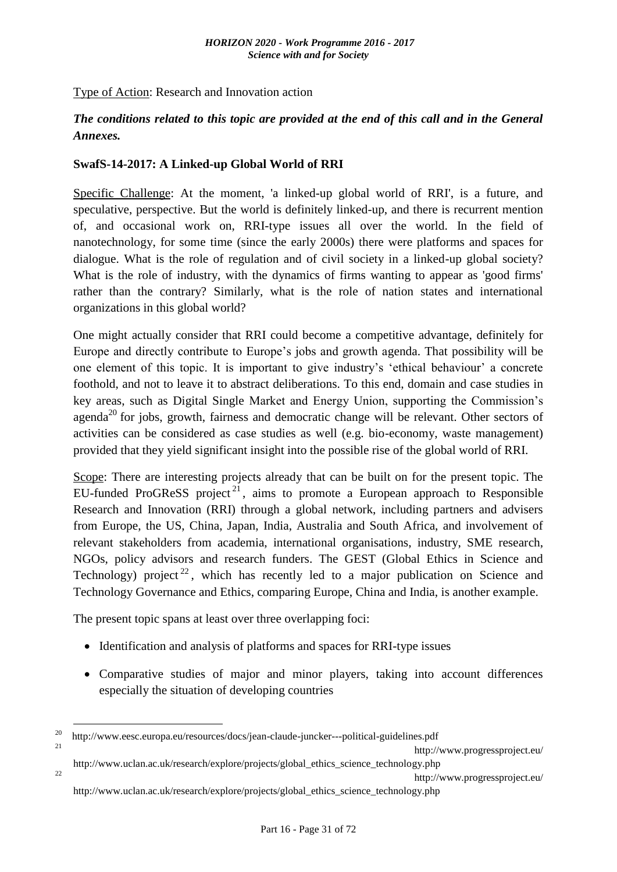Type of Action: Research and Innovation action

### *The conditions related to this topic are provided at the end of this call and in the General Annexes.*

### <span id="page-30-0"></span>**SwafS-14-2017: A Linked-up Global World of RRI**

Specific Challenge: At the moment, 'a linked-up global world of RRI', is a future, and speculative, perspective. But the world is definitely linked-up, and there is recurrent mention of, and occasional work on, RRI-type issues all over the world. In the field of nanotechnology, for some time (since the early 2000s) there were platforms and spaces for dialogue. What is the role of regulation and of civil society in a linked-up global society? What is the role of industry, with the dynamics of firms wanting to appear as 'good firms' rather than the contrary? Similarly, what is the role of nation states and international organizations in this global world?

One might actually consider that RRI could become a competitive advantage, definitely for Europe and directly contribute to Europe's jobs and growth agenda. That possibility will be one element of this topic. It is important to give industry's 'ethical behaviour' a concrete foothold, and not to leave it to abstract deliberations. To this end, domain and case studies in key areas, such as Digital Single Market and Energy Union, supporting the Commission's agenda<sup>20</sup> for jobs, growth, fairness and democratic change will be relevant. Other sectors of activities can be considered as case studies as well (e.g. bio-economy, waste management) provided that they yield significant insight into the possible rise of the global world of RRI.

Scope: There are interesting projects already that can be built on for the present topic. The EU-funded ProGReSS project<sup>21</sup>, aims to promote a European approach to Responsible Research and Innovation (RRI) through a global network, including partners and advisers from Europe, the US, China, Japan, India, Australia and South Africa, and involvement of relevant stakeholders from academia, international organisations, industry, SME research, NGOs, policy advisors and research funders. The GEST (Global Ethics in Science and Technology) project<sup>22</sup>, which has recently led to a major publication on Science and Technology Governance and Ethics, comparing Europe, China and India, is another example.

The present topic spans at least over three overlapping foci:

1

- Identification and analysis of platforms and spaces for RRI-type issues
- Comparative studies of major and minor players, taking into account differences especially the situation of developing countries

<sup>21</sup>http://www.progressproject.eu/

<sup>&</sup>lt;sup>20</sup>http://www.eesc.europa.eu/resources/docs/jean-claude-juncker---political-guidelines.pdf

http://www.uclan.ac.uk/research/explore/projects/global\_ethics\_science\_technology.php  $22$  http://www.progressproject.eu/ http://www.uclan.ac.uk/research/explore/projects/global\_ethics\_science\_technology.php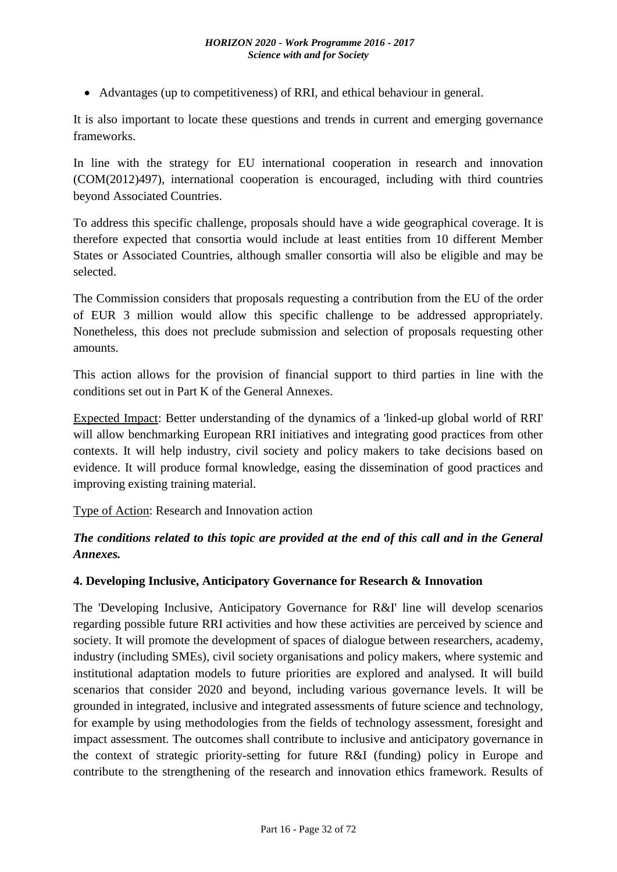Advantages (up to competitiveness) of RRI, and ethical behaviour in general.

It is also important to locate these questions and trends in current and emerging governance frameworks.

In line with the strategy for EU international cooperation in research and innovation (COM(2012)497), international cooperation is encouraged, including with third countries beyond Associated Countries.

To address this specific challenge, proposals should have a wide geographical coverage. It is therefore expected that consortia would include at least entities from 10 different Member States or Associated Countries, although smaller consortia will also be eligible and may be selected.

The Commission considers that proposals requesting a contribution from the EU of the order of EUR 3 million would allow this specific challenge to be addressed appropriately. Nonetheless, this does not preclude submission and selection of proposals requesting other amounts.

This action allows for the provision of financial support to third parties in line with the conditions set out in Part K of the General Annexes.

Expected Impact: Better understanding of the dynamics of a 'linked-up global world of RRI' will allow benchmarking European RRI initiatives and integrating good practices from other contexts. It will help industry, civil society and policy makers to take decisions based on evidence. It will produce formal knowledge, easing the dissemination of good practices and improving existing training material.

Type of Action: Research and Innovation action

# *The conditions related to this topic are provided at the end of this call and in the General Annexes.*

### <span id="page-31-0"></span>**4. Developing Inclusive, Anticipatory Governance for Research & Innovation**

The 'Developing Inclusive, Anticipatory Governance for R&I' line will develop scenarios regarding possible future RRI activities and how these activities are perceived by science and society. It will promote the development of spaces of dialogue between researchers, academy, industry (including SMEs), civil society organisations and policy makers, where systemic and institutional adaptation models to future priorities are explored and analysed. It will build scenarios that consider 2020 and beyond, including various governance levels. It will be grounded in integrated, inclusive and integrated assessments of future science and technology, for example by using methodologies from the fields of technology assessment, foresight and impact assessment. The outcomes shall contribute to inclusive and anticipatory governance in the context of strategic priority-setting for future R&I (funding) policy in Europe and contribute to the strengthening of the research and innovation ethics framework. Results of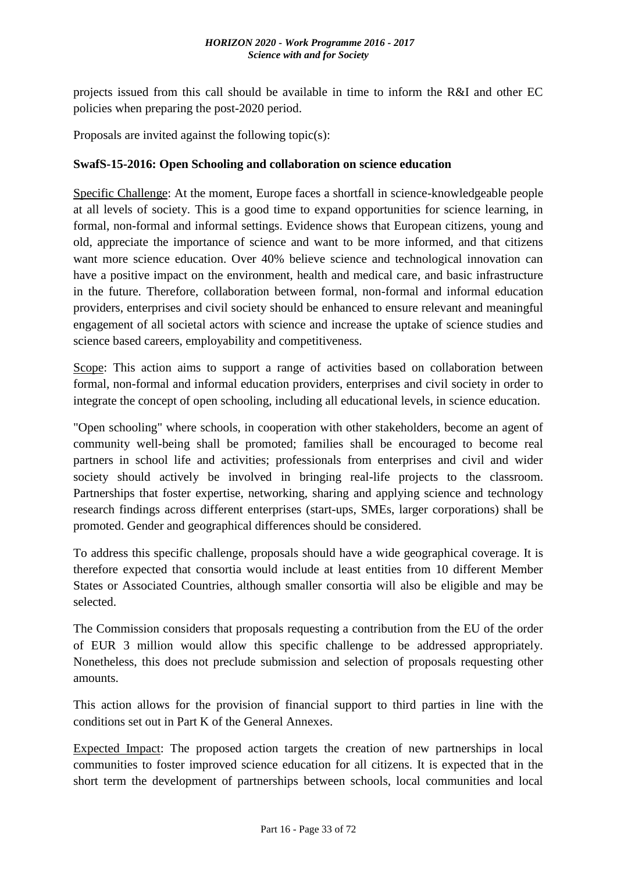projects issued from this call should be available in time to inform the R&I and other EC policies when preparing the post-2020 period.

Proposals are invited against the following topic(s):

### <span id="page-32-0"></span>**SwafS-15-2016: Open Schooling and collaboration on science education**

Specific Challenge: At the moment, Europe faces a shortfall in science-knowledgeable people at all levels of society. This is a good time to expand opportunities for science learning, in formal, non-formal and informal settings. Evidence shows that European citizens, young and old, appreciate the importance of science and want to be more informed, and that citizens want more science education. Over 40% believe science and technological innovation can have a positive impact on the environment, health and medical care, and basic infrastructure in the future. Therefore, collaboration between formal, non-formal and informal education providers, enterprises and civil society should be enhanced to ensure relevant and meaningful engagement of all societal actors with science and increase the uptake of science studies and science based careers, employability and competitiveness.

Scope: This action aims to support a range of activities based on collaboration between formal, non-formal and informal education providers, enterprises and civil society in order to integrate the concept of open schooling, including all educational levels, in science education.

"Open schooling" where schools, in cooperation with other stakeholders, become an agent of community well-being shall be promoted; families shall be encouraged to become real partners in school life and activities; professionals from enterprises and civil and wider society should actively be involved in bringing real-life projects to the classroom. Partnerships that foster expertise, networking, sharing and applying science and technology research findings across different enterprises (start-ups, SMEs, larger corporations) shall be promoted. Gender and geographical differences should be considered.

To address this specific challenge, proposals should have a wide geographical coverage. It is therefore expected that consortia would include at least entities from 10 different Member States or Associated Countries, although smaller consortia will also be eligible and may be selected.

The Commission considers that proposals requesting a contribution from the EU of the order of EUR 3 million would allow this specific challenge to be addressed appropriately. Nonetheless, this does not preclude submission and selection of proposals requesting other amounts.

This action allows for the provision of financial support to third parties in line with the conditions set out in Part K of the General Annexes.

Expected Impact: The proposed action targets the creation of new partnerships in local communities to foster improved science education for all citizens. It is expected that in the short term the development of partnerships between schools, local communities and local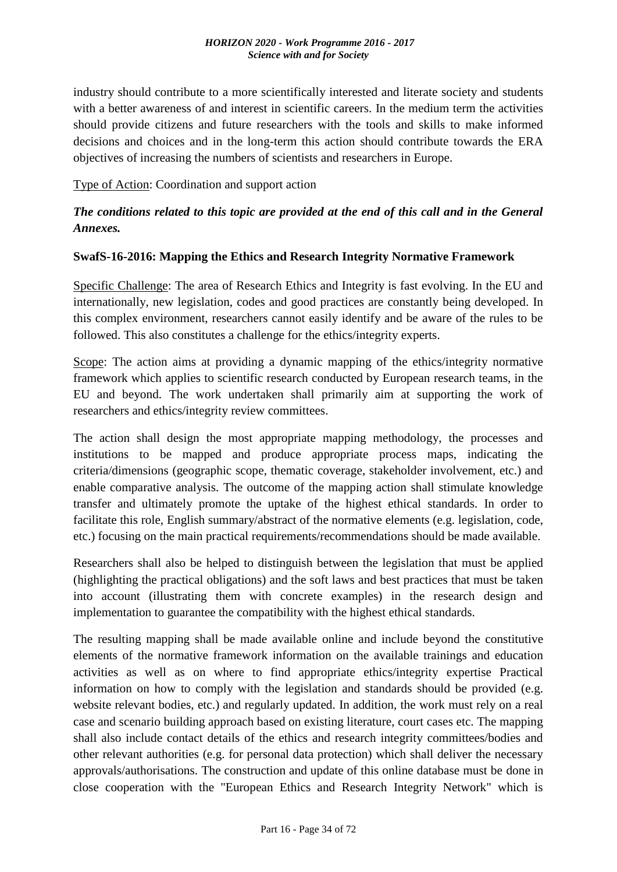industry should contribute to a more scientifically interested and literate society and students with a better awareness of and interest in scientific careers. In the medium term the activities should provide citizens and future researchers with the tools and skills to make informed decisions and choices and in the long-term this action should contribute towards the ERA objectives of increasing the numbers of scientists and researchers in Europe.

Type of Action: Coordination and support action

# *The conditions related to this topic are provided at the end of this call and in the General Annexes.*

### <span id="page-33-0"></span>**SwafS-16-2016: Mapping the Ethics and Research Integrity Normative Framework**

Specific Challenge: The area of Research Ethics and Integrity is fast evolving. In the EU and internationally, new legislation, codes and good practices are constantly being developed. In this complex environment, researchers cannot easily identify and be aware of the rules to be followed. This also constitutes a challenge for the ethics/integrity experts.

Scope: The action aims at providing a dynamic mapping of the ethics/integrity normative framework which applies to scientific research conducted by European research teams, in the EU and beyond. The work undertaken shall primarily aim at supporting the work of researchers and ethics/integrity review committees.

The action shall design the most appropriate mapping methodology, the processes and institutions to be mapped and produce appropriate process maps, indicating the criteria/dimensions (geographic scope, thematic coverage, stakeholder involvement, etc.) and enable comparative analysis. The outcome of the mapping action shall stimulate knowledge transfer and ultimately promote the uptake of the highest ethical standards. In order to facilitate this role, English summary/abstract of the normative elements (e.g. legislation, code, etc.) focusing on the main practical requirements/recommendations should be made available.

Researchers shall also be helped to distinguish between the legislation that must be applied (highlighting the practical obligations) and the soft laws and best practices that must be taken into account (illustrating them with concrete examples) in the research design and implementation to guarantee the compatibility with the highest ethical standards.

The resulting mapping shall be made available online and include beyond the constitutive elements of the normative framework information on the available trainings and education activities as well as on where to find appropriate ethics/integrity expertise Practical information on how to comply with the legislation and standards should be provided (e.g. website relevant bodies, etc.) and regularly updated. In addition, the work must rely on a real case and scenario building approach based on existing literature, court cases etc. The mapping shall also include contact details of the ethics and research integrity committees/bodies and other relevant authorities (e.g. for personal data protection) which shall deliver the necessary approvals/authorisations. The construction and update of this online database must be done in close cooperation with the "European Ethics and Research Integrity Network" which is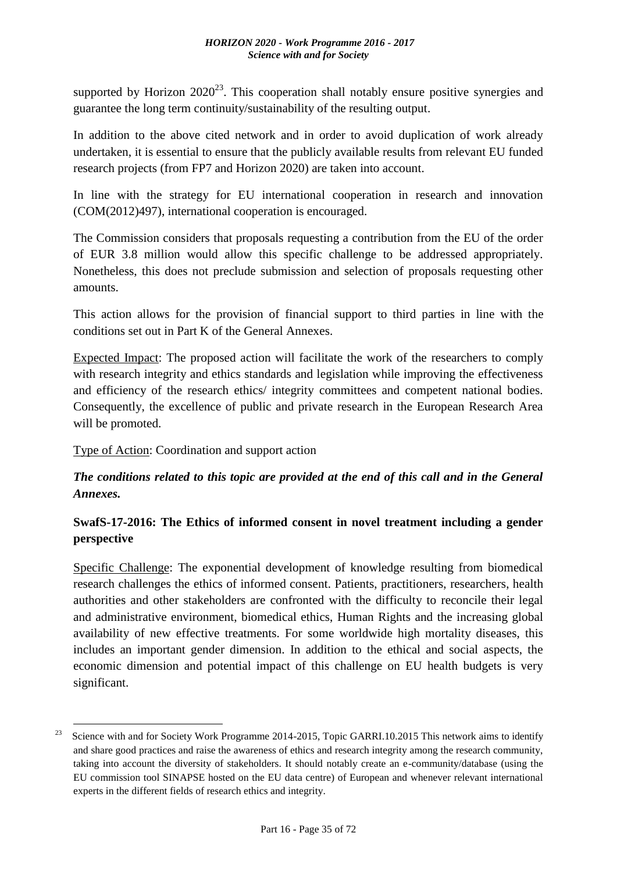supported by Horizon  $2020^{23}$ . This cooperation shall notably ensure positive synergies and guarantee the long term continuity/sustainability of the resulting output.

In addition to the above cited network and in order to avoid duplication of work already undertaken, it is essential to ensure that the publicly available results from relevant EU funded research projects (from FP7 and Horizon 2020) are taken into account.

In line with the strategy for EU international cooperation in research and innovation (COM(2012)497), international cooperation is encouraged.

The Commission considers that proposals requesting a contribution from the EU of the order of EUR 3.8 million would allow this specific challenge to be addressed appropriately. Nonetheless, this does not preclude submission and selection of proposals requesting other amounts.

This action allows for the provision of financial support to third parties in line with the conditions set out in Part K of the General Annexes.

Expected Impact: The proposed action will facilitate the work of the researchers to comply with research integrity and ethics standards and legislation while improving the effectiveness and efficiency of the research ethics/ integrity committees and competent national bodies. Consequently, the excellence of public and private research in the European Research Area will be promoted.

Type of Action: Coordination and support action

1

# *The conditions related to this topic are provided at the end of this call and in the General Annexes.*

# <span id="page-34-0"></span>**SwafS-17-2016: The Ethics of informed consent in novel treatment including a gender perspective**

Specific Challenge: The exponential development of knowledge resulting from biomedical research challenges the ethics of informed consent. Patients, practitioners, researchers, health authorities and other stakeholders are confronted with the difficulty to reconcile their legal and administrative environment, biomedical ethics, Human Rights and the increasing global availability of new effective treatments. For some worldwide high mortality diseases, this includes an important gender dimension. In addition to the ethical and social aspects, the economic dimension and potential impact of this challenge on EU health budgets is very significant.

<sup>&</sup>lt;sup>23</sup> Science with and for Society Work Programme 2014-2015, Topic GARRI.10.2015 This network aims to identify and share good practices and raise the awareness of ethics and research integrity among the research community, taking into account the diversity of stakeholders. It should notably create an e-community/database (using the EU commission tool SINAPSE hosted on the EU data centre) of European and whenever relevant international experts in the different fields of research ethics and integrity.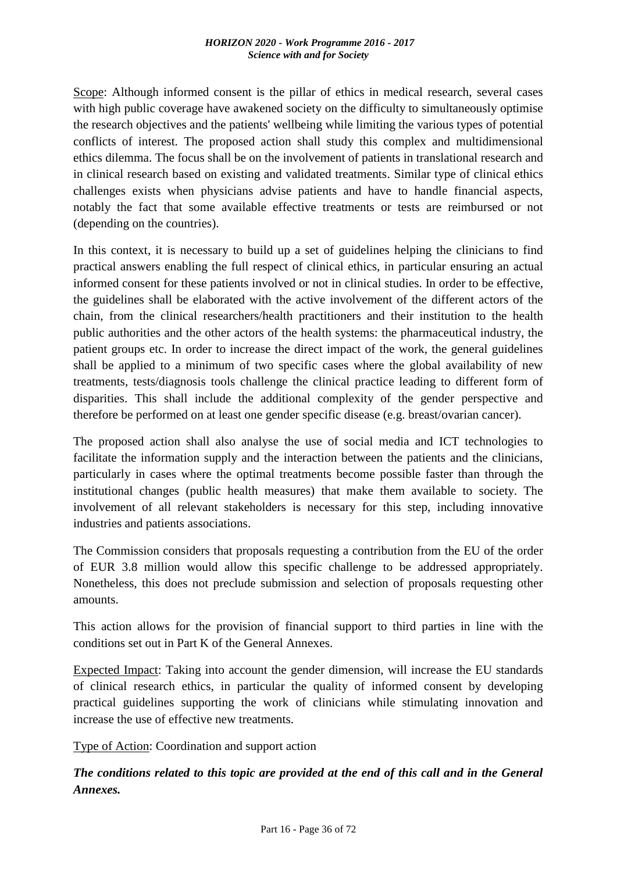Scope: Although informed consent is the pillar of ethics in medical research, several cases with high public coverage have awakened society on the difficulty to simultaneously optimise the research objectives and the patients' wellbeing while limiting the various types of potential conflicts of interest. The proposed action shall study this complex and multidimensional ethics dilemma. The focus shall be on the involvement of patients in translational research and in clinical research based on existing and validated treatments. Similar type of clinical ethics challenges exists when physicians advise patients and have to handle financial aspects, notably the fact that some available effective treatments or tests are reimbursed or not (depending on the countries).

In this context, it is necessary to build up a set of guidelines helping the clinicians to find practical answers enabling the full respect of clinical ethics, in particular ensuring an actual informed consent for these patients involved or not in clinical studies. In order to be effective, the guidelines shall be elaborated with the active involvement of the different actors of the chain, from the clinical researchers/health practitioners and their institution to the health public authorities and the other actors of the health systems: the pharmaceutical industry, the patient groups etc. In order to increase the direct impact of the work, the general guidelines shall be applied to a minimum of two specific cases where the global availability of new treatments, tests/diagnosis tools challenge the clinical practice leading to different form of disparities. This shall include the additional complexity of the gender perspective and therefore be performed on at least one gender specific disease (e.g. breast/ovarian cancer).

The proposed action shall also analyse the use of social media and ICT technologies to facilitate the information supply and the interaction between the patients and the clinicians, particularly in cases where the optimal treatments become possible faster than through the institutional changes (public health measures) that make them available to society. The involvement of all relevant stakeholders is necessary for this step, including innovative industries and patients associations.

The Commission considers that proposals requesting a contribution from the EU of the order of EUR 3.8 million would allow this specific challenge to be addressed appropriately. Nonetheless, this does not preclude submission and selection of proposals requesting other amounts.

This action allows for the provision of financial support to third parties in line with the conditions set out in Part K of the General Annexes.

Expected Impact: Taking into account the gender dimension, will increase the EU standards of clinical research ethics, in particular the quality of informed consent by developing practical guidelines supporting the work of clinicians while stimulating innovation and increase the use of effective new treatments.

Type of Action: Coordination and support action

*The conditions related to this topic are provided at the end of this call and in the General Annexes.*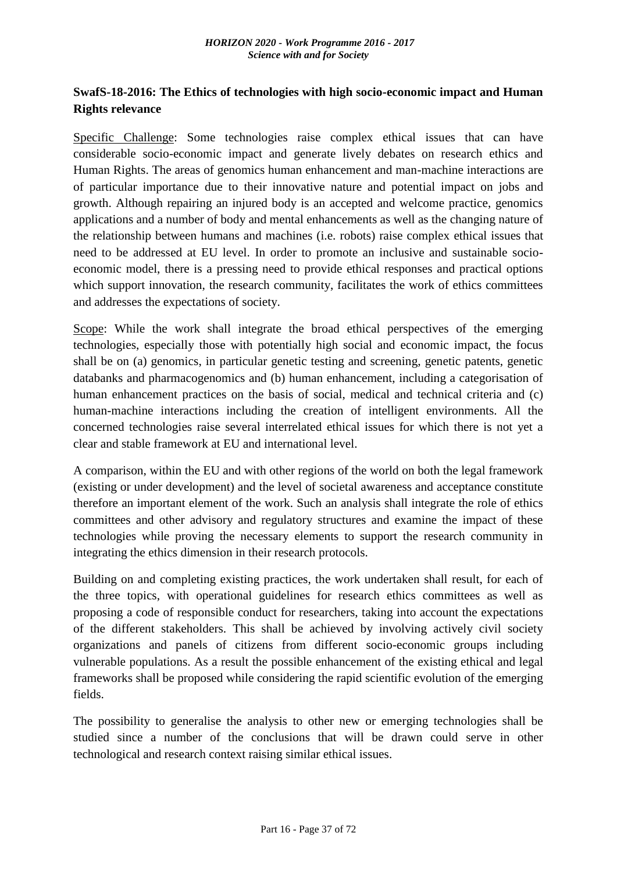# **SwafS-18-2016: The Ethics of technologies with high socio-economic impact and Human Rights relevance**

Specific Challenge: Some technologies raise complex ethical issues that can have considerable socio-economic impact and generate lively debates on research ethics and Human Rights. The areas of genomics human enhancement and man-machine interactions are of particular importance due to their innovative nature and potential impact on jobs and growth. Although repairing an injured body is an accepted and welcome practice, genomics applications and a number of body and mental enhancements as well as the changing nature of the relationship between humans and machines (i.e. robots) raise complex ethical issues that need to be addressed at EU level. In order to promote an inclusive and sustainable socioeconomic model, there is a pressing need to provide ethical responses and practical options which support innovation, the research community, facilitates the work of ethics committees and addresses the expectations of society.

Scope: While the work shall integrate the broad ethical perspectives of the emerging technologies, especially those with potentially high social and economic impact, the focus shall be on (a) genomics, in particular genetic testing and screening, genetic patents, genetic databanks and pharmacogenomics and (b) human enhancement, including a categorisation of human enhancement practices on the basis of social, medical and technical criteria and (c) human-machine interactions including the creation of intelligent environments. All the concerned technologies raise several interrelated ethical issues for which there is not yet a clear and stable framework at EU and international level.

A comparison, within the EU and with other regions of the world on both the legal framework (existing or under development) and the level of societal awareness and acceptance constitute therefore an important element of the work. Such an analysis shall integrate the role of ethics committees and other advisory and regulatory structures and examine the impact of these technologies while proving the necessary elements to support the research community in integrating the ethics dimension in their research protocols.

Building on and completing existing practices, the work undertaken shall result, for each of the three topics, with operational guidelines for research ethics committees as well as proposing a code of responsible conduct for researchers, taking into account the expectations of the different stakeholders. This shall be achieved by involving actively civil society organizations and panels of citizens from different socio-economic groups including vulnerable populations. As a result the possible enhancement of the existing ethical and legal frameworks shall be proposed while considering the rapid scientific evolution of the emerging fields.

The possibility to generalise the analysis to other new or emerging technologies shall be studied since a number of the conclusions that will be drawn could serve in other technological and research context raising similar ethical issues.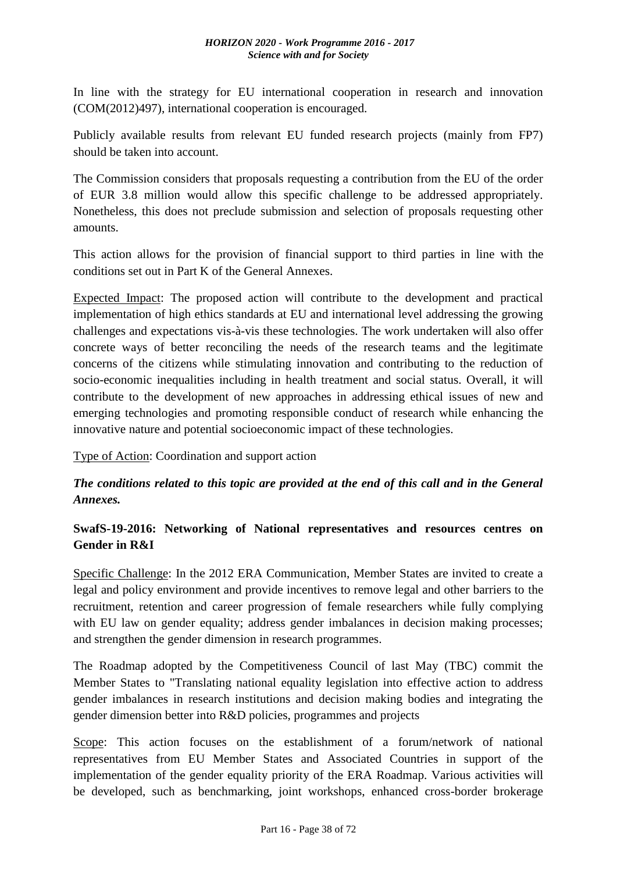#### *HORIZON 2020 - Work Programme 2016 - 2017 Science with and for Society*

In line with the strategy for EU international cooperation in research and innovation (COM(2012)497), international cooperation is encouraged.

Publicly available results from relevant EU funded research projects (mainly from FP7) should be taken into account.

The Commission considers that proposals requesting a contribution from the EU of the order of EUR 3.8 million would allow this specific challenge to be addressed appropriately. Nonetheless, this does not preclude submission and selection of proposals requesting other amounts.

This action allows for the provision of financial support to third parties in line with the conditions set out in Part K of the General Annexes.

Expected Impact: The proposed action will contribute to the development and practical implementation of high ethics standards at EU and international level addressing the growing challenges and expectations vis-à-vis these technologies. The work undertaken will also offer concrete ways of better reconciling the needs of the research teams and the legitimate concerns of the citizens while stimulating innovation and contributing to the reduction of socio-economic inequalities including in health treatment and social status. Overall, it will contribute to the development of new approaches in addressing ethical issues of new and emerging technologies and promoting responsible conduct of research while enhancing the innovative nature and potential socioeconomic impact of these technologies.

Type of Action: Coordination and support action

# *The conditions related to this topic are provided at the end of this call and in the General Annexes.*

# **SwafS-19-2016: Networking of National representatives and resources centres on Gender in R&I**

Specific Challenge: In the 2012 ERA Communication, Member States are invited to create a legal and policy environment and provide incentives to remove legal and other barriers to the recruitment, retention and career progression of female researchers while fully complying with EU law on gender equality; address gender imbalances in decision making processes; and strengthen the gender dimension in research programmes.

The Roadmap adopted by the Competitiveness Council of last May (TBC) commit the Member States to "Translating national equality legislation into effective action to address gender imbalances in research institutions and decision making bodies and integrating the gender dimension better into R&D policies, programmes and projects

Scope: This action focuses on the establishment of a forum/network of national representatives from EU Member States and Associated Countries in support of the implementation of the gender equality priority of the ERA Roadmap. Various activities will be developed, such as benchmarking, joint workshops, enhanced cross-border brokerage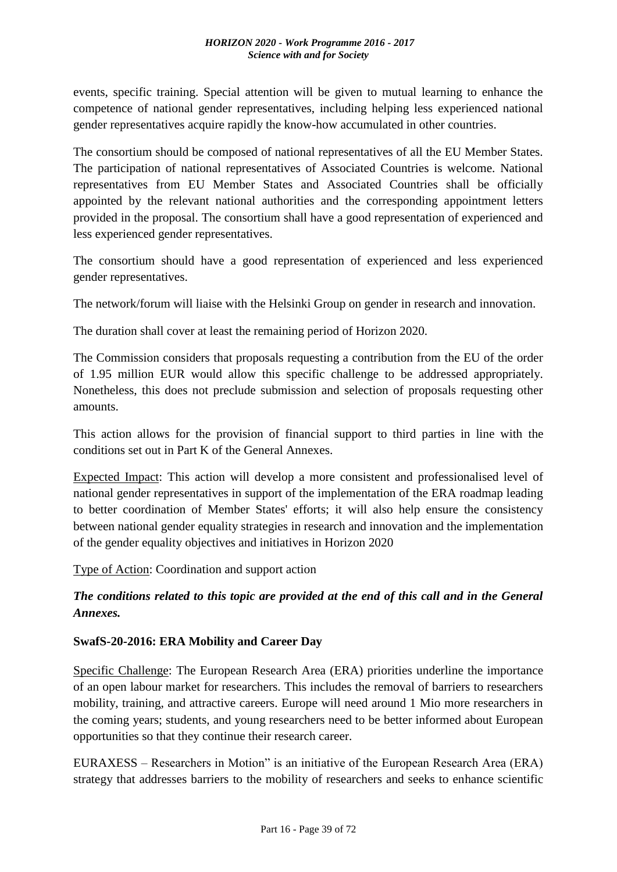events, specific training. Special attention will be given to mutual learning to enhance the competence of national gender representatives, including helping less experienced national gender representatives acquire rapidly the know-how accumulated in other countries.

The consortium should be composed of national representatives of all the EU Member States. The participation of national representatives of Associated Countries is welcome. National representatives from EU Member States and Associated Countries shall be officially appointed by the relevant national authorities and the corresponding appointment letters provided in the proposal. The consortium shall have a good representation of experienced and less experienced gender representatives.

The consortium should have a good representation of experienced and less experienced gender representatives.

The network/forum will liaise with the Helsinki Group on gender in research and innovation.

The duration shall cover at least the remaining period of Horizon 2020.

The Commission considers that proposals requesting a contribution from the EU of the order of 1.95 million EUR would allow this specific challenge to be addressed appropriately. Nonetheless, this does not preclude submission and selection of proposals requesting other amounts.

This action allows for the provision of financial support to third parties in line with the conditions set out in Part K of the General Annexes.

Expected Impact: This action will develop a more consistent and professionalised level of national gender representatives in support of the implementation of the ERA roadmap leading to better coordination of Member States' efforts; it will also help ensure the consistency between national gender equality strategies in research and innovation and the implementation of the gender equality objectives and initiatives in Horizon 2020

Type of Action: Coordination and support action

# *The conditions related to this topic are provided at the end of this call and in the General Annexes.*

#### **SwafS-20-2016: ERA Mobility and Career Day**

Specific Challenge: The European Research Area (ERA) priorities underline the importance of an open labour market for researchers. This includes the removal of barriers to researchers mobility, training, and attractive careers. Europe will need around 1 Mio more researchers in the coming years; students, and young researchers need to be better informed about European opportunities so that they continue their research career.

EURAXESS – Researchers in Motion" is an initiative of the European Research Area (ERA) strategy that addresses barriers to the mobility of researchers and seeks to enhance scientific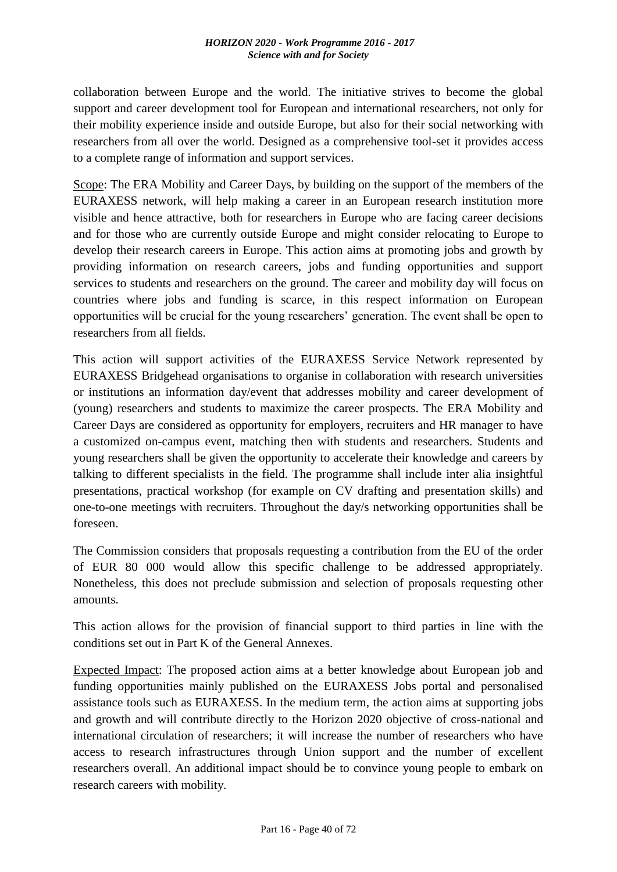collaboration between Europe and the world. The initiative strives to become the global support and career development tool for European and international researchers, not only for their mobility experience inside and outside Europe, but also for their social networking with researchers from all over the world. Designed as a comprehensive tool-set it provides access to a complete range of information and support services.

Scope: The ERA Mobility and Career Days, by building on the support of the members of the EURAXESS network, will help making a career in an European research institution more visible and hence attractive, both for researchers in Europe who are facing career decisions and for those who are currently outside Europe and might consider relocating to Europe to develop their research careers in Europe. This action aims at promoting jobs and growth by providing information on research careers, jobs and funding opportunities and support services to students and researchers on the ground. The career and mobility day will focus on countries where jobs and funding is scarce, in this respect information on European opportunities will be crucial for the young researchers' generation. The event shall be open to researchers from all fields.

This action will support activities of the EURAXESS Service Network represented by EURAXESS Bridgehead organisations to organise in collaboration with research universities or institutions an information day/event that addresses mobility and career development of (young) researchers and students to maximize the career prospects. The ERA Mobility and Career Days are considered as opportunity for employers, recruiters and HR manager to have a customized on-campus event, matching then with students and researchers. Students and young researchers shall be given the opportunity to accelerate their knowledge and careers by talking to different specialists in the field. The programme shall include inter alia insightful presentations, practical workshop (for example on CV drafting and presentation skills) and one-to-one meetings with recruiters. Throughout the day/s networking opportunities shall be foreseen.

The Commission considers that proposals requesting a contribution from the EU of the order of EUR 80 000 would allow this specific challenge to be addressed appropriately. Nonetheless, this does not preclude submission and selection of proposals requesting other amounts.

This action allows for the provision of financial support to third parties in line with the conditions set out in Part K of the General Annexes.

Expected Impact: The proposed action aims at a better knowledge about European job and funding opportunities mainly published on the EURAXESS Jobs portal and personalised assistance tools such as EURAXESS. In the medium term, the action aims at supporting jobs and growth and will contribute directly to the Horizon 2020 objective of cross-national and international circulation of researchers; it will increase the number of researchers who have access to research infrastructures through Union support and the number of excellent researchers overall. An additional impact should be to convince young people to embark on research careers with mobility.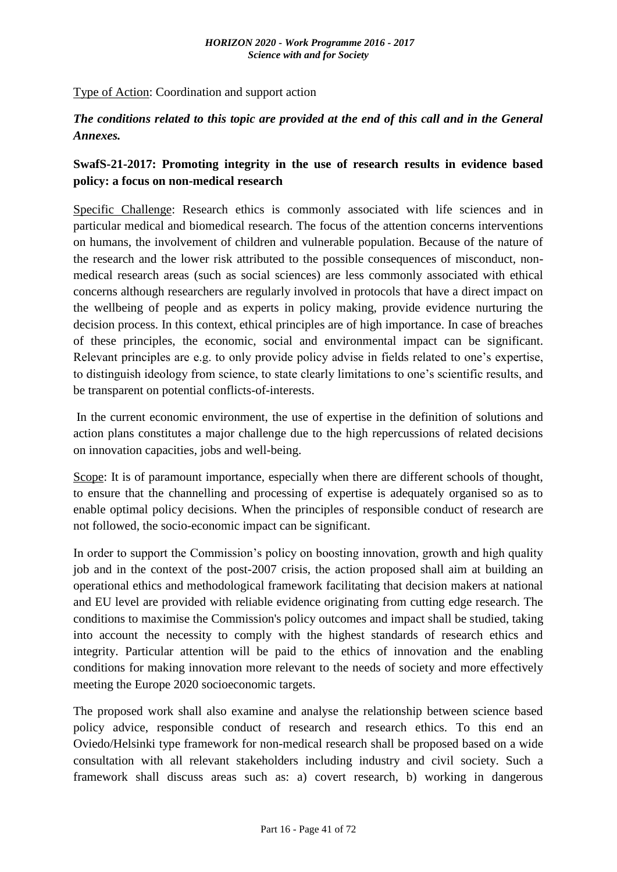Type of Action: Coordination and support action

# *The conditions related to this topic are provided at the end of this call and in the General Annexes.*

# **SwafS-21-2017: Promoting integrity in the use of research results in evidence based policy: a focus on non-medical research**

Specific Challenge: Research ethics is commonly associated with life sciences and in particular medical and biomedical research. The focus of the attention concerns interventions on humans, the involvement of children and vulnerable population. Because of the nature of the research and the lower risk attributed to the possible consequences of misconduct, nonmedical research areas (such as social sciences) are less commonly associated with ethical concerns although researchers are regularly involved in protocols that have a direct impact on the wellbeing of people and as experts in policy making, provide evidence nurturing the decision process. In this context, ethical principles are of high importance. In case of breaches of these principles, the economic, social and environmental impact can be significant. Relevant principles are e.g. to only provide policy advise in fields related to one's expertise, to distinguish ideology from science, to state clearly limitations to one's scientific results, and be transparent on potential conflicts-of-interests.

In the current economic environment, the use of expertise in the definition of solutions and action plans constitutes a major challenge due to the high repercussions of related decisions on innovation capacities, jobs and well-being.

Scope: It is of paramount importance, especially when there are different schools of thought, to ensure that the channelling and processing of expertise is adequately organised so as to enable optimal policy decisions. When the principles of responsible conduct of research are not followed, the socio-economic impact can be significant.

In order to support the Commission's policy on boosting innovation, growth and high quality job and in the context of the post-2007 crisis, the action proposed shall aim at building an operational ethics and methodological framework facilitating that decision makers at national and EU level are provided with reliable evidence originating from cutting edge research. The conditions to maximise the Commission's policy outcomes and impact shall be studied, taking into account the necessity to comply with the highest standards of research ethics and integrity. Particular attention will be paid to the ethics of innovation and the enabling conditions for making innovation more relevant to the needs of society and more effectively meeting the Europe 2020 socioeconomic targets.

The proposed work shall also examine and analyse the relationship between science based policy advice, responsible conduct of research and research ethics. To this end an Oviedo/Helsinki type framework for non-medical research shall be proposed based on a wide consultation with all relevant stakeholders including industry and civil society. Such a framework shall discuss areas such as: a) covert research, b) working in dangerous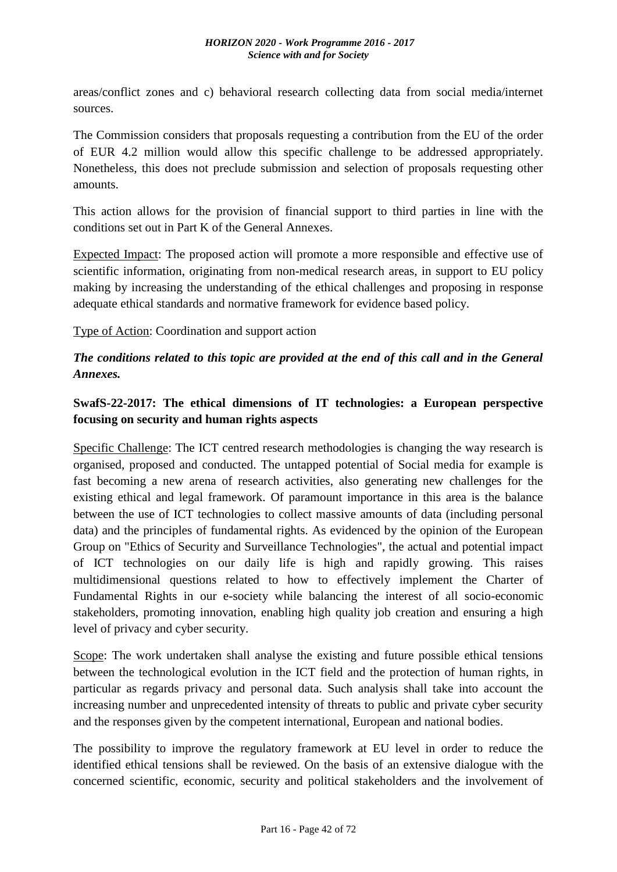areas/conflict zones and c) behavioral research collecting data from social media/internet sources.

The Commission considers that proposals requesting a contribution from the EU of the order of EUR 4.2 million would allow this specific challenge to be addressed appropriately. Nonetheless, this does not preclude submission and selection of proposals requesting other amounts.

This action allows for the provision of financial support to third parties in line with the conditions set out in Part K of the General Annexes.

Expected Impact: The proposed action will promote a more responsible and effective use of scientific information, originating from non-medical research areas, in support to EU policy making by increasing the understanding of the ethical challenges and proposing in response adequate ethical standards and normative framework for evidence based policy.

Type of Action: Coordination and support action

# *The conditions related to this topic are provided at the end of this call and in the General Annexes.*

# **SwafS-22-2017: The ethical dimensions of IT technologies: a European perspective focusing on security and human rights aspects**

Specific Challenge: The ICT centred research methodologies is changing the way research is organised, proposed and conducted. The untapped potential of Social media for example is fast becoming a new arena of research activities, also generating new challenges for the existing ethical and legal framework. Of paramount importance in this area is the balance between the use of ICT technologies to collect massive amounts of data (including personal data) and the principles of fundamental rights. As evidenced by the opinion of the European Group on "Ethics of Security and Surveillance Technologies", the actual and potential impact of ICT technologies on our daily life is high and rapidly growing. This raises multidimensional questions related to how to effectively implement the Charter of Fundamental Rights in our e-society while balancing the interest of all socio-economic stakeholders, promoting innovation, enabling high quality job creation and ensuring a high level of privacy and cyber security.

Scope: The work undertaken shall analyse the existing and future possible ethical tensions between the technological evolution in the ICT field and the protection of human rights, in particular as regards privacy and personal data. Such analysis shall take into account the increasing number and unprecedented intensity of threats to public and private cyber security and the responses given by the competent international, European and national bodies.

The possibility to improve the regulatory framework at EU level in order to reduce the identified ethical tensions shall be reviewed. On the basis of an extensive dialogue with the concerned scientific, economic, security and political stakeholders and the involvement of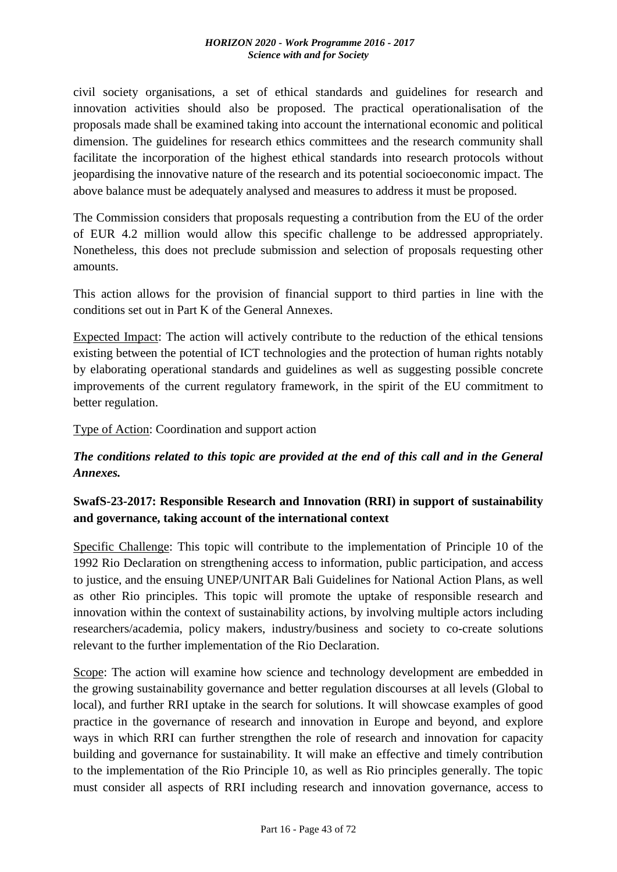civil society organisations, a set of ethical standards and guidelines for research and innovation activities should also be proposed. The practical operationalisation of the proposals made shall be examined taking into account the international economic and political dimension. The guidelines for research ethics committees and the research community shall facilitate the incorporation of the highest ethical standards into research protocols without jeopardising the innovative nature of the research and its potential socioeconomic impact. The above balance must be adequately analysed and measures to address it must be proposed.

The Commission considers that proposals requesting a contribution from the EU of the order of EUR 4.2 million would allow this specific challenge to be addressed appropriately. Nonetheless, this does not preclude submission and selection of proposals requesting other amounts.

This action allows for the provision of financial support to third parties in line with the conditions set out in Part K of the General Annexes.

Expected Impact: The action will actively contribute to the reduction of the ethical tensions existing between the potential of ICT technologies and the protection of human rights notably by elaborating operational standards and guidelines as well as suggesting possible concrete improvements of the current regulatory framework, in the spirit of the EU commitment to better regulation.

Type of Action: Coordination and support action

# *The conditions related to this topic are provided at the end of this call and in the General Annexes.*

# **SwafS-23-2017: Responsible Research and Innovation (RRI) in support of sustainability and governance, taking account of the international context**

Specific Challenge: This topic will contribute to the implementation of Principle 10 of the 1992 Rio Declaration on strengthening access to information, public participation, and access to justice, and the ensuing UNEP/UNITAR Bali Guidelines for National Action Plans, as well as other Rio principles. This topic will promote the uptake of responsible research and innovation within the context of sustainability actions, by involving multiple actors including researchers/academia, policy makers, industry/business and society to co-create solutions relevant to the further implementation of the Rio Declaration.

Scope: The action will examine how science and technology development are embedded in the growing sustainability governance and better regulation discourses at all levels (Global to local), and further RRI uptake in the search for solutions. It will showcase examples of good practice in the governance of research and innovation in Europe and beyond, and explore ways in which RRI can further strengthen the role of research and innovation for capacity building and governance for sustainability. It will make an effective and timely contribution to the implementation of the Rio Principle 10, as well as Rio principles generally. The topic must consider all aspects of RRI including research and innovation governance, access to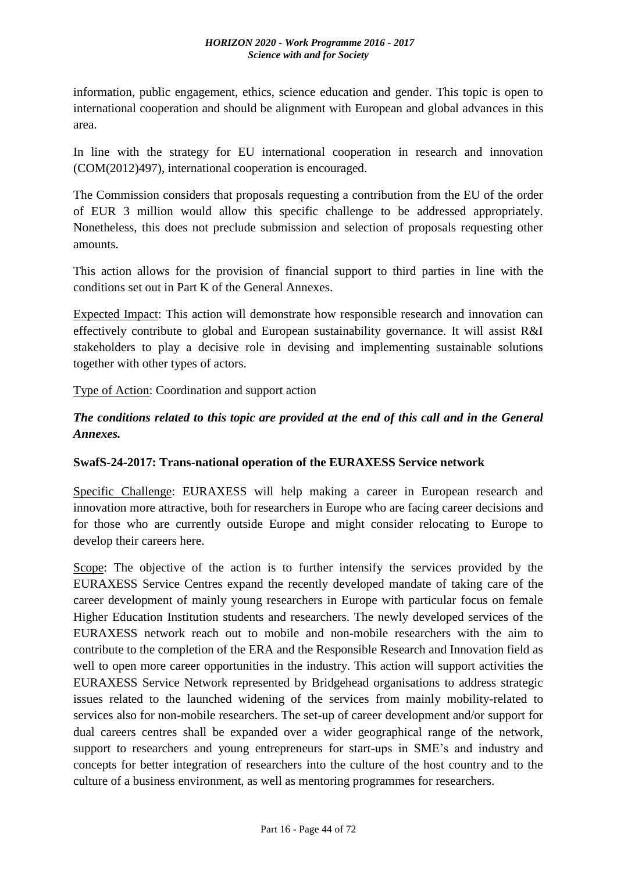information, public engagement, ethics, science education and gender. This topic is open to international cooperation and should be alignment with European and global advances in this area.

In line with the strategy for EU international cooperation in research and innovation (COM(2012)497), international cooperation is encouraged.

The Commission considers that proposals requesting a contribution from the EU of the order of EUR 3 million would allow this specific challenge to be addressed appropriately. Nonetheless, this does not preclude submission and selection of proposals requesting other amounts.

This action allows for the provision of financial support to third parties in line with the conditions set out in Part K of the General Annexes.

Expected Impact: This action will demonstrate how responsible research and innovation can effectively contribute to global and European sustainability governance. It will assist R&I stakeholders to play a decisive role in devising and implementing sustainable solutions together with other types of actors.

Type of Action: Coordination and support action

# *The conditions related to this topic are provided at the end of this call and in the General Annexes.*

#### **SwafS-24-2017: Trans-national operation of the EURAXESS Service network**

Specific Challenge: EURAXESS will help making a career in European research and innovation more attractive, both for researchers in Europe who are facing career decisions and for those who are currently outside Europe and might consider relocating to Europe to develop their careers here.

Scope: The objective of the action is to further intensify the services provided by the EURAXESS Service Centres expand the recently developed mandate of taking care of the career development of mainly young researchers in Europe with particular focus on female Higher Education Institution students and researchers. The newly developed services of the EURAXESS network reach out to mobile and non-mobile researchers with the aim to contribute to the completion of the ERA and the Responsible Research and Innovation field as well to open more career opportunities in the industry. This action will support activities the EURAXESS Service Network represented by Bridgehead organisations to address strategic issues related to the launched widening of the services from mainly mobility-related to services also for non-mobile researchers. The set-up of career development and/or support for dual careers centres shall be expanded over a wider geographical range of the network, support to researchers and young entrepreneurs for start-ups in SME's and industry and concepts for better integration of researchers into the culture of the host country and to the culture of a business environment, as well as mentoring programmes for researchers.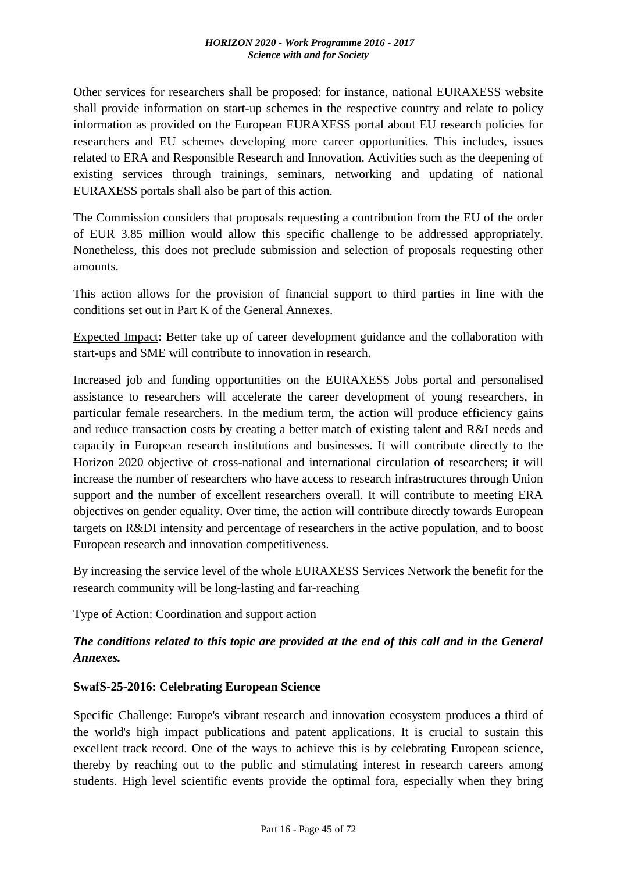Other services for researchers shall be proposed: for instance, national EURAXESS website shall provide information on start-up schemes in the respective country and relate to policy information as provided on the European EURAXESS portal about EU research policies for researchers and EU schemes developing more career opportunities. This includes, issues related to ERA and Responsible Research and Innovation. Activities such as the deepening of existing services through trainings, seminars, networking and updating of national EURAXESS portals shall also be part of this action.

The Commission considers that proposals requesting a contribution from the EU of the order of EUR 3.85 million would allow this specific challenge to be addressed appropriately. Nonetheless, this does not preclude submission and selection of proposals requesting other amounts.

This action allows for the provision of financial support to third parties in line with the conditions set out in Part K of the General Annexes.

Expected Impact: Better take up of career development guidance and the collaboration with start-ups and SME will contribute to innovation in research.

Increased job and funding opportunities on the EURAXESS Jobs portal and personalised assistance to researchers will accelerate the career development of young researchers, in particular female researchers. In the medium term, the action will produce efficiency gains and reduce transaction costs by creating a better match of existing talent and R&I needs and capacity in European research institutions and businesses. It will contribute directly to the Horizon 2020 objective of cross-national and international circulation of researchers; it will increase the number of researchers who have access to research infrastructures through Union support and the number of excellent researchers overall. It will contribute to meeting ERA objectives on gender equality. Over time, the action will contribute directly towards European targets on R&DI intensity and percentage of researchers in the active population, and to boost European research and innovation competitiveness.

By increasing the service level of the whole EURAXESS Services Network the benefit for the research community will be long-lasting and far-reaching

Type of Action: Coordination and support action

# *The conditions related to this topic are provided at the end of this call and in the General Annexes.*

#### **SwafS-25-2016: Celebrating European Science**

Specific Challenge: Europe's vibrant research and innovation ecosystem produces a third of the world's high impact publications and patent applications. It is crucial to sustain this excellent track record. One of the ways to achieve this is by celebrating European science, thereby by reaching out to the public and stimulating interest in research careers among students. High level scientific events provide the optimal fora, especially when they bring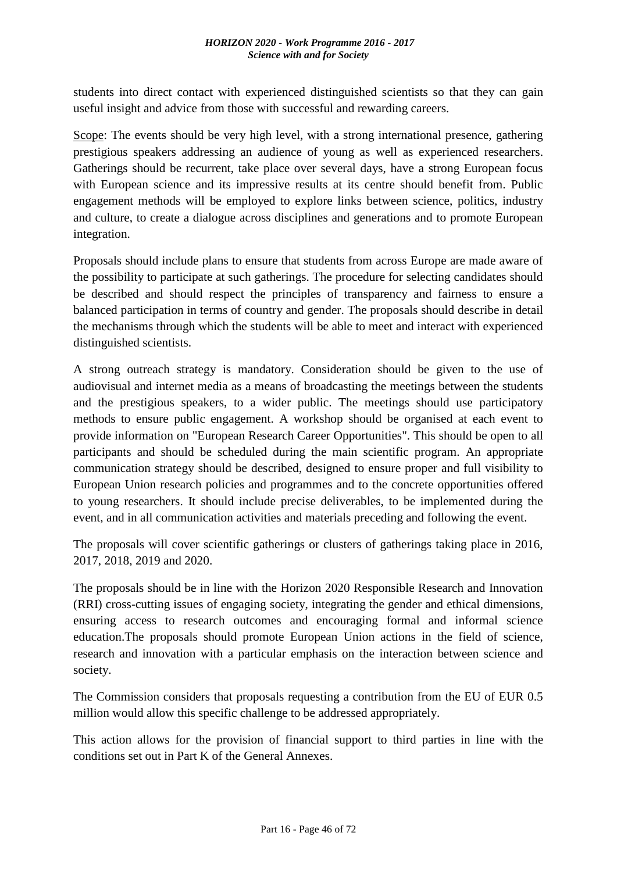students into direct contact with experienced distinguished scientists so that they can gain useful insight and advice from those with successful and rewarding careers.

Scope: The events should be very high level, with a strong international presence, gathering prestigious speakers addressing an audience of young as well as experienced researchers. Gatherings should be recurrent, take place over several days, have a strong European focus with European science and its impressive results at its centre should benefit from. Public engagement methods will be employed to explore links between science, politics, industry and culture, to create a dialogue across disciplines and generations and to promote European integration.

Proposals should include plans to ensure that students from across Europe are made aware of the possibility to participate at such gatherings. The procedure for selecting candidates should be described and should respect the principles of transparency and fairness to ensure a balanced participation in terms of country and gender. The proposals should describe in detail the mechanisms through which the students will be able to meet and interact with experienced distinguished scientists.

A strong outreach strategy is mandatory. Consideration should be given to the use of audiovisual and internet media as a means of broadcasting the meetings between the students and the prestigious speakers, to a wider public. The meetings should use participatory methods to ensure public engagement. A workshop should be organised at each event to provide information on "European Research Career Opportunities". This should be open to all participants and should be scheduled during the main scientific program. An appropriate communication strategy should be described, designed to ensure proper and full visibility to European Union research policies and programmes and to the concrete opportunities offered to young researchers. It should include precise deliverables, to be implemented during the event, and in all communication activities and materials preceding and following the event.

The proposals will cover scientific gatherings or clusters of gatherings taking place in 2016, 2017, 2018, 2019 and 2020.

The proposals should be in line with the Horizon 2020 Responsible Research and Innovation (RRI) cross-cutting issues of engaging society, integrating the gender and ethical dimensions, ensuring access to research outcomes and encouraging formal and informal science education.The proposals should promote European Union actions in the field of science, research and innovation with a particular emphasis on the interaction between science and society.

The Commission considers that proposals requesting a contribution from the EU of EUR 0.5 million would allow this specific challenge to be addressed appropriately.

This action allows for the provision of financial support to third parties in line with the conditions set out in Part K of the General Annexes.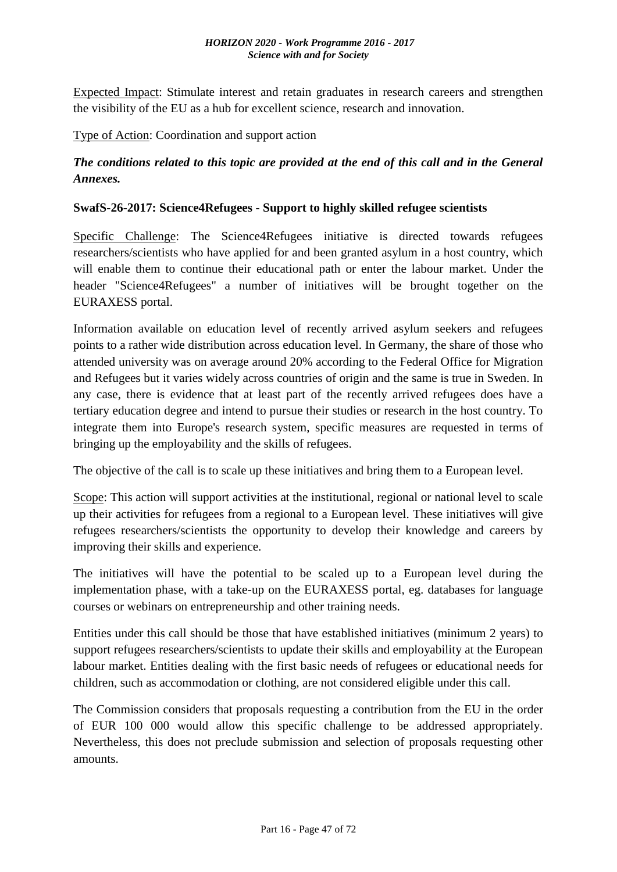#### *HORIZON 2020 - Work Programme 2016 - 2017 Science with and for Society*

Expected Impact: Stimulate interest and retain graduates in research careers and strengthen the visibility of the EU as a hub for excellent science, research and innovation.

Type of Action: Coordination and support action

# *The conditions related to this topic are provided at the end of this call and in the General Annexes.*

#### **SwafS-26-2017: Science4Refugees - Support to highly skilled refugee scientists**

Specific Challenge: The Science4Refugees initiative is directed towards refugees researchers/scientists who have applied for and been granted asylum in a host country, which will enable them to continue their educational path or enter the labour market. Under the header "Science4Refugees" a number of initiatives will be brought together on the EURAXESS portal.

Information available on education level of recently arrived asylum seekers and refugees points to a rather wide distribution across education level. In Germany, the share of those who attended university was on average around 20% according to the Federal Office for Migration and Refugees but it varies widely across countries of origin and the same is true in Sweden. In any case, there is evidence that at least part of the recently arrived refugees does have a tertiary education degree and intend to pursue their studies or research in the host country. To integrate them into Europe's research system, specific measures are requested in terms of bringing up the employability and the skills of refugees.

The objective of the call is to scale up these initiatives and bring them to a European level.

Scope: This action will support activities at the institutional, regional or national level to scale up their activities for refugees from a regional to a European level. These initiatives will give refugees researchers/scientists the opportunity to develop their knowledge and careers by improving their skills and experience.

The initiatives will have the potential to be scaled up to a European level during the implementation phase, with a take-up on the EURAXESS portal, eg. databases for language courses or webinars on entrepreneurship and other training needs.

Entities under this call should be those that have established initiatives (minimum 2 years) to support refugees researchers/scientists to update their skills and employability at the European labour market. Entities dealing with the first basic needs of refugees or educational needs for children, such as accommodation or clothing, are not considered eligible under this call.

The Commission considers that proposals requesting a contribution from the EU in the order of EUR 100 000 would allow this specific challenge to be addressed appropriately. Nevertheless, this does not preclude submission and selection of proposals requesting other amounts.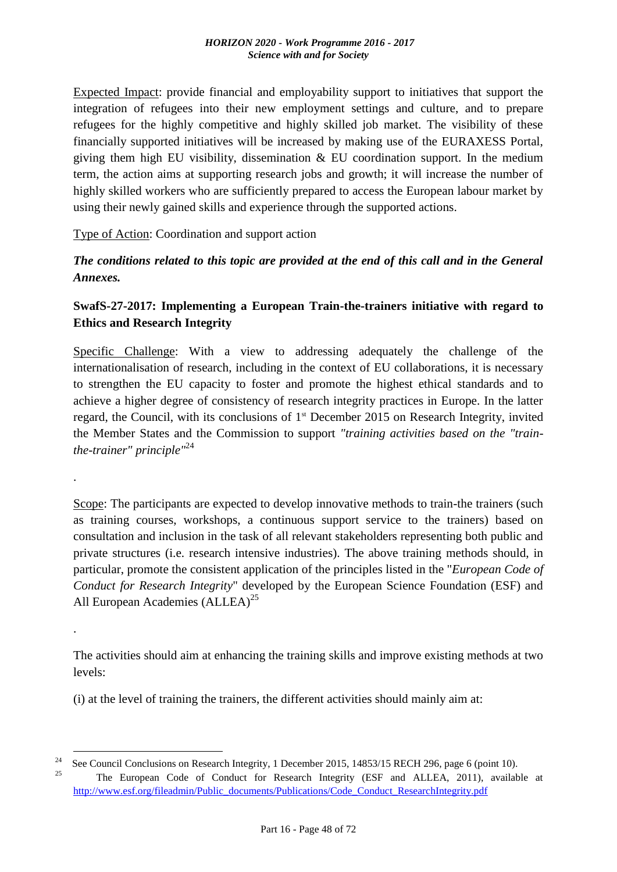Expected Impact: provide financial and employability support to initiatives that support the integration of refugees into their new employment settings and culture, and to prepare refugees for the highly competitive and highly skilled job market. The visibility of these financially supported initiatives will be increased by making use of the EURAXESS Portal, giving them high EU visibility, dissemination & EU coordination support. In the medium term, the action aims at supporting research jobs and growth; it will increase the number of highly skilled workers who are sufficiently prepared to access the European labour market by using their newly gained skills and experience through the supported actions.

#### Type of Action: Coordination and support action

*The conditions related to this topic are provided at the end of this call and in the General Annexes.*

# **SwafS-27-2017: Implementing a European Train-the-trainers initiative with regard to Ethics and Research Integrity**

Specific Challenge: With a view to addressing adequately the challenge of the internationalisation of research, including in the context of EU collaborations, it is necessary to strengthen the EU capacity to foster and promote the highest ethical standards and to achieve a higher degree of consistency of research integrity practices in Europe. In the latter regard, the Council, with its conclusions of 1st December 2015 on Research Integrity, invited the Member States and the Commission to support *"training activities based on the "trainthe-trainer" principle"*<sup>24</sup>

Scope: The participants are expected to develop innovative methods to train-the trainers (such as training courses, workshops, a continuous support service to the trainers) based on consultation and inclusion in the task of all relevant stakeholders representing both public and private structures (i.e. research intensive industries). The above training methods should, in particular, promote the consistent application of the principles listed in the "*European Code of Conduct for Research Integrity*" developed by the European Science Foundation (ESF) and All European Academies (ALLEA)<sup>25</sup>

The activities should aim at enhancing the training skills and improve existing methods at two levels:

(i) at the level of training the trainers, the different activities should mainly aim at:

1

.

.

<sup>&</sup>lt;sup>24</sup>See Council Conclusions on Research Integrity, 1 December 2015, 14853/15 RECH 296, page 6 (point 10).

<sup>25</sup>The European Code of Conduct for Research Integrity (ESF and ALLEA, 2011), available at [http://www.esf.org/fileadmin/Public\\_documents/Publications/Code\\_Conduct\\_ResearchIntegrity.pdf](http://www.esf.org/fileadmin/Public_documents/Publications/Code_Conduct_ResearchIntegrity.pdf)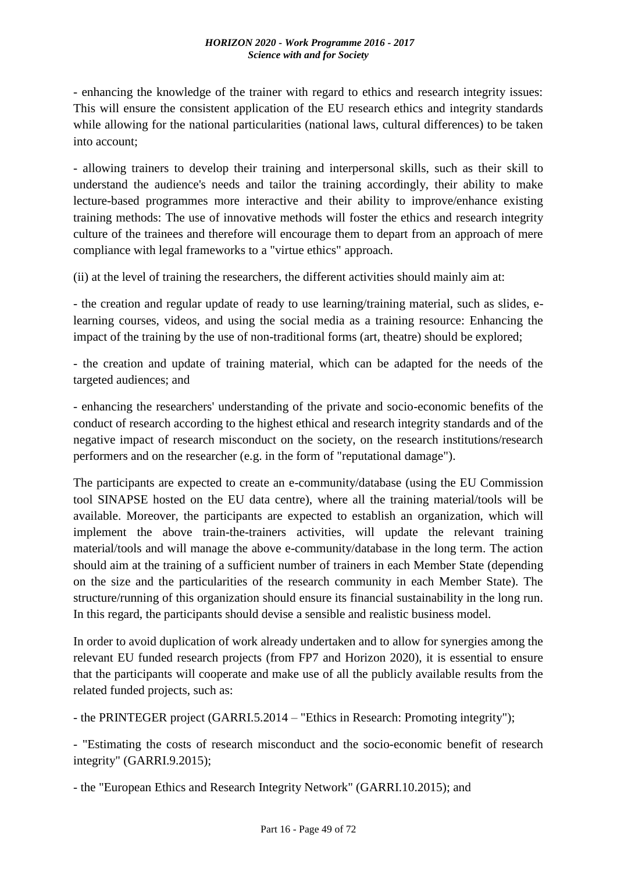- enhancing the knowledge of the trainer with regard to ethics and research integrity issues: This will ensure the consistent application of the EU research ethics and integrity standards while allowing for the national particularities (national laws, cultural differences) to be taken into account;

- allowing trainers to develop their training and interpersonal skills, such as their skill to understand the audience's needs and tailor the training accordingly, their ability to make lecture-based programmes more interactive and their ability to improve/enhance existing training methods: The use of innovative methods will foster the ethics and research integrity culture of the trainees and therefore will encourage them to depart from an approach of mere compliance with legal frameworks to a "virtue ethics" approach.

(ii) at the level of training the researchers, the different activities should mainly aim at:

- the creation and regular update of ready to use learning/training material, such as slides, elearning courses, videos, and using the social media as a training resource: Enhancing the impact of the training by the use of non-traditional forms (art, theatre) should be explored;

- the creation and update of training material, which can be adapted for the needs of the targeted audiences; and

- enhancing the researchers' understanding of the private and socio-economic benefits of the conduct of research according to the highest ethical and research integrity standards and of the negative impact of research misconduct on the society, on the research institutions/research performers and on the researcher (e.g. in the form of "reputational damage").

The participants are expected to create an e-community/database (using the EU Commission tool SINAPSE hosted on the EU data centre), where all the training material/tools will be available. Moreover, the participants are expected to establish an organization, which will implement the above train-the-trainers activities, will update the relevant training material/tools and will manage the above e-community/database in the long term. The action should aim at the training of a sufficient number of trainers in each Member State (depending on the size and the particularities of the research community in each Member State). The structure/running of this organization should ensure its financial sustainability in the long run. In this regard, the participants should devise a sensible and realistic business model.

In order to avoid duplication of work already undertaken and to allow for synergies among the relevant EU funded research projects (from FP7 and Horizon 2020), it is essential to ensure that the participants will cooperate and make use of all the publicly available results from the related funded projects, such as:

- the PRINTEGER project (GARRI.5.2014 – "Ethics in Research: Promoting integrity");

- "Estimating the costs of research misconduct and the socio-economic benefit of research integrity" (GARRI.9.2015);

- the "European Ethics and Research Integrity Network" (GARRI.10.2015); and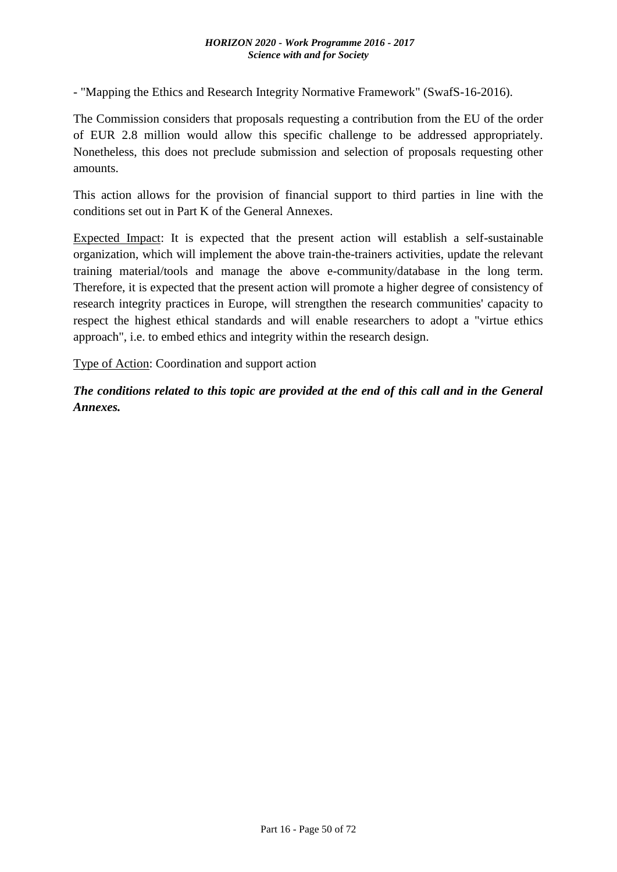#### *HORIZON 2020 - Work Programme 2016 - 2017 Science with and for Society*

- "Mapping the Ethics and Research Integrity Normative Framework" (SwafS-16-2016).

The Commission considers that proposals requesting a contribution from the EU of the order of EUR 2.8 million would allow this specific challenge to be addressed appropriately. Nonetheless, this does not preclude submission and selection of proposals requesting other amounts.

This action allows for the provision of financial support to third parties in line with the conditions set out in Part K of the General Annexes.

Expected Impact: It is expected that the present action will establish a self-sustainable organization, which will implement the above train-the-trainers activities, update the relevant training material/tools and manage the above e-community/database in the long term. Therefore, it is expected that the present action will promote a higher degree of consistency of research integrity practices in Europe, will strengthen the research communities' capacity to respect the highest ethical standards and will enable researchers to adopt a "virtue ethics approach", i.e. to embed ethics and integrity within the research design.

Type of Action: Coordination and support action

*The conditions related to this topic are provided at the end of this call and in the General Annexes.*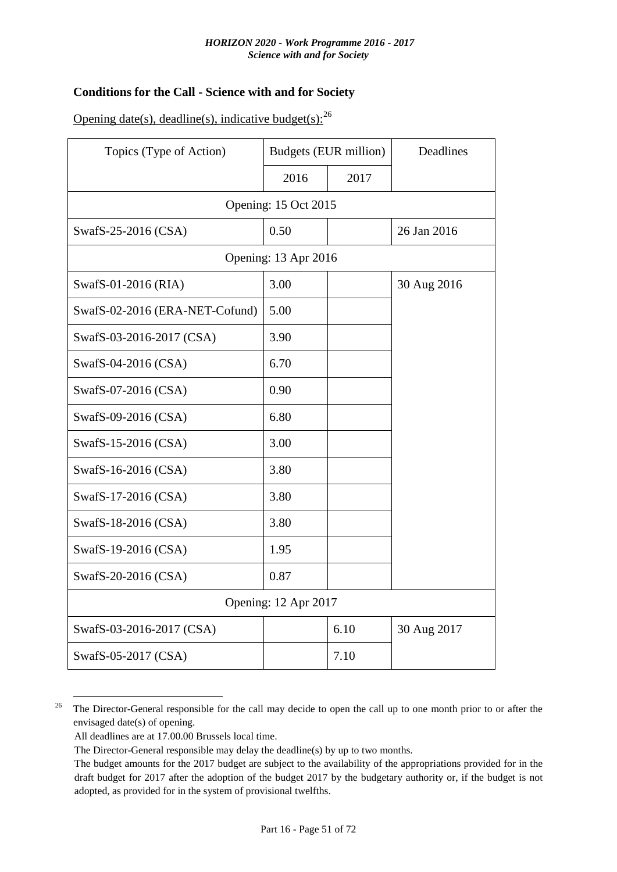#### **Conditions for the Call - Science with and for Society**

| Opening date(s), deadline(s), indicative budget(s): $^{26}$ |  |  |  |  |
|-------------------------------------------------------------|--|--|--|--|
|-------------------------------------------------------------|--|--|--|--|

| Topics (Type of Action)        | <b>Budgets (EUR million)</b> |      | Deadlines   |  |  |
|--------------------------------|------------------------------|------|-------------|--|--|
|                                | 2016                         | 2017 |             |  |  |
| Opening: 15 Oct 2015           |                              |      |             |  |  |
| SwafS-25-2016 (CSA)            | 0.50                         |      | 26 Jan 2016 |  |  |
|                                | Opening: 13 Apr 2016         |      |             |  |  |
| SwafS-01-2016 (RIA)            | 3.00                         |      | 30 Aug 2016 |  |  |
| SwafS-02-2016 (ERA-NET-Cofund) | 5.00                         |      |             |  |  |
| SwafS-03-2016-2017 (CSA)       | 3.90                         |      |             |  |  |
| SwafS-04-2016 (CSA)            | 6.70                         |      |             |  |  |
| SwafS-07-2016 (CSA)            | 0.90                         |      |             |  |  |
| SwafS-09-2016 (CSA)            | 6.80                         |      |             |  |  |
| SwafS-15-2016 (CSA)            | 3.00                         |      |             |  |  |
| SwafS-16-2016 (CSA)            | 3.80                         |      |             |  |  |
| SwafS-17-2016 (CSA)            | 3.80                         |      |             |  |  |
| SwafS-18-2016 (CSA)            | 3.80                         |      |             |  |  |
| SwafS-19-2016 (CSA)            | 1.95                         |      |             |  |  |
| SwafS-20-2016 (CSA)            | 0.87                         |      |             |  |  |
| Opening: 12 Apr 2017           |                              |      |             |  |  |
| SwafS-03-2016-2017 (CSA)       |                              | 6.10 | 30 Aug 2017 |  |  |
| SwafS-05-2017 (CSA)            |                              | 7.10 |             |  |  |

1 <sup>26</sup> The Director-General responsible for the call may decide to open the call up to one month prior to or after the envisaged date(s) of opening.

All deadlines are at 17.00.00 Brussels local time.

The Director-General responsible may delay the deadline(s) by up to two months.

The budget amounts for the 2017 budget are subject to the availability of the appropriations provided for in the draft budget for 2017 after the adoption of the budget 2017 by the budgetary authority or, if the budget is not adopted, as provided for in the system of provisional twelfths.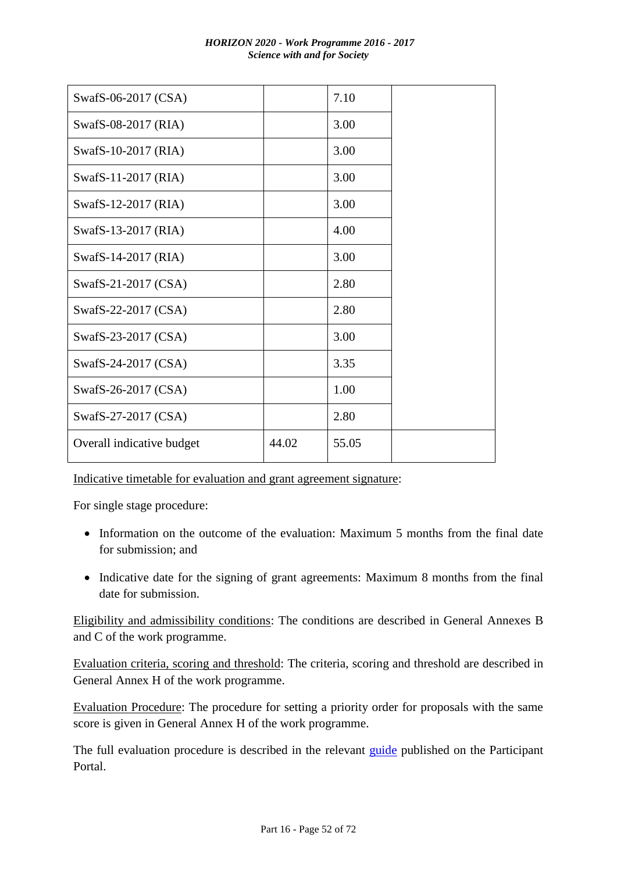| SwafS-06-2017 (CSA)       |       | 7.10  |
|---------------------------|-------|-------|
| SwafS-08-2017 (RIA)       |       | 3.00  |
| SwafS-10-2017 (RIA)       |       | 3.00  |
| SwafS-11-2017 (RIA)       |       | 3.00  |
| SwafS-12-2017 (RIA)       |       | 3.00  |
| SwafS-13-2017 (RIA)       |       | 4.00  |
| SwafS-14-2017 (RIA)       |       | 3.00  |
| SwafS-21-2017 (CSA)       |       | 2.80  |
| SwafS-22-2017 (CSA)       |       | 2.80  |
| SwafS-23-2017 (CSA)       |       | 3.00  |
| SwafS-24-2017 (CSA)       |       | 3.35  |
| SwafS-26-2017 (CSA)       |       | 1.00  |
| SwafS-27-2017 (CSA)       |       | 2.80  |
| Overall indicative budget | 44.02 | 55.05 |

Indicative timetable for evaluation and grant agreement signature:

For single stage procedure:

- Information on the outcome of the evaluation: Maximum 5 months from the final date for submission; and
- Indicative date for the signing of grant agreements: Maximum 8 months from the final date for submission.

Eligibility and admissibility conditions: The conditions are described in General Annexes B and C of the work programme.

Evaluation criteria, scoring and threshold: The criteria, scoring and threshold are described in General Annex H of the work programme.

Evaluation Procedure: The procedure for setting a priority order for proposals with the same score is given in General Annex H of the work programme.

The full evaluation procedure is described in the relevant *guide* published on the Participant Portal.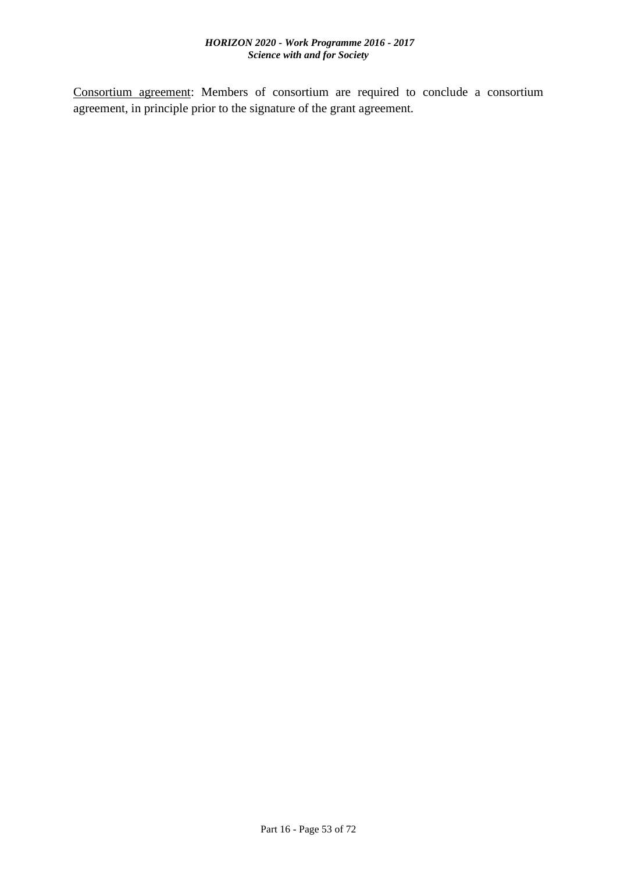Consortium agreement: Members of consortium are required to conclude a consortium agreement, in principle prior to the signature of the grant agreement.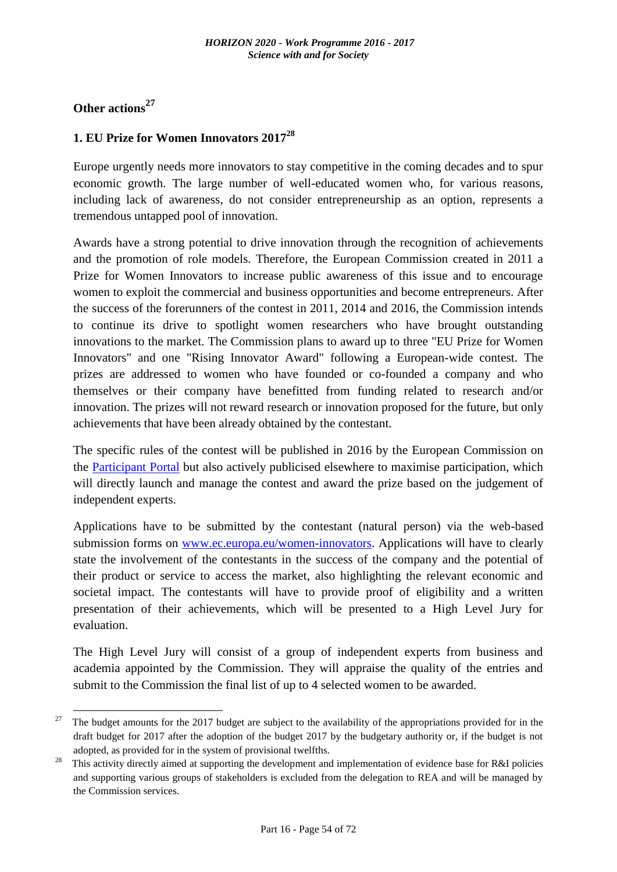# **Other actions<sup>27</sup>**

1

#### **1. EU Prize for Women Innovators 2017<sup>28</sup>**

Europe urgently needs more innovators to stay competitive in the coming decades and to spur economic growth. The large number of well-educated women who, for various reasons, including lack of awareness, do not consider entrepreneurship as an option, represents a tremendous untapped pool of innovation.

Awards have a strong potential to drive innovation through the recognition of achievements and the promotion of role models. Therefore, the European Commission created in 2011 a Prize for Women Innovators to increase public awareness of this issue and to encourage women to exploit the commercial and business opportunities and become entrepreneurs. After the success of the forerunners of the contest in 2011, 2014 and 2016, the Commission intends to continue its drive to spotlight women researchers who have brought outstanding innovations to the market. The Commission plans to award up to three "EU Prize for Women Innovators" and one "Rising Innovator Award" following a European-wide contest. The prizes are addressed to women who have founded or co-founded a company and who themselves or their company have benefitted from funding related to research and/or innovation. The prizes will not reward research or innovation proposed for the future, but only achievements that have been already obtained by the contestant.

The specific rules of the contest will be published in 2016 by the European Commission on the [Participant Portal](http://ec.europa.eu/research/participants/portal/desktop/en/home.html) but also actively publicised elsewhere to maximise participation, which will directly launch and manage the contest and award the prize based on the judgement of independent experts.

Applications have to be submitted by the contestant (natural person) via the web-based submission forms on [www.ec.europa.eu/women-innovators.](http://www.ec.europa.eu/women-innovators) Applications will have to clearly state the involvement of the contestants in the success of the company and the potential of their product or service to access the market, also highlighting the relevant economic and societal impact. The contestants will have to provide proof of eligibility and a written presentation of their achievements, which will be presented to a High Level Jury for evaluation.

The High Level Jury will consist of a group of independent experts from business and academia appointed by the Commission. They will appraise the quality of the entries and submit to the Commission the final list of up to 4 selected women to be awarded.

<sup>&</sup>lt;sup>27</sup> The budget amounts for the 2017 budget are subject to the availability of the appropriations provided for in the draft budget for 2017 after the adoption of the budget 2017 by the budgetary authority or, if the budget is not adopted, as provided for in the system of provisional twelfths.

This activity directly aimed at supporting the development and implementation of evidence base for R&I policies and supporting various groups of stakeholders is excluded from the delegation to REA and will be managed by the Commission services.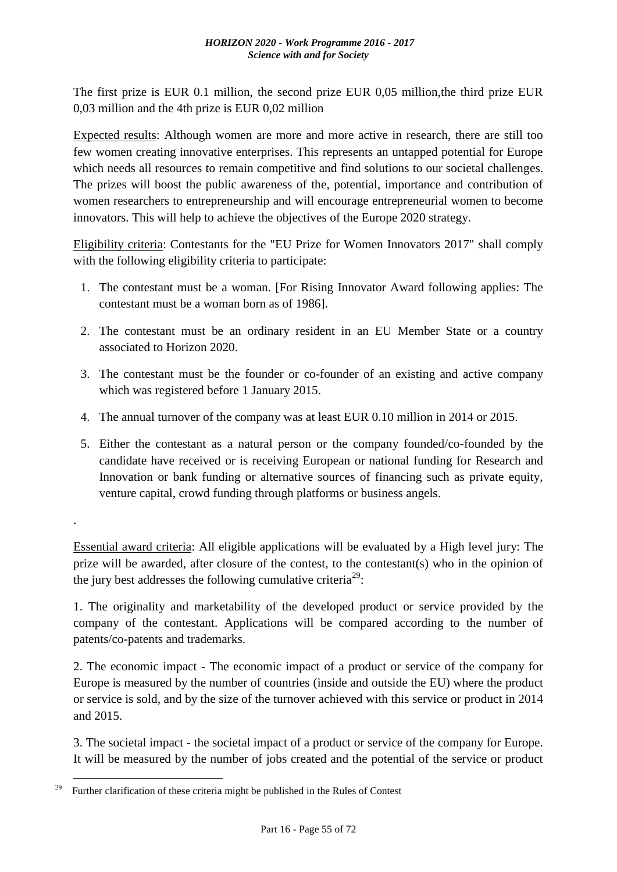The first prize is EUR 0.1 million, the second prize EUR 0,05 million,the third prize EUR 0,03 million and the 4th prize is EUR 0,02 million

Expected results: Although women are more and more active in research, there are still too few women creating innovative enterprises. This represents an untapped potential for Europe which needs all resources to remain competitive and find solutions to our societal challenges. The prizes will boost the public awareness of the, potential, importance and contribution of women researchers to entrepreneurship and will encourage entrepreneurial women to become innovators. This will help to achieve the objectives of the Europe 2020 strategy.

Eligibility criteria: Contestants for the "EU Prize for Women Innovators 2017" shall comply with the following eligibility criteria to participate:

- 1. The contestant must be a woman. [For Rising Innovator Award following applies: The contestant must be a woman born as of 1986].
- 2. The contestant must be an ordinary resident in an EU Member State or a country associated to Horizon 2020.
- 3. The contestant must be the founder or co-founder of an existing and active company which was registered before 1 January 2015.
- 4. The annual turnover of the company was at least EUR 0.10 million in 2014 or 2015.
- 5. Either the contestant as a natural person or the company founded/co-founded by the candidate have received or is receiving European or national funding for Research and Innovation or bank funding or alternative sources of financing such as private equity, venture capital, crowd funding through platforms or business angels.

Essential award criteria: All eligible applications will be evaluated by a High level jury: The prize will be awarded, after closure of the contest, to the contestant(s) who in the opinion of the jury best addresses the following cumulative criteria<sup>29</sup>:

1. The originality and marketability of the developed product or service provided by the company of the contestant. Applications will be compared according to the number of patents/co-patents and trademarks.

2. The economic impact - The economic impact of a product or service of the company for Europe is measured by the number of countries (inside and outside the EU) where the product or service is sold, and by the size of the turnover achieved with this service or product in 2014 and 2015.

3. The societal impact - the societal impact of a product or service of the company for Europe. It will be measured by the number of jobs created and the potential of the service or product

.

<sup>&</sup>lt;u>.</u> <sup>29</sup>Further clarification of these criteria might be published in the Rules of Contest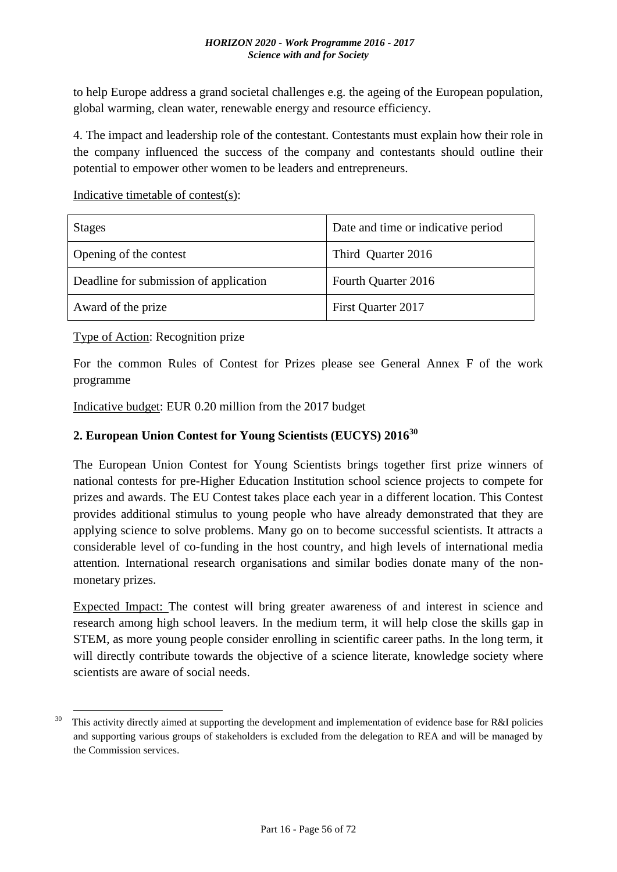to help Europe address a grand societal challenges e.g. the ageing of the European population, global warming, clean water, renewable energy and resource efficiency.

4. The impact and leadership role of the contestant. Contestants must explain how their role in the company influenced the success of the company and contestants should outline their potential to empower other women to be leaders and entrepreneurs.

Indicative timetable of contest(s):

| <b>Stages</b>                          | Date and time or indicative period |
|----------------------------------------|------------------------------------|
| Opening of the contest                 | Third Quarter 2016                 |
| Deadline for submission of application | Fourth Quarter 2016                |
| Award of the prize                     | First Quarter 2017                 |

Type of Action: Recognition prize

1

For the common Rules of Contest for Prizes please see General Annex F of the work programme

Indicative budget: EUR 0.20 million from the 2017 budget

## **2. European Union Contest for Young Scientists (EUCYS) 2016<sup>30</sup>**

The European Union Contest for Young Scientists brings together first prize winners of national contests for pre-Higher Education Institution school science projects to compete for prizes and awards. The EU Contest takes place each year in a different location. This Contest provides additional stimulus to young people who have already demonstrated that they are applying science to solve problems. Many go on to become successful scientists. It attracts a considerable level of co-funding in the host country, and high levels of international media attention. International research organisations and similar bodies donate many of the nonmonetary prizes.

Expected Impact: The contest will bring greater awareness of and interest in science and research among high school leavers. In the medium term, it will help close the skills gap in STEM, as more young people consider enrolling in scientific career paths. In the long term, it will directly contribute towards the objective of a science literate, knowledge society where scientists are aware of social needs.

 $30$  This activity directly aimed at supporting the development and implementation of evidence base for R&I policies and supporting various groups of stakeholders is excluded from the delegation to REA and will be managed by the Commission services.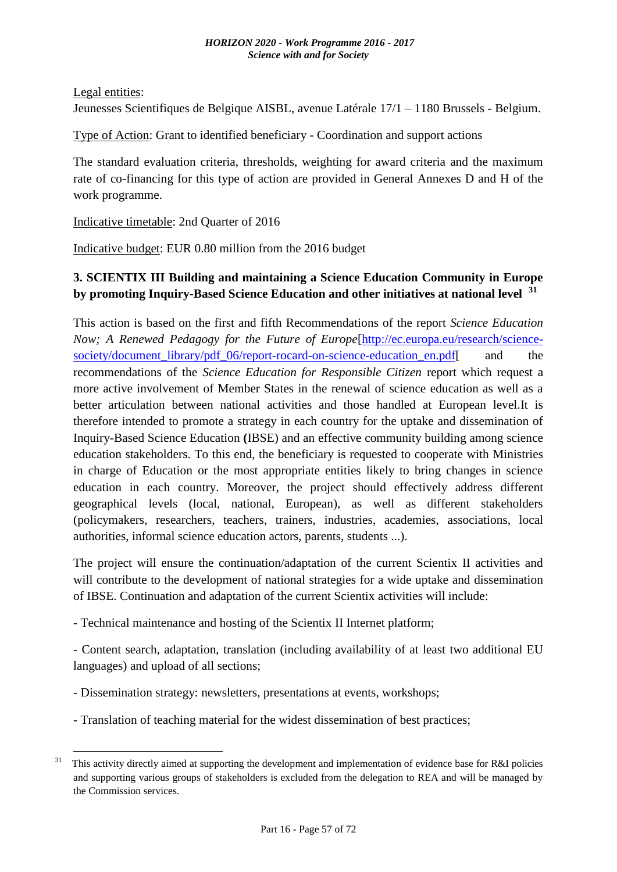Legal entities:

1

Jeunesses Scientifiques de Belgique AISBL, avenue Latérale 17/1 – 1180 Brussels - Belgium.

Type of Action: Grant to identified beneficiary - Coordination and support actions

The standard evaluation criteria, thresholds, weighting for award criteria and the maximum rate of co-financing for this type of action are provided in General Annexes D and H of the work programme.

Indicative timetable: 2nd Quarter of 2016

Indicative budget: EUR 0.80 million from the 2016 budget

# **3. SCIENTIX III Building and maintaining a Science Education Community in Europe by promoting Inquiry-Based Science Education and other initiatives at national level <sup>31</sup>**

This action is based on the first and fifth Recommendations of the report *Science Education Now; A Renewed Pedagogy for the Future of Europe*[\[http://ec.europa.eu/research/science](http://ec.europa.eu/research/science-society/document_library/pdf_06/report-rocard-on-science-education_en.pdf)[society/document\\_library/pdf\\_06/report-rocard-on-science-education\\_en.pdf\[](http://ec.europa.eu/research/science-society/document_library/pdf_06/report-rocard-on-science-education_en.pdf) and the recommendations of the *Science Education for Responsible Citizen* report which request a more active involvement of Member States in the renewal of science education as well as a better articulation between national activities and those handled at European level.It is therefore intended to promote a strategy in each country for the uptake and dissemination of Inquiry-Based Science Education **(**IBSE) and an effective community building among science education stakeholders. To this end, the beneficiary is requested to cooperate with Ministries in charge of Education or the most appropriate entities likely to bring changes in science education in each country. Moreover, the project should effectively address different geographical levels (local, national, European), as well as different stakeholders (policymakers, researchers, teachers, trainers, industries, academies, associations, local authorities, informal science education actors, parents, students ...).

The project will ensure the continuation/adaptation of the current Scientix II activities and will contribute to the development of national strategies for a wide uptake and dissemination of IBSE. Continuation and adaptation of the current Scientix activities will include:

- Technical maintenance and hosting of the Scientix II Internet platform;

- Content search, adaptation, translation (including availability of at least two additional EU languages) and upload of all sections;

- Dissemination strategy: newsletters, presentations at events, workshops;
- Translation of teaching material for the widest dissemination of best practices;

This activity directly aimed at supporting the development and implementation of evidence base for R&I policies and supporting various groups of stakeholders is excluded from the delegation to REA and will be managed by the Commission services.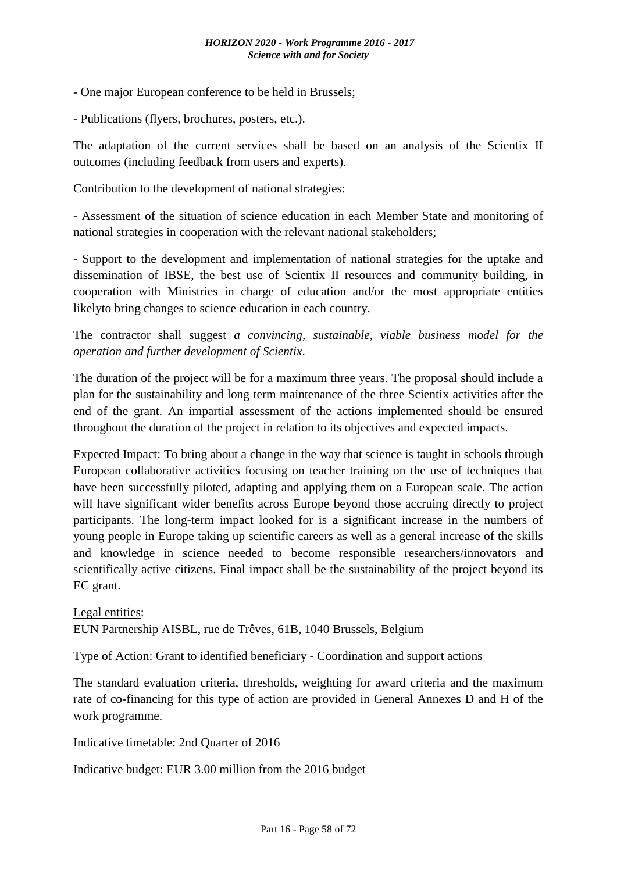- One major European conference to be held in Brussels;
- Publications (flyers, brochures, posters, etc.).

The adaptation of the current services shall be based on an analysis of the Scientix II outcomes (including feedback from users and experts).

Contribution to the development of national strategies:

- Assessment of the situation of science education in each Member State and monitoring of national strategies in cooperation with the relevant national stakeholders;

- Support to the development and implementation of national strategies for the uptake and dissemination of IBSE, the best use of Scientix II resources and community building, in cooperation with Ministries in charge of education and/or the most appropriate entities likelyto bring changes to science education in each country.

The contractor shall suggest *a convincing, sustainable, viable business model for the operation and further development of Scientix*.

The duration of the project will be for a maximum three years. The proposal should include a plan for the sustainability and long term maintenance of the three Scientix activities after the end of the grant. An impartial assessment of the actions implemented should be ensured throughout the duration of the project in relation to its objectives and expected impacts.

Expected Impact: To bring about a change in the way that science is taught in schools through European collaborative activities focusing on teacher training on the use of techniques that have been successfully piloted, adapting and applying them on a European scale. The action will have significant wider benefits across Europe beyond those accruing directly to project participants. The long-term impact looked for is a significant increase in the numbers of young people in Europe taking up scientific careers as well as a general increase of the skills and knowledge in science needed to become responsible researchers/innovators and scientifically active citizens. Final impact shall be the sustainability of the project beyond its EC grant.

Legal entities: EUN Partnership AISBL, rue de Trêves, 61B, 1040 Brussels, Belgium

Type of Action: Grant to identified beneficiary - Coordination and support actions

The standard evaluation criteria, thresholds, weighting for award criteria and the maximum rate of co-financing for this type of action are provided in General Annexes D and H of the work programme.

Indicative timetable: 2nd Quarter of 2016

Indicative budget: EUR 3.00 million from the 2016 budget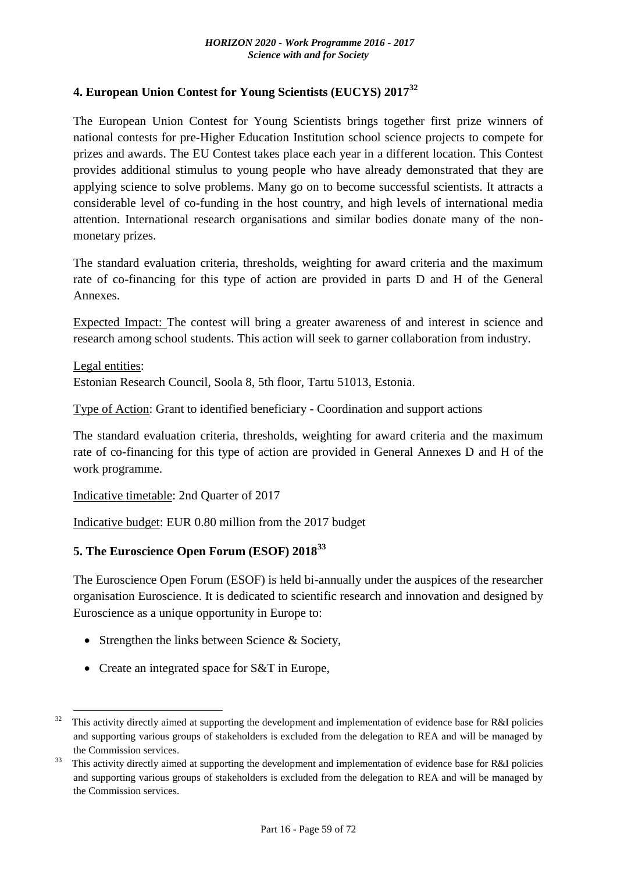#### **4. European Union Contest for Young Scientists (EUCYS) 2017<sup>32</sup>**

The European Union Contest for Young Scientists brings together first prize winners of national contests for pre-Higher Education Institution school science projects to compete for prizes and awards. The EU Contest takes place each year in a different location. This Contest provides additional stimulus to young people who have already demonstrated that they are applying science to solve problems. Many go on to become successful scientists. It attracts a considerable level of co-funding in the host country, and high levels of international media attention. International research organisations and similar bodies donate many of the nonmonetary prizes.

The standard evaluation criteria, thresholds, weighting for award criteria and the maximum rate of co-financing for this type of action are provided in parts D and H of the General Annexes.

Expected Impact: The contest will bring a greater awareness of and interest in science and research among school students. This action will seek to garner collaboration from industry.

Legal entities: Estonian Research Council, Soola 8, 5th floor, Tartu 51013, Estonia.

Type of Action: Grant to identified beneficiary - Coordination and support actions

The standard evaluation criteria, thresholds, weighting for award criteria and the maximum rate of co-financing for this type of action are provided in General Annexes D and H of the work programme.

Indicative timetable: 2nd Quarter of 2017

Indicative budget: EUR 0.80 million from the 2017 budget

#### **5. The Euroscience Open Forum (ESOF) 2018<sup>33</sup>**

The Euroscience Open Forum (ESOF) is held bi-annually under the auspices of the researcher organisation Euroscience. It is dedicated to scientific research and innovation and designed by Euroscience as a unique opportunity in Europe to:

- Strengthen the links between Science  $&$  Society,
- Create an integrated space for S&T in Europe,

1

 $32$  This activity directly aimed at supporting the development and implementation of evidence base for R&I policies and supporting various groups of stakeholders is excluded from the delegation to REA and will be managed by the Commission services.

This activity directly aimed at supporting the development and implementation of evidence base for R&I policies and supporting various groups of stakeholders is excluded from the delegation to REA and will be managed by the Commission services.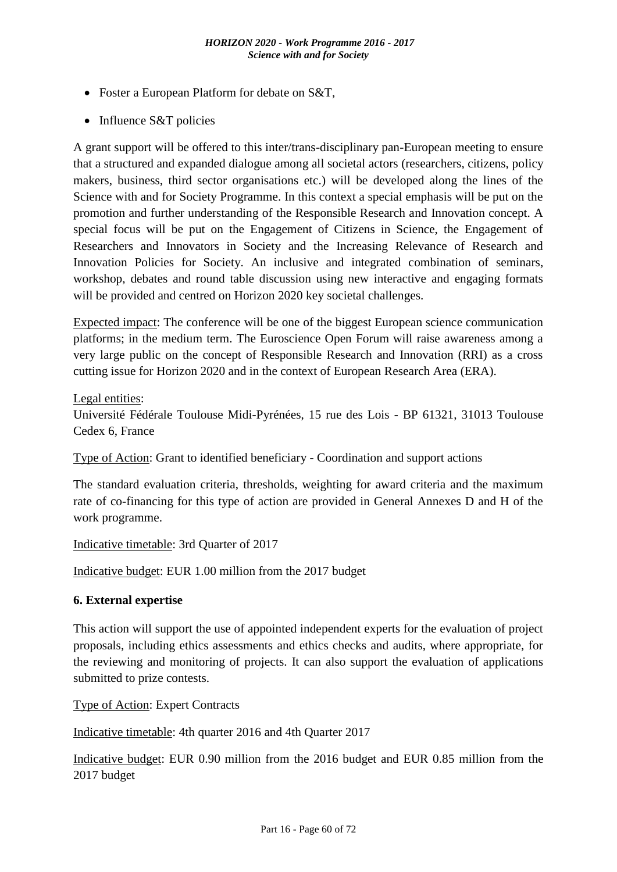- Foster a European Platform for debate on S&T,
- Influence S&T policies

A grant support will be offered to this inter/trans-disciplinary pan-European meeting to ensure that a structured and expanded dialogue among all societal actors (researchers, citizens, policy makers, business, third sector organisations etc.) will be developed along the lines of the Science with and for Society Programme. In this context a special emphasis will be put on the promotion and further understanding of the Responsible Research and Innovation concept. A special focus will be put on the Engagement of Citizens in Science, the Engagement of Researchers and Innovators in Society and the Increasing Relevance of Research and Innovation Policies for Society. An inclusive and integrated combination of seminars, workshop, debates and round table discussion using new interactive and engaging formats will be provided and centred on Horizon 2020 key societal challenges.

Expected impact: The conference will be one of the biggest European science communication platforms; in the medium term. The Euroscience Open Forum will raise awareness among a very large public on the concept of Responsible Research and Innovation (RRI) as a cross cutting issue for Horizon 2020 and in the context of European Research Area (ERA).

Legal entities:

Université Fédérale Toulouse Midi-Pyrénées, 15 rue des Lois - BP 61321, 31013 Toulouse Cedex 6, France

Type of Action: Grant to identified beneficiary - Coordination and support actions

The standard evaluation criteria, thresholds, weighting for award criteria and the maximum rate of co-financing for this type of action are provided in General Annexes D and H of the work programme.

Indicative timetable: 3rd Quarter of 2017

Indicative budget: EUR 1.00 million from the 2017 budget

#### **6. External expertise**

This action will support the use of appointed independent experts for the evaluation of project proposals, including ethics assessments and ethics checks and audits, where appropriate, for the reviewing and monitoring of projects. It can also support the evaluation of applications submitted to prize contests.

Type of Action: Expert Contracts

Indicative timetable: 4th quarter 2016 and 4th Quarter 2017

Indicative budget: EUR 0.90 million from the 2016 budget and EUR 0.85 million from the 2017 budget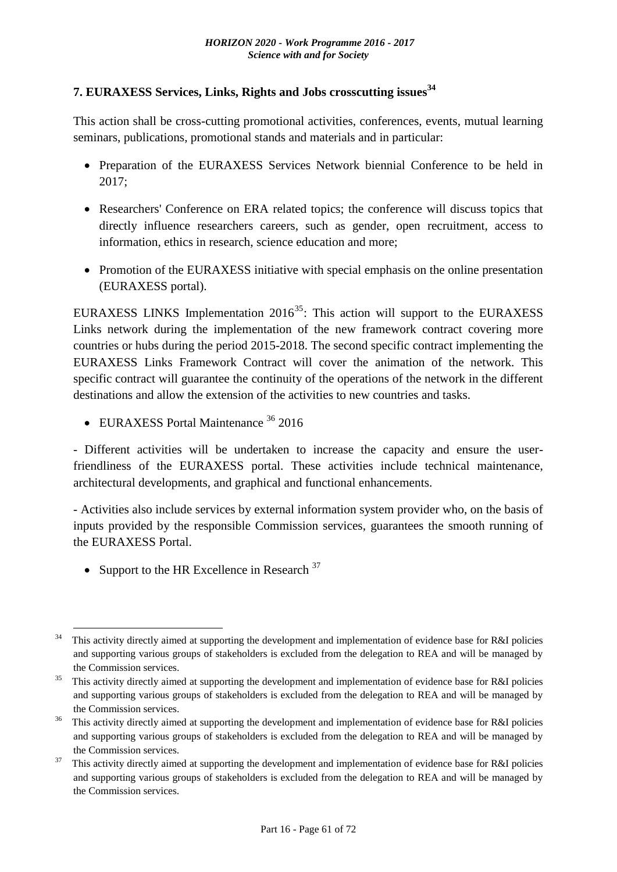# **7. EURAXESS Services, Links, Rights and Jobs crosscutting issues<sup>34</sup>**

This action shall be cross-cutting promotional activities, conferences, events, mutual learning seminars, publications, promotional stands and materials and in particular:

- Preparation of the EURAXESS Services Network biennial Conference to be held in 2017;
- Researchers' Conference on ERA related topics; the conference will discuss topics that directly influence researchers careers, such as gender, open recruitment, access to information, ethics in research, science education and more;
- Promotion of the EURAXESS initiative with special emphasis on the online presentation (EURAXESS portal).

EURAXESS LINKS Implementation  $2016^{35}$ : This action will support to the EURAXESS Links network during the implementation of the new framework contract covering more countries or hubs during the period 2015-2018. The second specific contract implementing the EURAXESS Links Framework Contract will cover the animation of the network. This specific contract will guarantee the continuity of the operations of the network in the different destinations and allow the extension of the activities to new countries and tasks.

• EURAXESS Portal Maintenance <sup>36</sup> 2016

- Different activities will be undertaken to increase the capacity and ensure the userfriendliness of the EURAXESS portal. These activities include technical maintenance, architectural developments, and graphical and functional enhancements.

- Activities also include services by external information system provider who, on the basis of inputs provided by the responsible Commission services, guarantees the smooth running of the EURAXESS Portal.

• Support to the HR Excellence in Research  $37$ 

<sup>&</sup>lt;u>.</u> <sup>34</sup> This activity directly aimed at supporting the development and implementation of evidence base for R&I policies and supporting various groups of stakeholders is excluded from the delegation to REA and will be managed by the Commission services.

 $35$  This activity directly aimed at supporting the development and implementation of evidence base for R&I policies and supporting various groups of stakeholders is excluded from the delegation to REA and will be managed by the Commission services.

 $36$  This activity directly aimed at supporting the development and implementation of evidence base for R&I policies and supporting various groups of stakeholders is excluded from the delegation to REA and will be managed by the Commission services.

This activity directly aimed at supporting the development and implementation of evidence base for R&I policies and supporting various groups of stakeholders is excluded from the delegation to REA and will be managed by the Commission services.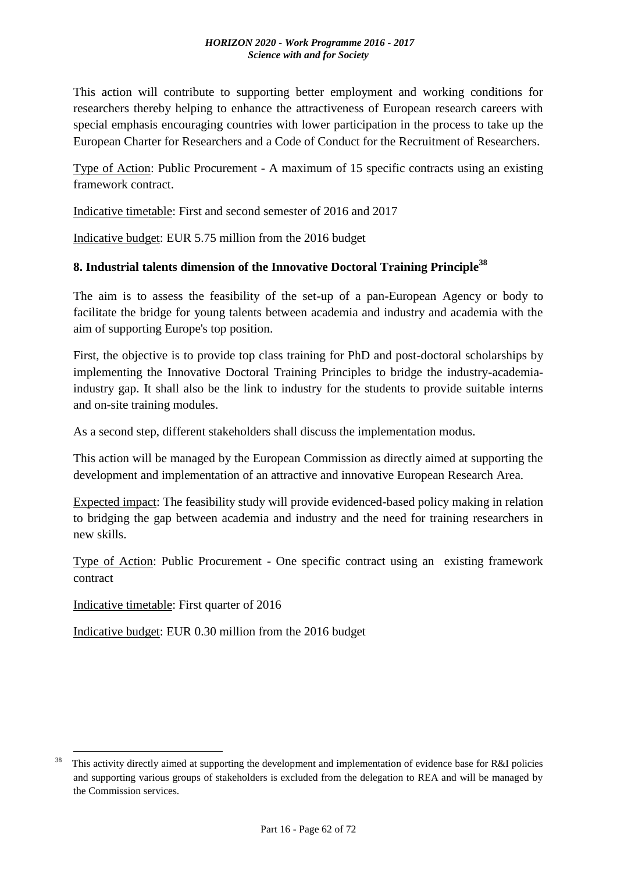This action will contribute to supporting better employment and working conditions for researchers thereby helping to enhance the attractiveness of European research careers with special emphasis encouraging countries with lower participation in the process to take up the European Charter for Researchers and a Code of Conduct for the Recruitment of Researchers.

Type of Action: Public Procurement - A maximum of 15 specific contracts using an existing framework contract.

Indicative timetable: First and second semester of 2016 and 2017

Indicative budget: EUR 5.75 million from the 2016 budget

#### **8. Industrial talents dimension of the Innovative Doctoral Training Principle<sup>38</sup>**

The aim is to assess the feasibility of the set-up of a pan-European Agency or body to facilitate the bridge for young talents between academia and industry and academia with the aim of supporting Europe's top position.

First, the objective is to provide top class training for PhD and post-doctoral scholarships by implementing the Innovative Doctoral Training Principles to bridge the industry-academiaindustry gap. It shall also be the link to industry for the students to provide suitable interns and on-site training modules.

As a second step, different stakeholders shall discuss the implementation modus.

This action will be managed by the European Commission as directly aimed at supporting the development and implementation of an attractive and innovative European Research Area.

Expected impact: The feasibility study will provide evidenced-based policy making in relation to bridging the gap between academia and industry and the need for training researchers in new skills.

Type of Action: Public Procurement - One specific contract using an existing framework contract

Indicative timetable: First quarter of 2016

1

Indicative budget: EUR 0.30 million from the 2016 budget

This activity directly aimed at supporting the development and implementation of evidence base for R&I policies and supporting various groups of stakeholders is excluded from the delegation to REA and will be managed by the Commission services.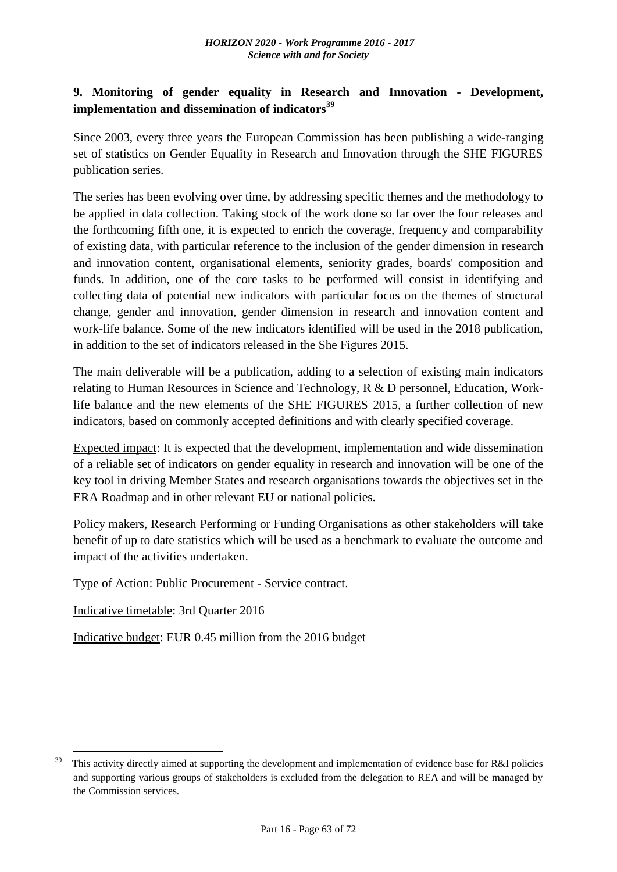# **9. Monitoring of gender equality in Research and Innovation - Development, implementation and dissemination of indicators<sup>39</sup>**

Since 2003, every three years the European Commission has been publishing a wide-ranging set of statistics on Gender Equality in Research and Innovation through the SHE FIGURES publication series.

The series has been evolving over time, by addressing specific themes and the methodology to be applied in data collection. Taking stock of the work done so far over the four releases and the forthcoming fifth one, it is expected to enrich the coverage, frequency and comparability of existing data, with particular reference to the inclusion of the gender dimension in research and innovation content, organisational elements, seniority grades, boards' composition and funds. In addition, one of the core tasks to be performed will consist in identifying and collecting data of potential new indicators with particular focus on the themes of structural change, gender and innovation, gender dimension in research and innovation content and work-life balance. Some of the new indicators identified will be used in the 2018 publication, in addition to the set of indicators released in the She Figures 2015.

The main deliverable will be a publication, adding to a selection of existing main indicators relating to Human Resources in Science and Technology, R & D personnel, Education, Worklife balance and the new elements of the SHE FIGURES 2015, a further collection of new indicators, based on commonly accepted definitions and with clearly specified coverage.

Expected impact: It is expected that the development, implementation and wide dissemination of a reliable set of indicators on gender equality in research and innovation will be one of the key tool in driving Member States and research organisations towards the objectives set in the ERA Roadmap and in other relevant EU or national policies.

Policy makers, Research Performing or Funding Organisations as other stakeholders will take benefit of up to date statistics which will be used as a benchmark to evaluate the outcome and impact of the activities undertaken.

Type of Action: Public Procurement - Service contract.

Indicative timetable: 3rd Quarter 2016

1

Indicative budget: EUR 0.45 million from the 2016 budget

This activity directly aimed at supporting the development and implementation of evidence base for R&I policies and supporting various groups of stakeholders is excluded from the delegation to REA and will be managed by the Commission services.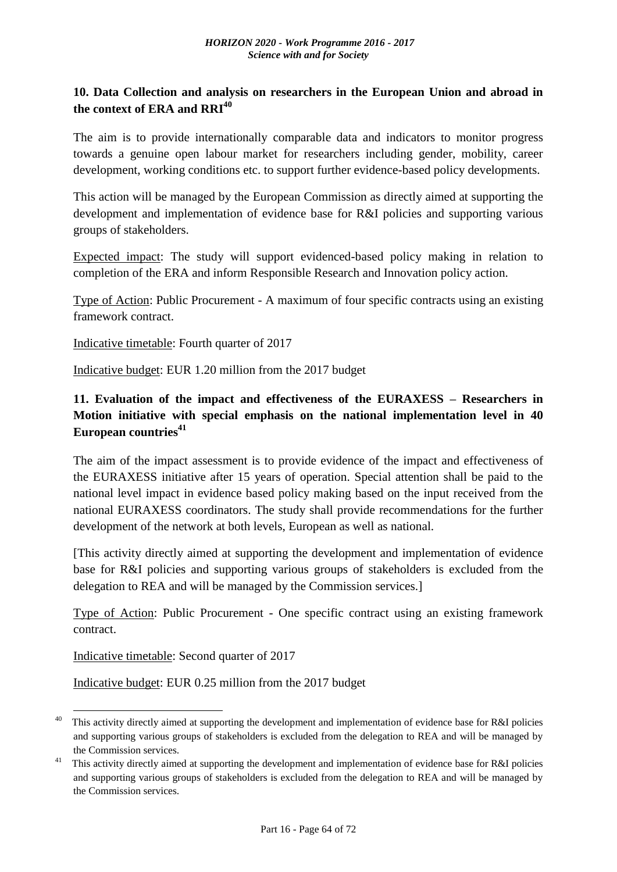#### **10. Data Collection and analysis on researchers in the European Union and abroad in the context of ERA and RRI<sup>40</sup>**

The aim is to provide internationally comparable data and indicators to monitor progress towards a genuine open labour market for researchers including gender, mobility, career development, working conditions etc. to support further evidence-based policy developments.

This action will be managed by the European Commission as directly aimed at supporting the development and implementation of evidence base for R&I policies and supporting various groups of stakeholders.

Expected impact: The study will support evidenced-based policy making in relation to completion of the ERA and inform Responsible Research and Innovation policy action.

Type of Action: Public Procurement - A maximum of four specific contracts using an existing framework contract.

Indicative timetable: Fourth quarter of 2017

Indicative budget: EUR 1.20 million from the 2017 budget

# **11. Evaluation of the impact and effectiveness of the EURAXESS – Researchers in Motion initiative with special emphasis on the national implementation level in 40 European countries<sup>41</sup>**

The aim of the impact assessment is to provide evidence of the impact and effectiveness of the EURAXESS initiative after 15 years of operation. Special attention shall be paid to the national level impact in evidence based policy making based on the input received from the national EURAXESS coordinators. The study shall provide recommendations for the further development of the network at both levels, European as well as national.

[This activity directly aimed at supporting the development and implementation of evidence base for R&I policies and supporting various groups of stakeholders is excluded from the delegation to REA and will be managed by the Commission services.]

Type of Action: Public Procurement - One specific contract using an existing framework contract.

Indicative timetable: Second quarter of 2017

1

Indicative budget: EUR 0.25 million from the 2017 budget

<sup>&</sup>lt;sup>40</sup> This activity directly aimed at supporting the development and implementation of evidence base for R&I policies and supporting various groups of stakeholders is excluded from the delegation to REA and will be managed by the Commission services.

<sup>&</sup>lt;sup>41</sup> This activity directly aimed at supporting the development and implementation of evidence base for R&I policies and supporting various groups of stakeholders is excluded from the delegation to REA and will be managed by the Commission services.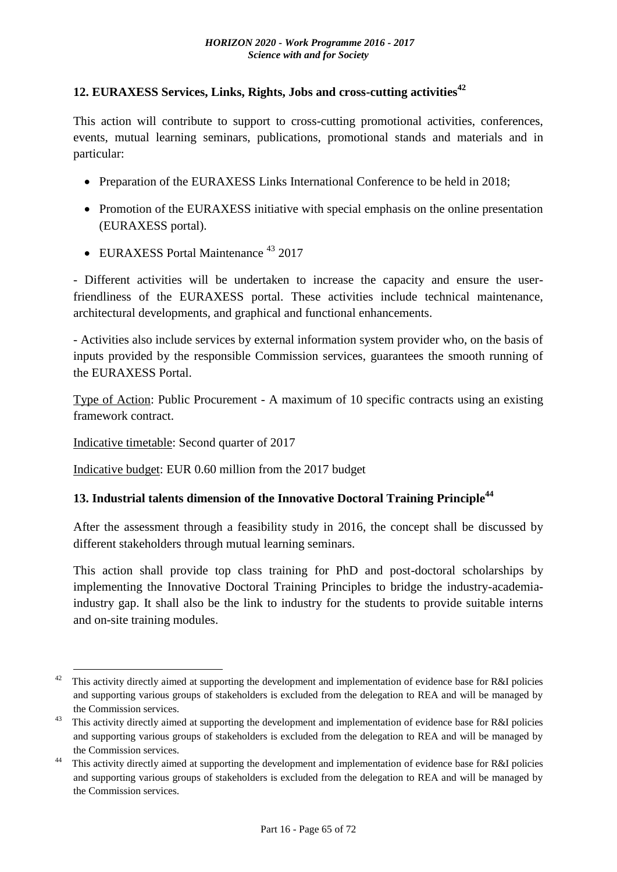## **12. EURAXESS Services, Links, Rights, Jobs and cross-cutting activities<sup>42</sup>**

This action will contribute to support to cross-cutting promotional activities, conferences, events, mutual learning seminars, publications, promotional stands and materials and in particular:

- Preparation of the EURAXESS Links International Conference to be held in 2018;
- Promotion of the EURAXESS initiative with special emphasis on the online presentation (EURAXESS portal).
- EURAXESS Portal Maintenance<sup>43</sup> 2017

- Different activities will be undertaken to increase the capacity and ensure the userfriendliness of the EURAXESS portal. These activities include technical maintenance, architectural developments, and graphical and functional enhancements.

- Activities also include services by external information system provider who, on the basis of inputs provided by the responsible Commission services, guarantees the smooth running of the EURAXESS Portal.

Type of Action: Public Procurement - A maximum of 10 specific contracts using an existing framework contract.

Indicative timetable: Second quarter of 2017

<u>.</u>

Indicative budget: EUR 0.60 million from the 2017 budget

# **13. Industrial talents dimension of the Innovative Doctoral Training Principle<sup>44</sup>**

After the assessment through a feasibility study in 2016, the concept shall be discussed by different stakeholders through mutual learning seminars.

This action shall provide top class training for PhD and post-doctoral scholarships by implementing the Innovative Doctoral Training Principles to bridge the industry-academiaindustry gap. It shall also be the link to industry for the students to provide suitable interns and on-site training modules.

<sup>&</sup>lt;sup>42</sup> This activity directly aimed at supporting the development and implementation of evidence base for R&I policies and supporting various groups of stakeholders is excluded from the delegation to REA and will be managed by the Commission services.

<sup>&</sup>lt;sup>43</sup> This activity directly aimed at supporting the development and implementation of evidence base for R&I policies and supporting various groups of stakeholders is excluded from the delegation to REA and will be managed by the Commission services.

<sup>&</sup>lt;sup>44</sup> This activity directly aimed at supporting the development and implementation of evidence base for R&I policies and supporting various groups of stakeholders is excluded from the delegation to REA and will be managed by the Commission services.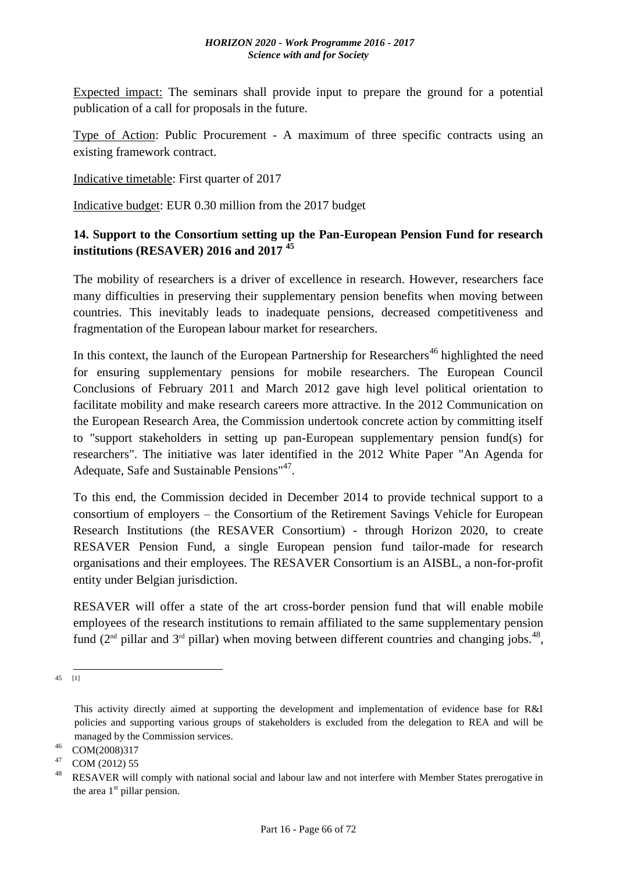#### *HORIZON 2020 - Work Programme 2016 - 2017 Science with and for Society*

Expected impact: The seminars shall provide input to prepare the ground for a potential publication of a call for proposals in the future.

Type of Action: Public Procurement - A maximum of three specific contracts using an existing framework contract.

Indicative timetable: First quarter of 2017

Indicative budget: EUR 0.30 million from the 2017 budget

## **14. Support to the Consortium setting up the Pan-European Pension Fund for research institutions (RESAVER) 2016 and 2017 <sup>45</sup>**

The mobility of researchers is a driver of excellence in research. However, researchers face many difficulties in preserving their supplementary pension benefits when moving between countries. This inevitably leads to inadequate pensions, decreased competitiveness and fragmentation of the European labour market for researchers.

In this context, the launch of the European Partnership for Researchers<sup>46</sup> highlighted the need for ensuring supplementary pensions for mobile researchers. The European Council Conclusions of February 2011 and March 2012 gave high level political orientation to facilitate mobility and make research careers more attractive. In the 2012 Communication on the European Research Area, the Commission undertook concrete action by committing itself to "support stakeholders in setting up pan-European supplementary pension fund(s) for researchers". The initiative was later identified in the 2012 White Paper "An Agenda for Adequate, Safe and Sustainable Pensions"<sup>47</sup>.

To this end, the Commission decided in December 2014 to provide technical support to a consortium of employers – the Consortium of the Retirement Savings Vehicle for European Research Institutions (the RESAVER Consortium) - through Horizon 2020, to create RESAVER Pension Fund, a single European pension fund tailor-made for research organisations and their employees. The RESAVER Consortium is an AISBL, a non-for-profit entity under Belgian jurisdiction.

RESAVER will offer a state of the art cross-border pension fund that will enable mobile employees of the research institutions to remain affiliated to the same supplementary pension fund  $(2<sup>nd</sup> pillar$  and  $3<sup>rd</sup> pillar)$  when moving between different countries and changing jobs.<sup>48</sup>,

 $-$ <br>45 [1]

This activity directly aimed at supporting the development and implementation of evidence base for R&I policies and supporting various groups of stakeholders is excluded from the delegation to REA and will be managed by the Commission services.

<sup>46</sup> COM(2008)317

<sup>&</sup>lt;sup>47</sup> COM (2012) 55

RESAVER will comply with national social and labour law and not interfere with Member States prerogative in the area  $1<sup>st</sup>$  pillar pension.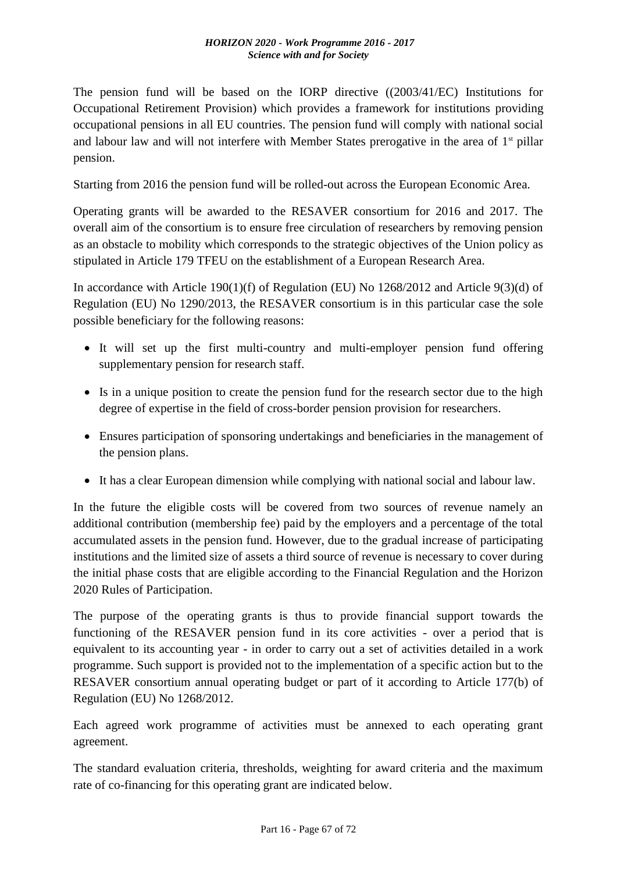The pension fund will be based on the IORP directive ((2003/41/EC) Institutions for Occupational Retirement Provision) which provides a framework for institutions providing occupational pensions in all EU countries. The pension fund will comply with national social and labour law and will not interfere with Member States prerogative in the area of  $1<sup>st</sup>$  pillar pension.

Starting from 2016 the pension fund will be rolled-out across the European Economic Area.

Operating grants will be awarded to the RESAVER consortium for 2016 and 2017. The overall aim of the consortium is to ensure free circulation of researchers by removing pension as an obstacle to mobility which corresponds to the strategic objectives of the Union policy as stipulated in Article 179 TFEU on the establishment of a European Research Area.

In accordance with Article 190(1)(f) of Regulation (EU) No 1268/2012 and Article 9(3)(d) of Regulation (EU) No 1290/2013, the RESAVER consortium is in this particular case the sole possible beneficiary for the following reasons:

- It will set up the first multi-country and multi-employer pension fund offering supplementary pension for research staff.
- Is in a unique position to create the pension fund for the research sector due to the high degree of expertise in the field of cross-border pension provision for researchers.
- Ensures participation of sponsoring undertakings and beneficiaries in the management of the pension plans.
- It has a clear European dimension while complying with national social and labour law.

In the future the eligible costs will be covered from two sources of revenue namely an additional contribution (membership fee) paid by the employers and a percentage of the total accumulated assets in the pension fund. However, due to the gradual increase of participating institutions and the limited size of assets a third source of revenue is necessary to cover during the initial phase costs that are eligible according to the Financial Regulation and the Horizon 2020 Rules of Participation.

The purpose of the operating grants is thus to provide financial support towards the functioning of the RESAVER pension fund in its core activities - over a period that is equivalent to its accounting year - in order to carry out a set of activities detailed in a work programme. Such support is provided not to the implementation of a specific action but to the RESAVER consortium annual operating budget or part of it according to Article 177(b) of Regulation (EU) No 1268/2012.

Each agreed work programme of activities must be annexed to each operating grant agreement.

The standard evaluation criteria, thresholds, weighting for award criteria and the maximum rate of co-financing for this operating grant are indicated below.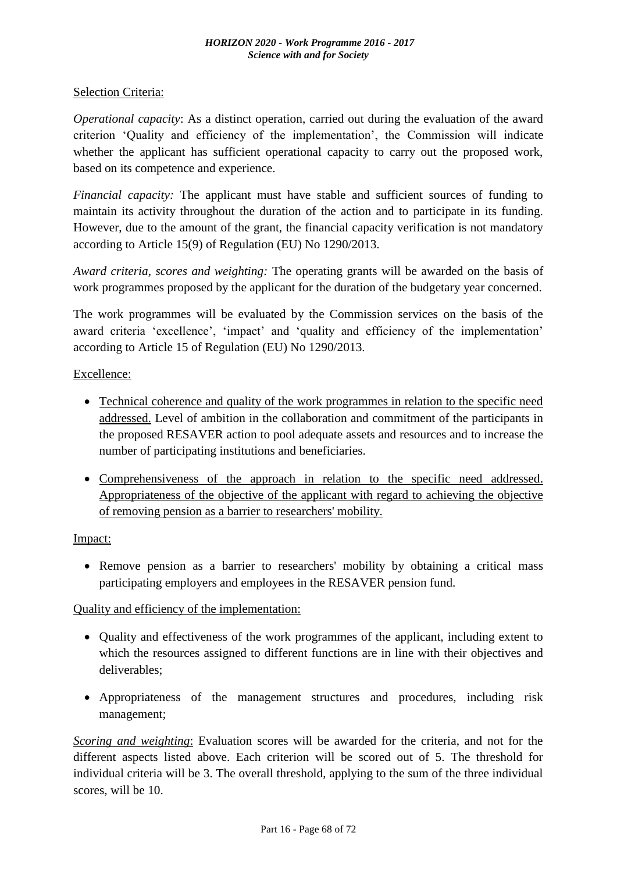#### Selection Criteria:

*Operational capacity*: As a distinct operation, carried out during the evaluation of the award criterion 'Quality and efficiency of the implementation', the Commission will indicate whether the applicant has sufficient operational capacity to carry out the proposed work, based on its competence and experience.

*Financial capacity:* The applicant must have stable and sufficient sources of funding to maintain its activity throughout the duration of the action and to participate in its funding. However, due to the amount of the grant, the financial capacity verification is not mandatory according to Article 15(9) of Regulation (EU) No 1290/2013.

*Award criteria, scores and weighting:* The operating grants will be awarded on the basis of work programmes proposed by the applicant for the duration of the budgetary year concerned.

The work programmes will be evaluated by the Commission services on the basis of the award criteria 'excellence', 'impact' and 'quality and efficiency of the implementation' according to Article 15 of Regulation (EU) No 1290/2013.

#### Excellence:

- Technical coherence and quality of the work programmes in relation to the specific need addressed. Level of ambition in the collaboration and commitment of the participants in the proposed RESAVER action to pool adequate assets and resources and to increase the number of participating institutions and beneficiaries.
- Comprehensiveness of the approach in relation to the specific need addressed. Appropriateness of the objective of the applicant with regard to achieving the objective of removing pension as a barrier to researchers' mobility.

#### Impact:

• Remove pension as a barrier to researchers' mobility by obtaining a critical mass participating employers and employees in the RESAVER pension fund.

#### Quality and efficiency of the implementation:

- Quality and effectiveness of the work programmes of the applicant, including extent to which the resources assigned to different functions are in line with their objectives and deliverables;
- Appropriateness of the management structures and procedures, including risk management;

*Scoring and weighting*: Evaluation scores will be awarded for the criteria, and not for the different aspects listed above. Each criterion will be scored out of 5. The threshold for individual criteria will be 3. The overall threshold, applying to the sum of the three individual scores, will be 10.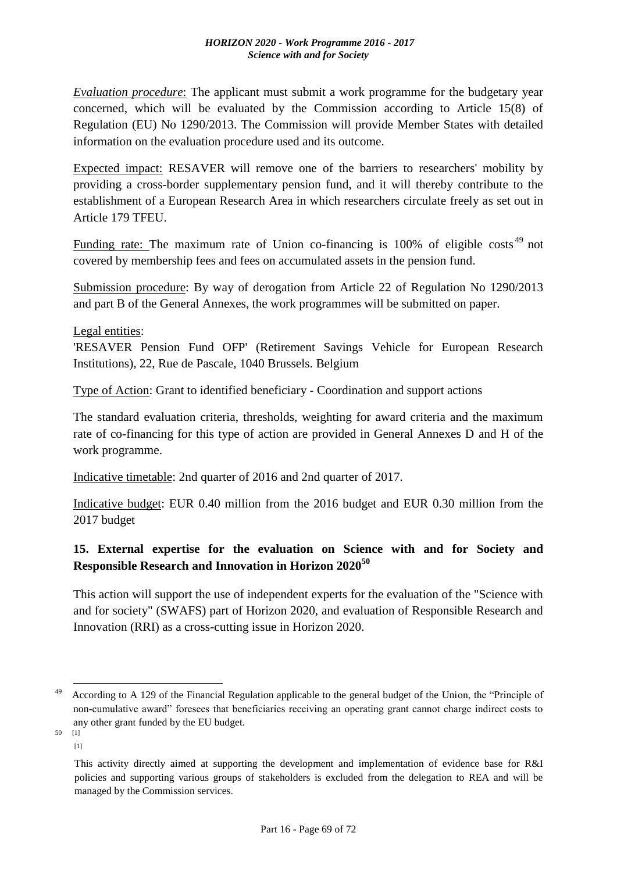*Evaluation procedure*: The applicant must submit a work programme for the budgetary year concerned, which will be evaluated by the Commission according to Article 15(8) of Regulation (EU) No 1290/2013. The Commission will provide Member States with detailed information on the evaluation procedure used and its outcome.

Expected impact: RESAVER will remove one of the barriers to researchers' mobility by providing a cross-border supplementary pension fund, and it will thereby contribute to the establishment of a European Research Area in which researchers circulate freely as set out in Article 179 TFEU.

Funding rate: The maximum rate of Union co-financing is 100% of eligible costs<sup>49</sup> not covered by membership fees and fees on accumulated assets in the pension fund.

Submission procedure: By way of derogation from Article 22 of Regulation No 1290/2013 and part B of the General Annexes, the work programmes will be submitted on paper.

Legal entities:

'RESAVER Pension Fund OFP' (Retirement Savings Vehicle for European Research Institutions), 22, Rue de Pascale, 1040 Brussels. Belgium

Type of Action: Grant to identified beneficiary - Coordination and support actions

The standard evaluation criteria, thresholds, weighting for award criteria and the maximum rate of co-financing for this type of action are provided in General Annexes D and H of the work programme.

Indicative timetable: 2nd quarter of 2016 and 2nd quarter of 2017.

Indicative budget: EUR 0.40 million from the 2016 budget and EUR 0.30 million from the 2017 budget

# **15. External expertise for the evaluation on Science with and for Society and Responsible Research and Innovation in Horizon 2020<sup>50</sup>**

This action will support the use of independent experts for the evaluation of the "Science with and for society" (SWAFS) part of Horizon 2020, and evaluation of Responsible Research and Innovation (RRI) as a cross-cutting issue in Horizon 2020.

<u>.</u>

<sup>&</sup>lt;sup>49</sup> According to A 129 of the Financial Regulation applicable to the general budget of the Union, the "Principle of non-cumulative award" foresees that beneficiaries receiving an operating grant cannot charge indirect costs to any other grant funded by the EU budget.  $50<sup>1</sup>$ 

<sup>[1]</sup>

This activity directly aimed at supporting the development and implementation of evidence base for R&I policies and supporting various groups of stakeholders is excluded from the delegation to REA and will be managed by the Commission services.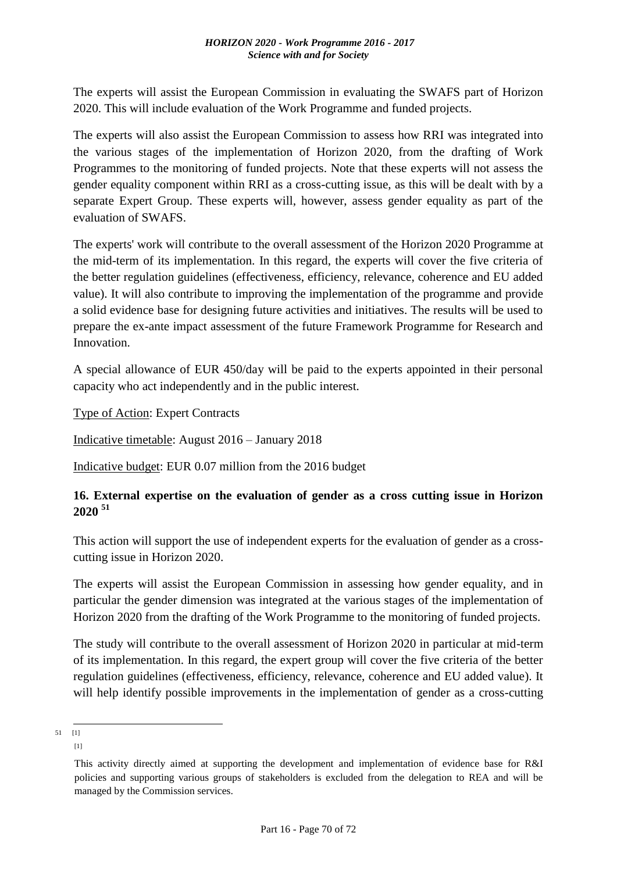The experts will assist the European Commission in evaluating the SWAFS part of Horizon 2020. This will include evaluation of the Work Programme and funded projects.

The experts will also assist the European Commission to assess how RRI was integrated into the various stages of the implementation of Horizon 2020, from the drafting of Work Programmes to the monitoring of funded projects. Note that these experts will not assess the gender equality component within RRI as a cross-cutting issue, as this will be dealt with by a separate Expert Group. These experts will, however, assess gender equality as part of the evaluation of SWAFS.

The experts' work will contribute to the overall assessment of the Horizon 2020 Programme at the mid-term of its implementation. In this regard, the experts will cover the five criteria of the better regulation guidelines (effectiveness, efficiency, relevance, coherence and EU added value). It will also contribute to improving the implementation of the programme and provide a solid evidence base for designing future activities and initiatives. The results will be used to prepare the ex-ante impact assessment of the future Framework Programme for Research and Innovation.

A special allowance of EUR 450/day will be paid to the experts appointed in their personal capacity who act independently and in the public interest.

Type of Action: Expert Contracts

Indicative timetable: August 2016 – January 2018

Indicative budget: EUR 0.07 million from the 2016 budget

## **16. External expertise on the evaluation of gender as a cross cutting issue in Horizon 2020 <sup>51</sup>**

This action will support the use of independent experts for the evaluation of gender as a crosscutting issue in Horizon 2020.

The experts will assist the European Commission in assessing how gender equality, and in particular the gender dimension was integrated at the various stages of the implementation of Horizon 2020 from the drafting of the Work Programme to the monitoring of funded projects.

The study will contribute to the overall assessment of Horizon 2020 in particular at mid-term of its implementation. In this regard, the expert group will cover the five criteria of the better regulation guidelines (effectiveness, efficiency, relevance, coherence and EU added value). It will help identify possible improvements in the implementation of gender as a cross-cutting

 $\frac{-}{51}$  [1]

<sup>[1]</sup>

This activity directly aimed at supporting the development and implementation of evidence base for R&I policies and supporting various groups of stakeholders is excluded from the delegation to REA and will be managed by the Commission services.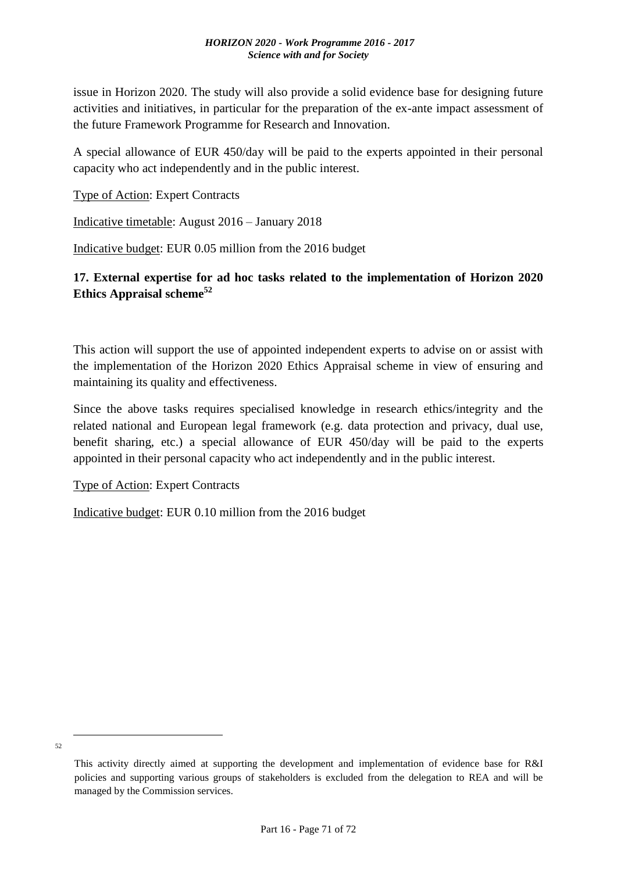issue in Horizon 2020. The study will also provide a solid evidence base for designing future activities and initiatives, in particular for the preparation of the ex-ante impact assessment of the future Framework Programme for Research and Innovation.

A special allowance of EUR 450/day will be paid to the experts appointed in their personal capacity who act independently and in the public interest.

Type of Action: Expert Contracts

Indicative timetable: August 2016 – January 2018

Indicative budget: EUR 0.05 million from the 2016 budget

## **17. External expertise for ad hoc tasks related to the implementation of Horizon 2020 Ethics Appraisal scheme<sup>52</sup>**

This action will support the use of appointed independent experts to advise on or assist with the implementation of the Horizon 2020 Ethics Appraisal scheme in view of ensuring and maintaining its quality and effectiveness.

Since the above tasks requires specialised knowledge in research ethics/integrity and the related national and European legal framework (e.g. data protection and privacy, dual use, benefit sharing, etc.) a special allowance of EUR 450/day will be paid to the experts appointed in their personal capacity who act independently and in the public interest.

Type of Action: Expert Contracts

Indicative budget: EUR 0.10 million from the 2016 budget

52

1

This activity directly aimed at supporting the development and implementation of evidence base for R&I policies and supporting various groups of stakeholders is excluded from the delegation to REA and will be managed by the Commission services.